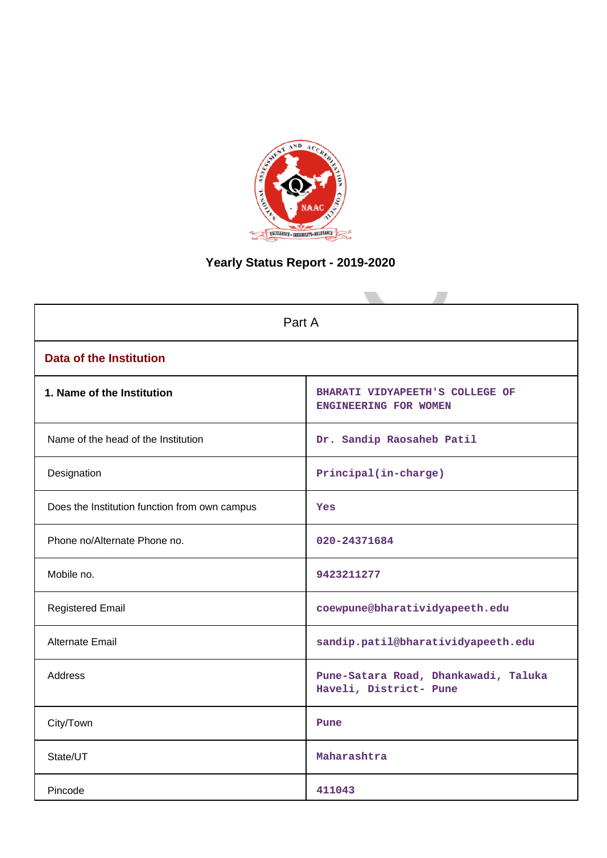

# **Yearly Status Report - 2019-2020**

| Part A                                        |                                                                |  |  |
|-----------------------------------------------|----------------------------------------------------------------|--|--|
| <b>Data of the Institution</b>                |                                                                |  |  |
| 1. Name of the Institution                    | BHARATI VIDYAPEETH'S COLLEGE OF<br>ENGINEERING FOR WOMEN       |  |  |
| Name of the head of the Institution           | Dr. Sandip Raosaheb Patil                                      |  |  |
| Designation                                   | Principal(in-charge)                                           |  |  |
| Does the Institution function from own campus | Yes                                                            |  |  |
| Phone no/Alternate Phone no.                  | 020-24371684                                                   |  |  |
| Mobile no.                                    | 9423211277                                                     |  |  |
| <b>Registered Email</b>                       | coewpune@bharatividyapeeth.edu                                 |  |  |
| <b>Alternate Email</b>                        | sandip.patil@bharatividyapeeth.edu                             |  |  |
| <b>Address</b>                                | Pune-Satara Road, Dhankawadi, Taluka<br>Haveli, District- Pune |  |  |
| City/Town                                     | Pune                                                           |  |  |
| State/UT                                      | Maharashtra                                                    |  |  |
| Pincode                                       | 411043                                                         |  |  |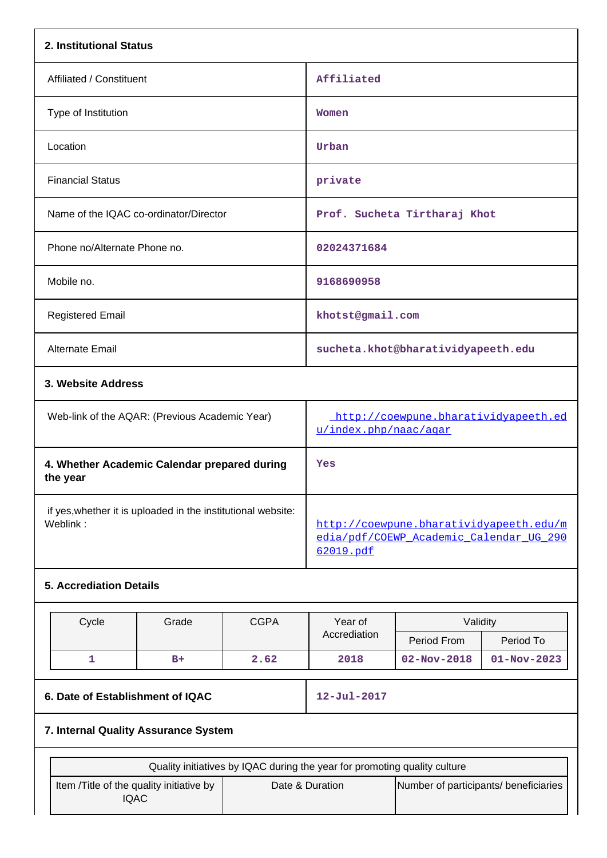| 2. Institutional Status                                                  |                                                |             |                                                                                                 |                                                               |                   |  |
|--------------------------------------------------------------------------|------------------------------------------------|-------------|-------------------------------------------------------------------------------------------------|---------------------------------------------------------------|-------------------|--|
| Affiliated / Constituent                                                 |                                                | Affiliated  |                                                                                                 |                                                               |                   |  |
| Type of Institution                                                      |                                                |             | Women                                                                                           |                                                               |                   |  |
| Location                                                                 |                                                |             | Urban                                                                                           |                                                               |                   |  |
| <b>Financial Status</b>                                                  |                                                |             | private                                                                                         |                                                               |                   |  |
| Name of the IQAC co-ordinator/Director                                   |                                                |             |                                                                                                 | Prof. Sucheta Tirtharaj Khot                                  |                   |  |
| Phone no/Alternate Phone no.                                             |                                                |             | 02024371684                                                                                     |                                                               |                   |  |
| Mobile no.                                                               |                                                |             | 9168690958                                                                                      |                                                               |                   |  |
| <b>Registered Email</b>                                                  |                                                |             | khotst@gmail.com                                                                                |                                                               |                   |  |
| Alternate Email                                                          |                                                |             | sucheta.khot@bharatividyapeeth.edu                                                              |                                                               |                   |  |
| 3. Website Address                                                       |                                                |             |                                                                                                 |                                                               |                   |  |
|                                                                          | Web-link of the AQAR: (Previous Academic Year) |             |                                                                                                 | http://coewpune.bharatividyapeeth.ed<br>u/index.php/naac/aqar |                   |  |
| the year                                                                 | 4. Whether Academic Calendar prepared during   |             | Yes                                                                                             |                                                               |                   |  |
| if yes, whether it is uploaded in the institutional website:<br>Weblink: |                                                |             | http://coewpune.bharatividyapeeth.edu/m<br>edia/pdf/COEWP Academic Calendar UG 290<br>62019.pdf |                                                               |                   |  |
| <b>5. Accrediation Details</b>                                           |                                                |             |                                                                                                 |                                                               |                   |  |
| Cycle                                                                    | Grade                                          | <b>CGPA</b> | Year of<br>Validity                                                                             |                                                               |                   |  |
|                                                                          |                                                |             | Accrediation                                                                                    | Period From                                                   | Period To         |  |
| $\mathbf{1}$                                                             | $B+$                                           | 2.62        | 2018                                                                                            | $02 - Nov - 2018$                                             | $01 - Nov - 2023$ |  |
| 6. Date of Establishment of IQAC                                         |                                                |             | 12-Jul-2017                                                                                     |                                                               |                   |  |
|                                                                          | 7. Internal Quality Assurance System           |             |                                                                                                 |                                                               |                   |  |

| Quality initiatives by IQAC during the year for promoting quality culture |                 |                                       |  |  |  |
|---------------------------------------------------------------------------|-----------------|---------------------------------------|--|--|--|
| Item /Title of the quality initiative by<br>IQAC                          | Date & Duration | Number of participants/ beneficiaries |  |  |  |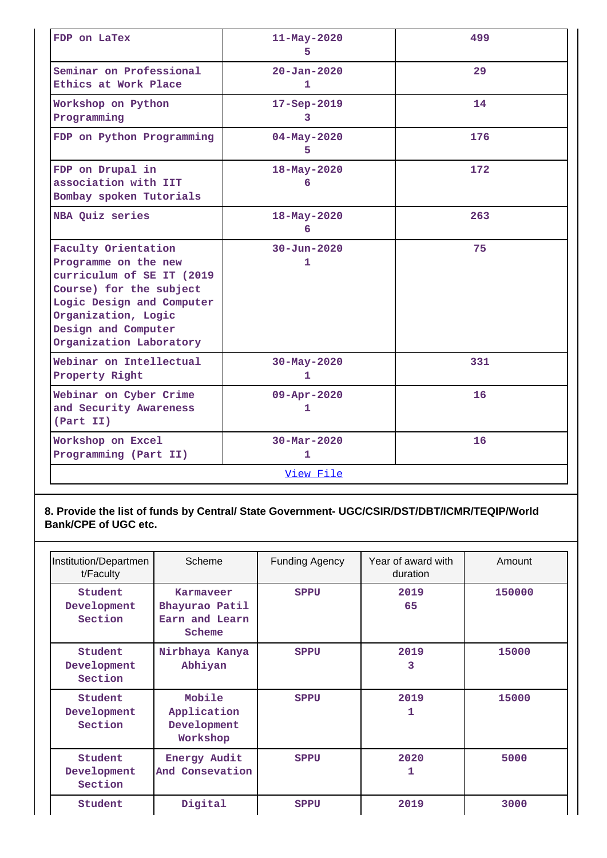| FDP on LaTex                                                                                                                                                                                              | $11 - May - 2020$<br>5.       | 499 |  |  |
|-----------------------------------------------------------------------------------------------------------------------------------------------------------------------------------------------------------|-------------------------------|-----|--|--|
| Seminar on Professional<br>Ethics at Work Place                                                                                                                                                           | $20 - Jan - 2020$<br>1        | 29  |  |  |
| Workshop on Python<br>Programming                                                                                                                                                                         | 17-Sep-2019<br>3              | 14  |  |  |
| FDP on Python Programming                                                                                                                                                                                 | $04 - May - 2020$<br>5        | 176 |  |  |
| FDP on Drupal in<br>association with IIT<br>Bombay spoken Tutorials                                                                                                                                       | 18-May-2020<br>6              | 172 |  |  |
| NBA Quiz series                                                                                                                                                                                           | 18-May-2020<br>6              | 263 |  |  |
| Faculty Orientation<br>Programme on the new<br>curriculum of SE IT (2019<br>Course) for the subject<br>Logic Design and Computer<br>Organization, Logic<br>Design and Computer<br>Organization Laboratory | $30 - Jun - 2020$<br>1        | 75  |  |  |
| Webinar on Intellectual<br>Property Right                                                                                                                                                                 | $30 - May - 2020$<br>1        | 331 |  |  |
| Webinar on Cyber Crime<br>and Security Awareness<br>(Part II)                                                                                                                                             | $09 - Appr - 2020$<br>1       | 16  |  |  |
| Workshop on Excel<br>Programming (Part II)                                                                                                                                                                | $30 - \text{Mar} - 2020$<br>1 | 16  |  |  |
| View File                                                                                                                                                                                                 |                               |     |  |  |

## **8. Provide the list of funds by Central/ State Government- UGC/CSIR/DST/DBT/ICMR/TEQIP/World Bank/CPE of UGC etc.**

| Institution/Departmen<br>t/Faculty | Scheme                                                  | <b>Funding Agency</b> | Year of award with<br>duration | Amount |
|------------------------------------|---------------------------------------------------------|-----------------------|--------------------------------|--------|
| Student<br>Development<br>Section  | Karmaveer<br>Bhayurao Patil<br>Earn and Learn<br>Scheme | <b>SPPU</b>           | 2019<br>65                     | 150000 |
| Student<br>Development<br>Section  | Nirbhaya Kanya<br>Abhiyan                               | <b>SPPU</b>           | 2019<br>3                      | 15000  |
| Student<br>Development<br>Section  | Mobile<br>Application<br>Development<br>Workshop        | <b>SPPU</b>           | 2019<br>1                      | 15000  |
| Student<br>Development<br>Section  | Energy Audit<br>And Consevation                         | <b>SPPU</b>           | 2020<br>1                      | 5000   |
| Student                            | Digital                                                 | <b>SPPU</b>           | 2019                           | 3000   |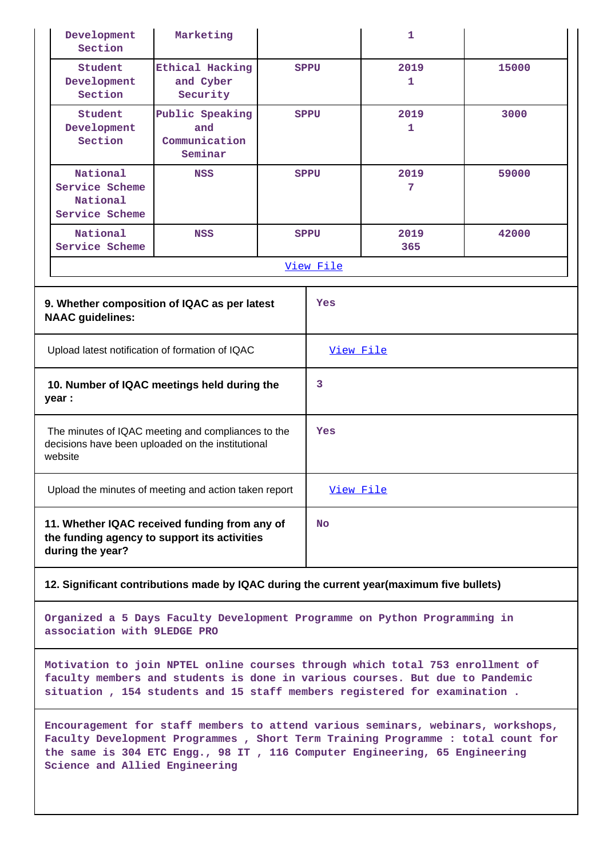|                                                                                                                    | Development<br>Section                                   | Marketing                                          |             |             | 1           |       |
|--------------------------------------------------------------------------------------------------------------------|----------------------------------------------------------|----------------------------------------------------|-------------|-------------|-------------|-------|
|                                                                                                                    | Student<br>Development<br>Section                        | Ethical Hacking<br>and Cyber<br>Security           |             | <b>SPPU</b> | 2019<br>1   | 15000 |
|                                                                                                                    | Student<br>Development<br>Section                        | Public Speaking<br>and<br>Communication<br>Seminar | <b>SPPU</b> |             | 2019<br>1   | 3000  |
|                                                                                                                    | National<br>Service Scheme<br>National<br>Service Scheme | <b>NSS</b>                                         | <b>SPPU</b> |             | 2019<br>7   | 59000 |
|                                                                                                                    | National<br>Service Scheme                               | <b>NSS</b>                                         | <b>SPPU</b> |             | 2019<br>365 | 42000 |
|                                                                                                                    |                                                          |                                                    |             | View File   |             |       |
| 9. Whether composition of IQAC as per latest<br><b>NAAC</b> guidelines:                                            |                                                          | Yes                                                |             |             |             |       |
| Upload latest notification of formation of IQAC                                                                    |                                                          | View File                                          |             |             |             |       |
| 10. Number of IQAC meetings held during the<br>year :                                                              |                                                          | 3                                                  |             |             |             |       |
| The minutes of IQAC meeting and compliances to the<br>decisions have been uploaded on the institutional<br>website |                                                          |                                                    | Yes         |             |             |       |
| Upload the minutes of meeting and action taken report                                                              |                                                          | View File                                          |             |             |             |       |
| 11. Whether IQAC received funding from any of<br>the funding agency to support its activities<br>during the year?  |                                                          |                                                    | No          |             |             |       |

#### **12. Significant contributions made by IQAC during the current year(maximum five bullets)**

**Organized a 5 Days Faculty Development Programme on Python Programming in association with 9LEDGE PRO**

**Motivation to join NPTEL online courses through which total 753 enrollment of faculty members and students is done in various courses. But due to Pandemic situation , 154 students and 15 staff members registered for examination .**

**Encouragement for staff members to attend various seminars, webinars, workshops, Faculty Development Programmes , Short Term Training Programme : total count for the same is 304 ETC Engg., 98 IT , 116 Computer Engineering, 65 Engineering Science and Allied Engineering**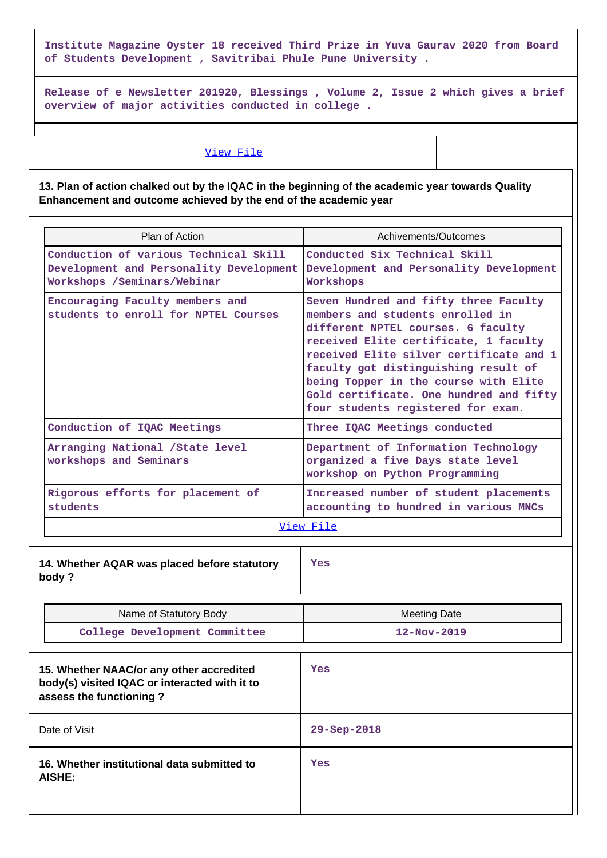**Institute Magazine Oyster 18 received Third Prize in Yuva Gaurav 2020 from Board of Students Development , Savitribai Phule Pune University .**

**Release of e Newsletter 201920, Blessings , Volume 2, Issue 2 which gives a brief overview of major activities conducted in college .**

#### [View File](https://assessmentonline.naac.gov.in/public/Postacc/Contribution/7344_Contribution.xlsx)

**13. Plan of action chalked out by the IQAC in the beginning of the academic year towards Quality Enhancement and outcome achieved by the end of the academic year**

| Plan of Action                                                          |                                                                                                                      | Achivements/Outcomes                                                                                                                                                                                                                                                                                                                                                  |  |
|-------------------------------------------------------------------------|----------------------------------------------------------------------------------------------------------------------|-----------------------------------------------------------------------------------------------------------------------------------------------------------------------------------------------------------------------------------------------------------------------------------------------------------------------------------------------------------------------|--|
|                                                                         | Conduction of various Technical Skill<br>Development and Personality Development<br>Workshops / Seminars/Webinar     | Conducted Six Technical Skill<br>Development and Personality Development<br>Workshops                                                                                                                                                                                                                                                                                 |  |
| Encouraging Faculty members and<br>students to enroll for NPTEL Courses |                                                                                                                      | Seven Hundred and fifty three Faculty<br>members and students enrolled in<br>different NPTEL courses. 6 faculty<br>received Elite certificate, 1 faculty<br>received Elite silver certificate and 1<br>faculty got distinguishing result of<br>being Topper in the course with Elite<br>Gold certificate. One hundred and fifty<br>four students registered for exam. |  |
|                                                                         | Conduction of IQAC Meetings                                                                                          | Three IQAC Meetings conducted                                                                                                                                                                                                                                                                                                                                         |  |
|                                                                         | Arranging National / State level<br>workshops and Seminars                                                           | Department of Information Technology<br>organized a five Days state level<br>workshop on Python Programming                                                                                                                                                                                                                                                           |  |
|                                                                         | Rigorous efforts for placement of<br>students                                                                        | Increased number of student placements<br>accounting to hundred in various MNCs                                                                                                                                                                                                                                                                                       |  |
|                                                                         |                                                                                                                      | View File                                                                                                                                                                                                                                                                                                                                                             |  |
|                                                                         | 14. Whether AQAR was placed before statutory<br>body?                                                                | Yes                                                                                                                                                                                                                                                                                                                                                                   |  |
|                                                                         | Name of Statutory Body                                                                                               | <b>Meeting Date</b>                                                                                                                                                                                                                                                                                                                                                   |  |
|                                                                         | College Development Committee                                                                                        | $12 - Nov - 2019$                                                                                                                                                                                                                                                                                                                                                     |  |
|                                                                         | 15. Whether NAAC/or any other accredited<br>body(s) visited IQAC or interacted with it to<br>assess the functioning? | <b>Yes</b>                                                                                                                                                                                                                                                                                                                                                            |  |
|                                                                         | Date of Visit                                                                                                        | $29 - Sep - 2018$                                                                                                                                                                                                                                                                                                                                                     |  |
| 16. Whether institutional data submitted to<br><b>AISHE:</b>            |                                                                                                                      | Yes                                                                                                                                                                                                                                                                                                                                                                   |  |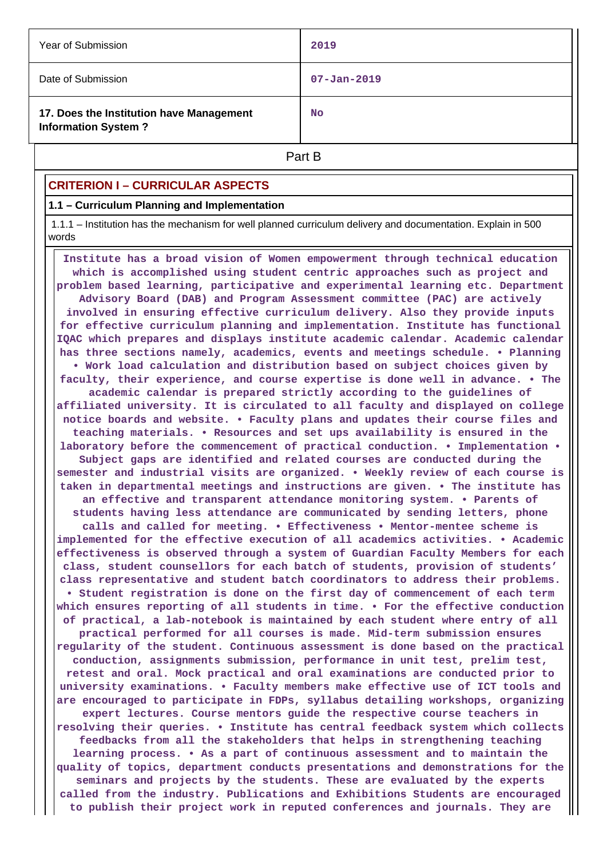| Year of Submission                                                     | 2019              |  |
|------------------------------------------------------------------------|-------------------|--|
| Date of Submission                                                     | $07 - Jan - 2019$ |  |
| 17. Does the Institution have Management<br><b>Information System?</b> | <b>No</b>         |  |
| Part B                                                                 |                   |  |

## **CRITERION I – CURRICULAR ASPECTS**

#### **1.1 – Curriculum Planning and Implementation**

 1.1.1 – Institution has the mechanism for well planned curriculum delivery and documentation. Explain in 500 words

 **Institute has a broad vision of Women empowerment through technical education which is accomplished using student centric approaches such as project and problem based learning, participative and experimental learning etc. Department Advisory Board (DAB) and Program Assessment committee (PAC) are actively involved in ensuring effective curriculum delivery. Also they provide inputs for effective curriculum planning and implementation. Institute has functional IQAC which prepares and displays institute academic calendar. Academic calendar has three sections namely, academics, events and meetings schedule. • Planning • Work load calculation and distribution based on subject choices given by faculty, their experience, and course expertise is done well in advance. • The academic calendar is prepared strictly according to the guidelines of affiliated university. It is circulated to all faculty and displayed on college notice boards and website. • Faculty plans and updates their course files and teaching materials. • Resources and set ups availability is ensured in the laboratory before the commencement of practical conduction. • Implementation • Subject gaps are identified and related courses are conducted during the semester and industrial visits are organized. • Weekly review of each course is taken in departmental meetings and instructions are given. • The institute has an effective and transparent attendance monitoring system. • Parents of students having less attendance are communicated by sending letters, phone calls and called for meeting. • Effectiveness • Mentor-mentee scheme is implemented for the effective execution of all academics activities. • Academic effectiveness is observed through a system of Guardian Faculty Members for each class, student counsellors for each batch of students, provision of students' class representative and student batch coordinators to address their problems. • Student registration is done on the first day of commencement of each term which ensures reporting of all students in time. • For the effective conduction of practical, a lab-notebook is maintained by each student where entry of all practical performed for all courses is made. Mid-term submission ensures regularity of the student. Continuous assessment is done based on the practical conduction, assignments submission, performance in unit test, prelim test, retest and oral. Mock practical and oral examinations are conducted prior to university examinations. • Faculty members make effective use of ICT tools and are encouraged to participate in FDPs, syllabus detailing workshops, organizing expert lectures. Course mentors guide the respective course teachers in resolving their queries. • Institute has central feedback system which collects feedbacks from all the stakeholders that helps in strengthening teaching learning process. • As a part of continuous assessment and to maintain the quality of topics, department conducts presentations and demonstrations for the seminars and projects by the students. These are evaluated by the experts called from the industry. Publications and Exhibitions Students are encouraged to publish their project work in reputed conferences and journals. They are**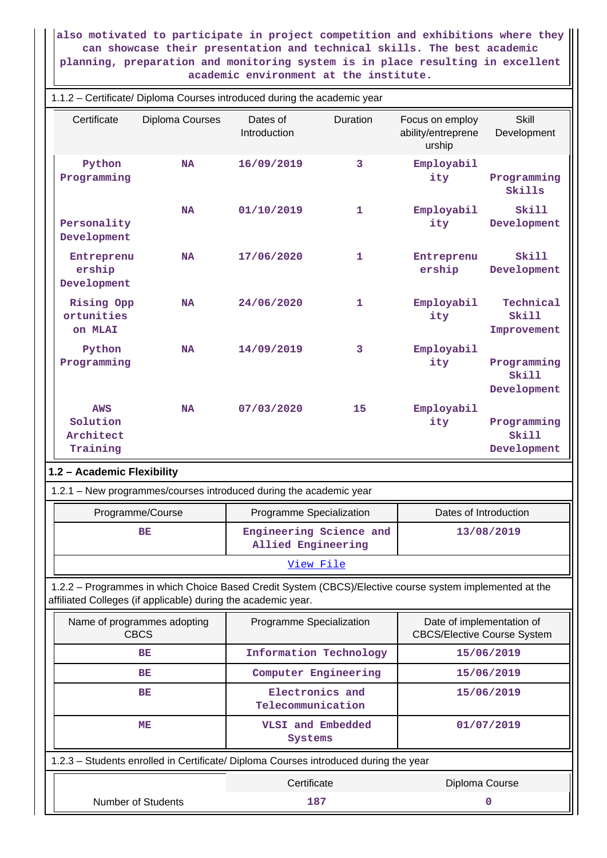**also motivated to participate in project competition and exhibitions where they can showcase their presentation and technical skills. The best academic planning, preparation and monitoring system is in place resulting in excellent academic environment at the institute.**

|                                                               | 1.1.2 - Certificate/ Diploma Courses introduced during the academic year |                                                                                                         |                 |                                                                 |                                     |  |
|---------------------------------------------------------------|--------------------------------------------------------------------------|---------------------------------------------------------------------------------------------------------|-----------------|-----------------------------------------------------------------|-------------------------------------|--|
| Certificate                                                   | Diploma Courses                                                          | Dates of<br>Introduction                                                                                | <b>Duration</b> | Focus on employ<br>ability/entreprene<br>urship                 | <b>Skill</b><br>Development         |  |
| Python<br>Programming                                         | <b>NA</b>                                                                | 16/09/2019                                                                                              | 3               | Employabil<br>ity                                               | Programming<br>Skills               |  |
| Personality<br>Development                                    | <b>NA</b>                                                                | 01/10/2019                                                                                              | 1               | Employabil<br>ity                                               | Skill<br>Development                |  |
| Entreprenu<br>ership<br>Development                           | <b>NA</b>                                                                | 17/06/2020                                                                                              | 1               | Entreprenu<br>ership                                            | Skill<br>Development                |  |
| Rising Opp<br>ortunities<br>on MLAI                           | <b>NA</b>                                                                | 24/06/2020                                                                                              | 1               | Employabil<br>ity                                               | Technical<br>Skill<br>Improvement   |  |
| Python<br>Programming                                         | <b>NA</b>                                                                | 14/09/2019                                                                                              | 3               | Employabil<br>ity                                               | Programming<br>Skill<br>Development |  |
| <b>AWS</b><br>Solution<br>Architect<br>Training               | <b>NA</b>                                                                | 07/03/2020                                                                                              | 15              | Employabil<br>ity                                               | Programming<br>Skill<br>Development |  |
| 1.2 - Academic Flexibility                                    |                                                                          |                                                                                                         |                 |                                                                 |                                     |  |
|                                                               |                                                                          | 1.2.1 - New programmes/courses introduced during the academic year                                      |                 |                                                                 |                                     |  |
|                                                               | Programme/Course                                                         | Programme Specialization                                                                                |                 | Dates of Introduction                                           |                                     |  |
|                                                               | BE                                                                       | Engineering Science and<br><b>Allied Engineering</b>                                                    |                 |                                                                 | 13/08/2019                          |  |
|                                                               |                                                                          | <u>View File</u>                                                                                        |                 |                                                                 |                                     |  |
| affiliated Colleges (if applicable) during the academic year. |                                                                          | 1.2.2 - Programmes in which Choice Based Credit System (CBCS)/Elective course system implemented at the |                 |                                                                 |                                     |  |
| Name of programmes adopting<br><b>CBCS</b>                    |                                                                          | Programme Specialization                                                                                |                 | Date of implementation of<br><b>CBCS/Elective Course System</b> |                                     |  |
|                                                               | BE                                                                       | Information Technology                                                                                  |                 |                                                                 | 15/06/2019                          |  |
|                                                               | BE                                                                       | Computer Engineering                                                                                    |                 |                                                                 | 15/06/2019                          |  |
|                                                               | BE                                                                       | Electronics and<br>Telecommunication                                                                    |                 |                                                                 | 15/06/2019                          |  |
|                                                               | MЕ                                                                       | VLSI and Embedded<br>Systems                                                                            |                 |                                                                 | 01/07/2019                          |  |
|                                                               |                                                                          | 1.2.3 - Students enrolled in Certificate/ Diploma Courses introduced during the year                    |                 |                                                                 |                                     |  |
|                                                               |                                                                          | Certificate                                                                                             |                 | Diploma Course                                                  |                                     |  |
| Number of Students                                            |                                                                          | 187                                                                                                     |                 |                                                                 | 0                                   |  |

 $\perp$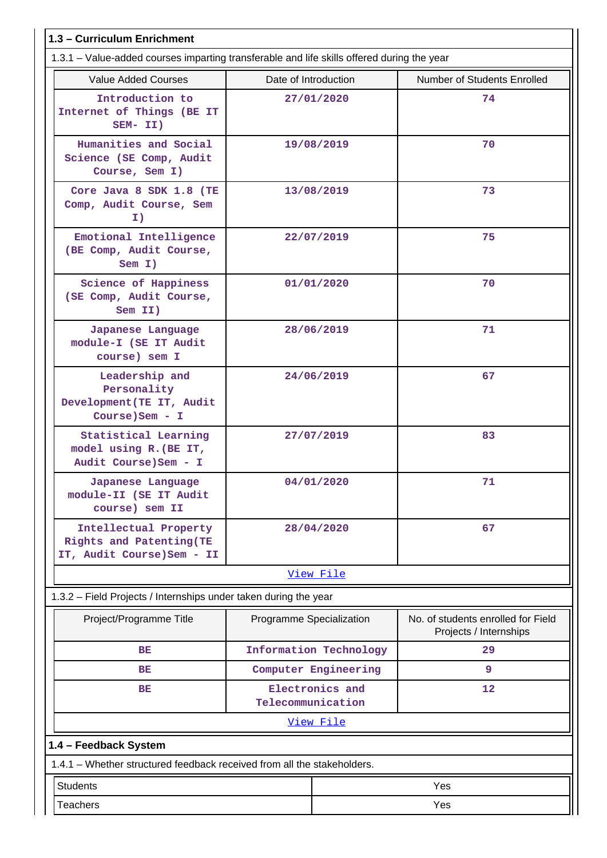| 1.3 - Curriculum Enrichment                                                                |                          |                        |                                                              |
|--------------------------------------------------------------------------------------------|--------------------------|------------------------|--------------------------------------------------------------|
| 1.3.1 – Value-added courses imparting transferable and life skills offered during the year |                          |                        |                                                              |
| <b>Value Added Courses</b>                                                                 | Date of Introduction     |                        | Number of Students Enrolled                                  |
| Introduction to<br>Internet of Things (BE IT<br>SEM- II)                                   |                          | 27/01/2020             | 74                                                           |
| Humanities and Social<br>Science (SE Comp, Audit<br>Course, Sem I)                         |                          | 19/08/2019             | 70                                                           |
| Core Java 8 SDK 1.8 (TE<br>Comp, Audit Course, Sem<br>I)                                   |                          | 13/08/2019             | 73                                                           |
| Emotional Intelligence<br>(BE Comp, Audit Course,<br>Sem I)                                |                          | 22/07/2019             | 75                                                           |
| Science of Happiness<br>(SE Comp, Audit Course,<br>Sem II)                                 |                          | 01/01/2020             | 70                                                           |
| Japanese Language<br>module-I (SE IT Audit<br>course) sem I                                |                          | 28/06/2019             | 71                                                           |
| Leadership and<br>Personality<br>Development (TE IT, Audit<br>Course) Sem - I              |                          | 24/06/2019             | 67                                                           |
| Statistical Learning<br>model using R. (BE IT,<br>Audit Course) Sem - I                    |                          | 27/07/2019             | 83                                                           |
| Japanese Language<br>module-II (SE IT Audit<br>course) sem II                              |                          | 04/01/2020             | 71                                                           |
| Intellectual Property<br>Rights and Patenting (TE<br>IT, Audit Course) Sem - II            |                          | 28/04/2020             | 67                                                           |
|                                                                                            |                          | View File              |                                                              |
| 1.3.2 - Field Projects / Internships under taken during the year                           |                          |                        |                                                              |
| Project/Programme Title                                                                    | Programme Specialization |                        | No. of students enrolled for Field<br>Projects / Internships |
| BE                                                                                         |                          | Information Technology | 29                                                           |
| BE                                                                                         |                          | Computer Engineering   | 9                                                            |
| <b>BE</b>                                                                                  | Telecommunication        | Electronics and        | 12                                                           |
|                                                                                            |                          | View File              |                                                              |
| 1.4 - Feedback System                                                                      |                          |                        |                                                              |
| 1.4.1 – Whether structured feedback received from all the stakeholders.                    |                          |                        |                                                              |
| <b>Students</b><br>Yes                                                                     |                          |                        |                                                              |
| Yes<br><b>Teachers</b>                                                                     |                          |                        |                                                              |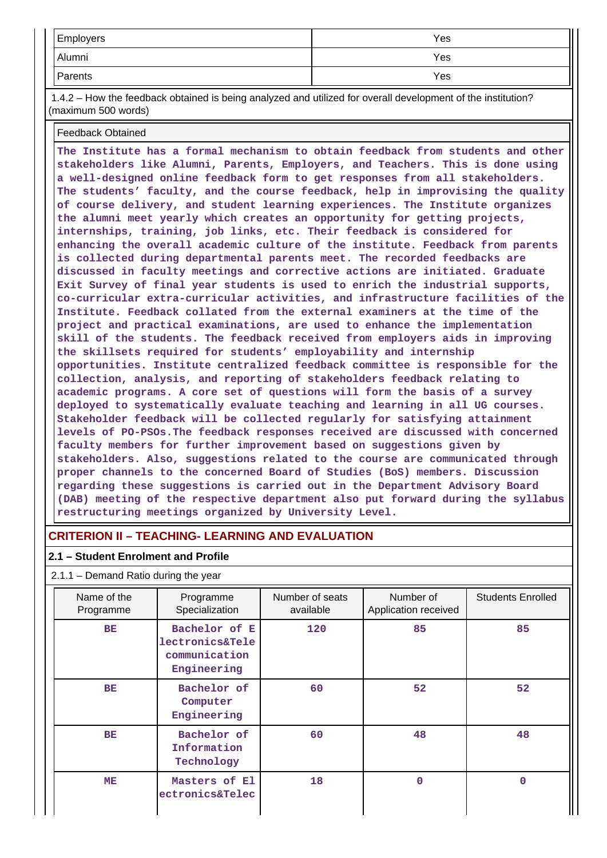| Employers | Yes |
|-----------|-----|
| Alumni    | Yes |
| Parents   | Yes |

 1.4.2 – How the feedback obtained is being analyzed and utilized for overall development of the institution? (maximum 500 words)

#### Feedback Obtained

**The Institute has a formal mechanism to obtain feedback from students and other stakeholders like Alumni, Parents, Employers, and Teachers. This is done using a well-designed online feedback form to get responses from all stakeholders. The students' faculty, and the course feedback, help in improvising the quality of course delivery, and student learning experiences. The Institute organizes the alumni meet yearly which creates an opportunity for getting projects, internships, training, job links, etc. Their feedback is considered for enhancing the overall academic culture of the institute. Feedback from parents is collected during departmental parents meet. The recorded feedbacks are discussed in faculty meetings and corrective actions are initiated. Graduate Exit Survey of final year students is used to enrich the industrial supports, co-curricular extra-curricular activities, and infrastructure facilities of the Institute. Feedback collated from the external examiners at the time of the project and practical examinations, are used to enhance the implementation skill of the students. The feedback received from employers aids in improving the skillsets required for students' employability and internship opportunities. Institute centralized feedback committee is responsible for the collection, analysis, and reporting of stakeholders feedback relating to academic programs. A core set of questions will form the basis of a survey deployed to systematically evaluate teaching and learning in all UG courses. Stakeholder feedback will be collected regularly for satisfying attainment levels of PO-PSOs.The feedback responses received are discussed with concerned faculty members for further improvement based on suggestions given by stakeholders. Also, suggestions related to the course are communicated through proper channels to the concerned Board of Studies (BoS) members. Discussion regarding these suggestions is carried out in the Department Advisory Board (DAB) meeting of the respective department also put forward during the syllabus restructuring meetings organized by University Level.**

## **CRITERION II – TEACHING- LEARNING AND EVALUATION**

#### **2.1 – Student Enrolment and Profile**

#### 2.1.1 – Demand Ratio during the year

| Name of the<br>Programme | Programme<br>Specialization                                                 | Number of seats<br>available | Number of<br>Application received | <b>Students Enrolled</b> |
|--------------------------|-----------------------------------------------------------------------------|------------------------------|-----------------------------------|--------------------------|
| BE                       | Bachelor of E<br><b>lectronics&amp;Tele</b><br>communication<br>Engineering | 120                          | 85                                | 85                       |
| BE                       | Bachelor of<br>Computer<br>Engineering                                      | 60                           | 52                                | 52                       |
| <b>BE</b>                | Bachelor of<br>Information<br>Technology                                    | 60                           | 48                                | 48                       |
| ME                       | Masters of El<br>ectronics&Telec                                            | 18                           | 0                                 | $\Omega$                 |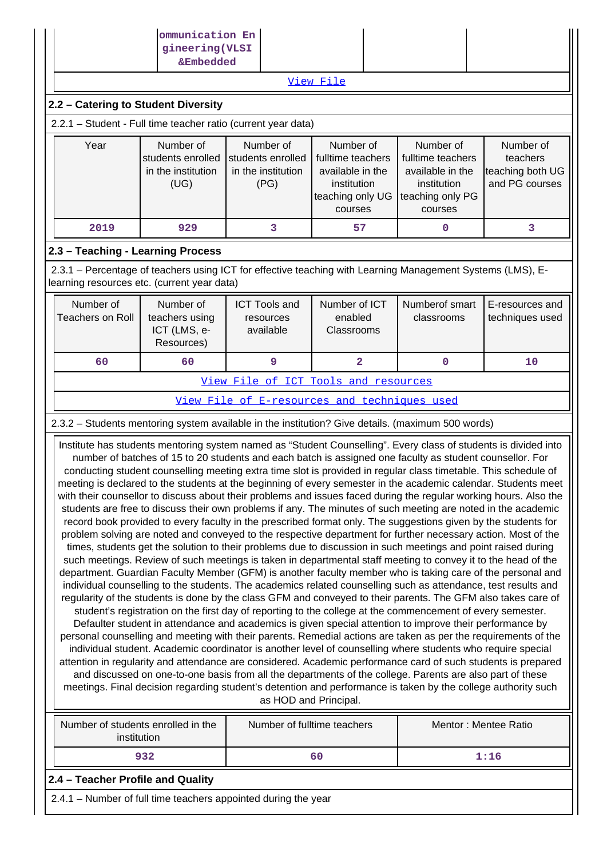| ommunication En<br>gineering (VLSI                                                                                                                                     |                                                                                                                                                                                                                                                                                                                                                                                                                                                                                                                                                                                                                                                                                                                                                                                                                                                                                                                                                                                                                                                                                                                                                                                                                                                                                                                                                                                                                                                                                                                                                                                                                                                                                                                                                                                                                                                                                                                                                                                                                                                                                                                                                                                                                                                                                                                                                                                                                                             |                                                              |                                                                                                  |  |                                                                                                  |                                                             |  |  |  |  |
|------------------------------------------------------------------------------------------------------------------------------------------------------------------------|---------------------------------------------------------------------------------------------------------------------------------------------------------------------------------------------------------------------------------------------------------------------------------------------------------------------------------------------------------------------------------------------------------------------------------------------------------------------------------------------------------------------------------------------------------------------------------------------------------------------------------------------------------------------------------------------------------------------------------------------------------------------------------------------------------------------------------------------------------------------------------------------------------------------------------------------------------------------------------------------------------------------------------------------------------------------------------------------------------------------------------------------------------------------------------------------------------------------------------------------------------------------------------------------------------------------------------------------------------------------------------------------------------------------------------------------------------------------------------------------------------------------------------------------------------------------------------------------------------------------------------------------------------------------------------------------------------------------------------------------------------------------------------------------------------------------------------------------------------------------------------------------------------------------------------------------------------------------------------------------------------------------------------------------------------------------------------------------------------------------------------------------------------------------------------------------------------------------------------------------------------------------------------------------------------------------------------------------------------------------------------------------------------------------------------------------|--------------------------------------------------------------|--------------------------------------------------------------------------------------------------|--|--------------------------------------------------------------------------------------------------|-------------------------------------------------------------|--|--|--|--|
|                                                                                                                                                                        | &Embedded                                                                                                                                                                                                                                                                                                                                                                                                                                                                                                                                                                                                                                                                                                                                                                                                                                                                                                                                                                                                                                                                                                                                                                                                                                                                                                                                                                                                                                                                                                                                                                                                                                                                                                                                                                                                                                                                                                                                                                                                                                                                                                                                                                                                                                                                                                                                                                                                                                   |                                                              | View File                                                                                        |  |                                                                                                  |                                                             |  |  |  |  |
| 2.2 - Catering to Student Diversity                                                                                                                                    |                                                                                                                                                                                                                                                                                                                                                                                                                                                                                                                                                                                                                                                                                                                                                                                                                                                                                                                                                                                                                                                                                                                                                                                                                                                                                                                                                                                                                                                                                                                                                                                                                                                                                                                                                                                                                                                                                                                                                                                                                                                                                                                                                                                                                                                                                                                                                                                                                                             |                                                              |                                                                                                  |  |                                                                                                  |                                                             |  |  |  |  |
|                                                                                                                                                                        | 2.2.1 - Student - Full time teacher ratio (current year data)                                                                                                                                                                                                                                                                                                                                                                                                                                                                                                                                                                                                                                                                                                                                                                                                                                                                                                                                                                                                                                                                                                                                                                                                                                                                                                                                                                                                                                                                                                                                                                                                                                                                                                                                                                                                                                                                                                                                                                                                                                                                                                                                                                                                                                                                                                                                                                               |                                                              |                                                                                                  |  |                                                                                                  |                                                             |  |  |  |  |
| Year                                                                                                                                                                   | Number of<br>students enrolled<br>in the institution<br>(UG)                                                                                                                                                                                                                                                                                                                                                                                                                                                                                                                                                                                                                                                                                                                                                                                                                                                                                                                                                                                                                                                                                                                                                                                                                                                                                                                                                                                                                                                                                                                                                                                                                                                                                                                                                                                                                                                                                                                                                                                                                                                                                                                                                                                                                                                                                                                                                                                | Number of<br>students enrolled<br>in the institution<br>(PG) | Number of<br>fulltime teachers<br>available in the<br>institution<br>teaching only UG<br>courses |  | Number of<br>fulltime teachers<br>available in the<br>institution<br>teaching only PG<br>courses | Number of<br>teachers<br>teaching both UG<br>and PG courses |  |  |  |  |
| 2019                                                                                                                                                                   | 929                                                                                                                                                                                                                                                                                                                                                                                                                                                                                                                                                                                                                                                                                                                                                                                                                                                                                                                                                                                                                                                                                                                                                                                                                                                                                                                                                                                                                                                                                                                                                                                                                                                                                                                                                                                                                                                                                                                                                                                                                                                                                                                                                                                                                                                                                                                                                                                                                                         | 3                                                            | 57                                                                                               |  | $\mathbf 0$                                                                                      | 3                                                           |  |  |  |  |
| 2.3 - Teaching - Learning Process                                                                                                                                      |                                                                                                                                                                                                                                                                                                                                                                                                                                                                                                                                                                                                                                                                                                                                                                                                                                                                                                                                                                                                                                                                                                                                                                                                                                                                                                                                                                                                                                                                                                                                                                                                                                                                                                                                                                                                                                                                                                                                                                                                                                                                                                                                                                                                                                                                                                                                                                                                                                             |                                                              |                                                                                                  |  |                                                                                                  |                                                             |  |  |  |  |
| 2.3.1 – Percentage of teachers using ICT for effective teaching with Learning Management Systems (LMS), E-<br>learning resources etc. (current year data)<br>Number of | Number of                                                                                                                                                                                                                                                                                                                                                                                                                                                                                                                                                                                                                                                                                                                                                                                                                                                                                                                                                                                                                                                                                                                                                                                                                                                                                                                                                                                                                                                                                                                                                                                                                                                                                                                                                                                                                                                                                                                                                                                                                                                                                                                                                                                                                                                                                                                                                                                                                                   | <b>ICT Tools and</b>                                         | Number of ICT                                                                                    |  | Numberof smart                                                                                   | E-resources and                                             |  |  |  |  |
| <b>Teachers on Roll</b>                                                                                                                                                | teachers using<br>ICT (LMS, e-<br>Resources)                                                                                                                                                                                                                                                                                                                                                                                                                                                                                                                                                                                                                                                                                                                                                                                                                                                                                                                                                                                                                                                                                                                                                                                                                                                                                                                                                                                                                                                                                                                                                                                                                                                                                                                                                                                                                                                                                                                                                                                                                                                                                                                                                                                                                                                                                                                                                                                                | resources<br>available                                       | enabled<br>Classrooms                                                                            |  | classrooms                                                                                       | techniques used                                             |  |  |  |  |
| 9<br>$\overline{\mathbf{2}}$<br>60<br>60<br>0                                                                                                                          |                                                                                                                                                                                                                                                                                                                                                                                                                                                                                                                                                                                                                                                                                                                                                                                                                                                                                                                                                                                                                                                                                                                                                                                                                                                                                                                                                                                                                                                                                                                                                                                                                                                                                                                                                                                                                                                                                                                                                                                                                                                                                                                                                                                                                                                                                                                                                                                                                                             |                                                              |                                                                                                  |  |                                                                                                  |                                                             |  |  |  |  |
|                                                                                                                                                                        | View File of ICT Tools and resources                                                                                                                                                                                                                                                                                                                                                                                                                                                                                                                                                                                                                                                                                                                                                                                                                                                                                                                                                                                                                                                                                                                                                                                                                                                                                                                                                                                                                                                                                                                                                                                                                                                                                                                                                                                                                                                                                                                                                                                                                                                                                                                                                                                                                                                                                                                                                                                                        |                                                              |                                                                                                  |  |                                                                                                  |                                                             |  |  |  |  |
|                                                                                                                                                                        |                                                                                                                                                                                                                                                                                                                                                                                                                                                                                                                                                                                                                                                                                                                                                                                                                                                                                                                                                                                                                                                                                                                                                                                                                                                                                                                                                                                                                                                                                                                                                                                                                                                                                                                                                                                                                                                                                                                                                                                                                                                                                                                                                                                                                                                                                                                                                                                                                                             | View File of E-resources and techniques used                 |                                                                                                  |  |                                                                                                  |                                                             |  |  |  |  |
|                                                                                                                                                                        |                                                                                                                                                                                                                                                                                                                                                                                                                                                                                                                                                                                                                                                                                                                                                                                                                                                                                                                                                                                                                                                                                                                                                                                                                                                                                                                                                                                                                                                                                                                                                                                                                                                                                                                                                                                                                                                                                                                                                                                                                                                                                                                                                                                                                                                                                                                                                                                                                                             |                                                              |                                                                                                  |  |                                                                                                  |                                                             |  |  |  |  |
|                                                                                                                                                                        | 2.3.2 - Students mentoring system available in the institution? Give details. (maximum 500 words)<br>Institute has students mentoring system named as "Student Counselling". Every class of students is divided into<br>number of batches of 15 to 20 students and each batch is assigned one faculty as student counsellor. For<br>conducting student counselling meeting extra time slot is provided in regular class timetable. This schedule of<br>meeting is declared to the students at the beginning of every semester in the academic calendar. Students meet<br>with their counsellor to discuss about their problems and issues faced during the regular working hours. Also the<br>students are free to discuss their own problems if any. The minutes of such meeting are noted in the academic<br>record book provided to every faculty in the prescribed format only. The suggestions given by the students for<br>problem solving are noted and conveyed to the respective department for further necessary action. Most of the<br>times, students get the solution to their problems due to discussion in such meetings and point raised during<br>such meetings. Review of such meetings is taken in departmental staff meeting to convey it to the head of the<br>department. Guardian Faculty Member (GFM) is another faculty member who is taking care of the personal and<br>individual counselling to the students. The academics related counselling such as attendance, test results and<br>regularity of the students is done by the class GFM and conveyed to their parents. The GFM also takes care of<br>student's registration on the first day of reporting to the college at the commencement of every semester.<br>Defaulter student in attendance and academics is given special attention to improve their performance by<br>personal counselling and meeting with their parents. Remedial actions are taken as per the requirements of the<br>individual student. Academic coordinator is another level of counselling where students who require special<br>attention in regularity and attendance are considered. Academic performance card of such students is prepared<br>and discussed on one-to-one basis from all the departments of the college. Parents are also part of these<br>meetings. Final decision regarding student's detention and performance is taken by the college authority such |                                                              |                                                                                                  |  |                                                                                                  |                                                             |  |  |  |  |
|                                                                                                                                                                        | Number of students enrolled in the<br>institution                                                                                                                                                                                                                                                                                                                                                                                                                                                                                                                                                                                                                                                                                                                                                                                                                                                                                                                                                                                                                                                                                                                                                                                                                                                                                                                                                                                                                                                                                                                                                                                                                                                                                                                                                                                                                                                                                                                                                                                                                                                                                                                                                                                                                                                                                                                                                                                           | Number of fulltime teachers                                  |                                                                                                  |  |                                                                                                  | Mentor: Mentee Ratio                                        |  |  |  |  |
|                                                                                                                                                                        | 932                                                                                                                                                                                                                                                                                                                                                                                                                                                                                                                                                                                                                                                                                                                                                                                                                                                                                                                                                                                                                                                                                                                                                                                                                                                                                                                                                                                                                                                                                                                                                                                                                                                                                                                                                                                                                                                                                                                                                                                                                                                                                                                                                                                                                                                                                                                                                                                                                                         |                                                              | 60                                                                                               |  |                                                                                                  | 1:16                                                        |  |  |  |  |
| 2.4 - Teacher Profile and Quality                                                                                                                                      |                                                                                                                                                                                                                                                                                                                                                                                                                                                                                                                                                                                                                                                                                                                                                                                                                                                                                                                                                                                                                                                                                                                                                                                                                                                                                                                                                                                                                                                                                                                                                                                                                                                                                                                                                                                                                                                                                                                                                                                                                                                                                                                                                                                                                                                                                                                                                                                                                                             |                                                              |                                                                                                  |  |                                                                                                  |                                                             |  |  |  |  |
| 2.4.1 - Number of full time teachers appointed during the year                                                                                                         |                                                                                                                                                                                                                                                                                                                                                                                                                                                                                                                                                                                                                                                                                                                                                                                                                                                                                                                                                                                                                                                                                                                                                                                                                                                                                                                                                                                                                                                                                                                                                                                                                                                                                                                                                                                                                                                                                                                                                                                                                                                                                                                                                                                                                                                                                                                                                                                                                                             |                                                              |                                                                                                  |  |                                                                                                  |                                                             |  |  |  |  |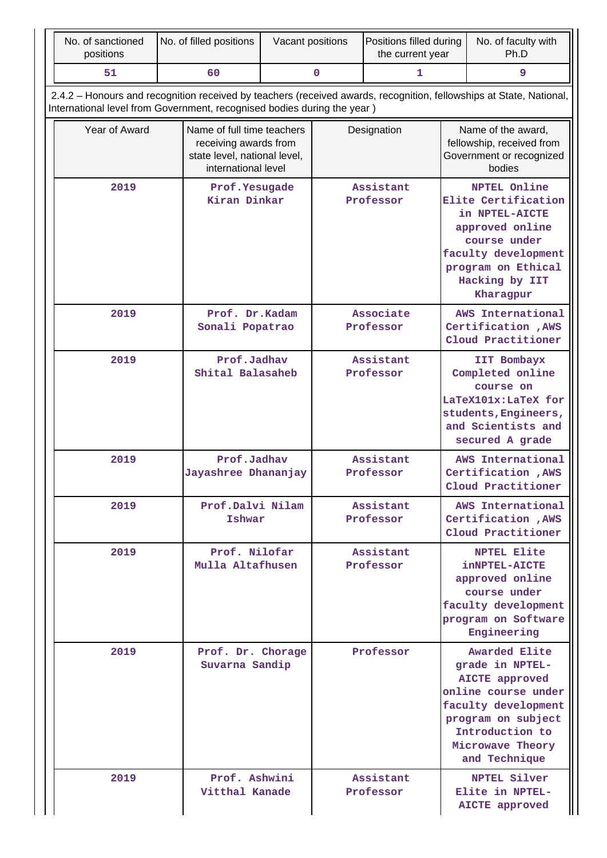| No. of sanctioned<br>positions                                                                                                                                                                 | No. of filled positions                                                                                    | Vacant positions |                                                                            | Positions filled during<br>the current year |                                                                                                                                                                                                                                                                          | No. of faculty with<br>Ph.D                                                                                                                                                           |  |
|------------------------------------------------------------------------------------------------------------------------------------------------------------------------------------------------|------------------------------------------------------------------------------------------------------------|------------------|----------------------------------------------------------------------------|---------------------------------------------|--------------------------------------------------------------------------------------------------------------------------------------------------------------------------------------------------------------------------------------------------------------------------|---------------------------------------------------------------------------------------------------------------------------------------------------------------------------------------|--|
| 51                                                                                                                                                                                             | 60                                                                                                         |                  | $\mathbf 0$                                                                | 1                                           | 9                                                                                                                                                                                                                                                                        |                                                                                                                                                                                       |  |
| 2.4.2 – Honours and recognition received by teachers (received awards, recognition, fellowships at State, National,<br>International level from Government, recognised bodies during the year) |                                                                                                            |                  |                                                                            |                                             |                                                                                                                                                                                                                                                                          |                                                                                                                                                                                       |  |
| Year of Award                                                                                                                                                                                  | Name of full time teachers<br>receiving awards from<br>state level, national level,<br>international level | Designation      |                                                                            |                                             |                                                                                                                                                                                                                                                                          | Name of the award,<br>fellowship, received from<br>Government or recognized<br>bodies                                                                                                 |  |
| 2019                                                                                                                                                                                           | Prof. Yesugade<br>Kiran Dinkar                                                                             |                  |                                                                            | Assistant<br>Professor                      |                                                                                                                                                                                                                                                                          | <b>NPTEL Online</b><br>Elite Certification<br>in NPTEL-AICTE<br>approved online<br>course under<br>faculty development<br>program on Ethical<br>Hacking by IIT<br>Kharagpur           |  |
| 2019                                                                                                                                                                                           | Prof. Dr.Kadam<br>Sonali Popatrao                                                                          |                  |                                                                            | Associate<br>Professor                      |                                                                                                                                                                                                                                                                          | AWS International<br>Certification , AWS<br>Cloud Practitioner                                                                                                                        |  |
| 2019                                                                                                                                                                                           | Prof.Jadhav<br>Shital Balasaheb                                                                            |                  | Assistant<br>Professor<br>Assistant<br>Professor<br>Assistant<br>Professor |                                             | IIT Bombayx<br>Completed online<br>course on<br>LaTeX101x:LaTeX for<br>students, Engineers,<br>and Scientists and<br>secured A grade<br>AWS International<br>Certification , AWS<br>Cloud Practitioner<br>AWS International<br>Certification , AWS<br>Cloud Practitioner |                                                                                                                                                                                       |  |
| 2019                                                                                                                                                                                           | Prof.Jadhav<br>Jayashree Dhananjay                                                                         |                  |                                                                            |                                             |                                                                                                                                                                                                                                                                          |                                                                                                                                                                                       |  |
| 2019                                                                                                                                                                                           | Prof.Dalvi Nilam<br>Ishwar                                                                                 |                  |                                                                            |                                             |                                                                                                                                                                                                                                                                          |                                                                                                                                                                                       |  |
| 2019                                                                                                                                                                                           | Prof. Nilofar<br>Mulla Altafhusen                                                                          |                  |                                                                            | Assistant<br>Professor                      | <b>NPTEL Elite</b><br><b>inNPTEL-AICTE</b><br>approved online<br>course under<br>faculty development<br>program on Software<br>Engineering                                                                                                                               |                                                                                                                                                                                       |  |
| 2019                                                                                                                                                                                           | Prof. Dr. Chorage<br>Suvarna Sandip                                                                        |                  |                                                                            | Professor                                   |                                                                                                                                                                                                                                                                          | <b>Awarded Elite</b><br>grade in NPTEL-<br>AICTE approved<br>online course under<br>faculty development<br>program on subject<br>Introduction to<br>Microwave Theory<br>and Technique |  |
| 2019                                                                                                                                                                                           | Prof. Ashwini<br>Vitthal Kanade                                                                            |                  | Assistant<br>Professor                                                     |                                             | NPTEL Silver<br>Elite in NPTEL-<br>AICTE approved                                                                                                                                                                                                                        |                                                                                                                                                                                       |  |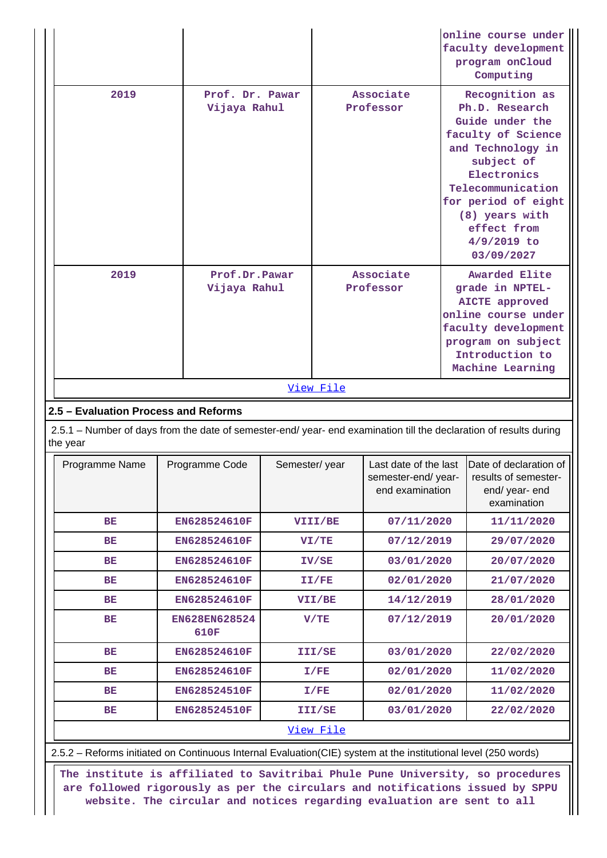|                                                                                                                                |                       |                               |           |                                                                |  | online course under<br>faculty development<br>program onCloud<br>Computing                                                                                                                                                              |
|--------------------------------------------------------------------------------------------------------------------------------|-----------------------|-------------------------------|-----------|----------------------------------------------------------------|--|-----------------------------------------------------------------------------------------------------------------------------------------------------------------------------------------------------------------------------------------|
| 2019                                                                                                                           | Prof. Dr. Pawar       | Vijaya Rahul                  |           | Associate<br>Professor                                         |  | Recognition as<br>Ph.D. Research<br>Guide under the<br>faculty of Science<br>and Technology in<br>subject of<br>Electronics<br>Telecommunication<br>for period of eight<br>(8) years with<br>effect from<br>$4/9/2019$ to<br>03/09/2027 |
| 2019                                                                                                                           |                       | Prof.Dr.Pawar<br>Vijaya Rahul |           | Associate<br>Professor                                         |  | Awarded Elite<br>grade in NPTEL-<br><b>AICTE</b> approved<br>online course under<br>faculty development<br>program on subject<br>Introduction to<br>Machine Learning                                                                    |
|                                                                                                                                |                       |                               | View File |                                                                |  |                                                                                                                                                                                                                                         |
| 2.5 - Evaluation Process and Reforms                                                                                           |                       |                               |           |                                                                |  |                                                                                                                                                                                                                                         |
| 2.5.1 - Number of days from the date of semester-end/ year- end examination till the declaration of results during<br>the year |                       |                               |           |                                                                |  |                                                                                                                                                                                                                                         |
| Programme Name                                                                                                                 | Programme Code        | Semester/year                 |           | Last date of the last<br>semester-end/year-<br>end examination |  | Date of declaration of<br>results of semester-<br>end/ year- end<br>examination                                                                                                                                                         |
| BE                                                                                                                             | EN628524610F          |                               | VIII/BE   | 07/11/2020                                                     |  | 11/11/2020                                                                                                                                                                                                                              |
| BE                                                                                                                             | EN628524610F          |                               | VI/TE     | 07/12/2019                                                     |  | 29/07/2020                                                                                                                                                                                                                              |
| BE                                                                                                                             | EN628524610F          |                               | IV/SE     | 03/01/2020                                                     |  | 20/07/2020                                                                                                                                                                                                                              |
| BЕ                                                                                                                             | EN628524610F          |                               | II/FE     | 02/01/2020                                                     |  | 21/07/2020                                                                                                                                                                                                                              |
| BЕ                                                                                                                             | EN628524610F          |                               | VII/BE    | 14/12/2019                                                     |  | 28/01/2020                                                                                                                                                                                                                              |
| BE                                                                                                                             | EN628EN628524<br>610F |                               | V/TE      | 07/12/2019                                                     |  | 20/01/2020                                                                                                                                                                                                                              |
| BE.                                                                                                                            | EN628524610F          |                               | III/SE    | 03/01/2020                                                     |  | 22/02/2020                                                                                                                                                                                                                              |
| <b>BE</b>                                                                                                                      | EN628524610F          |                               | I/FE      | 02/01/2020                                                     |  | 11/02/2020                                                                                                                                                                                                                              |
| BЕ                                                                                                                             | EN628524510F          |                               | I/FE      | 02/01/2020                                                     |  | 11/02/2020                                                                                                                                                                                                                              |
| BE                                                                                                                             | EN628524510F          |                               | III/SE    | 03/01/2020                                                     |  | 22/02/2020                                                                                                                                                                                                                              |
|                                                                                                                                |                       |                               | View File |                                                                |  |                                                                                                                                                                                                                                         |

 2.5.2 – Reforms initiated on Continuous Internal Evaluation(CIE) system at the institutional level (250 words) 

 **The institute is affiliated to Savitribai Phule Pune University, so procedures are followed rigorously as per the circulars and notifications issued by SPPU website. The circular and notices regarding evaluation are sent to all**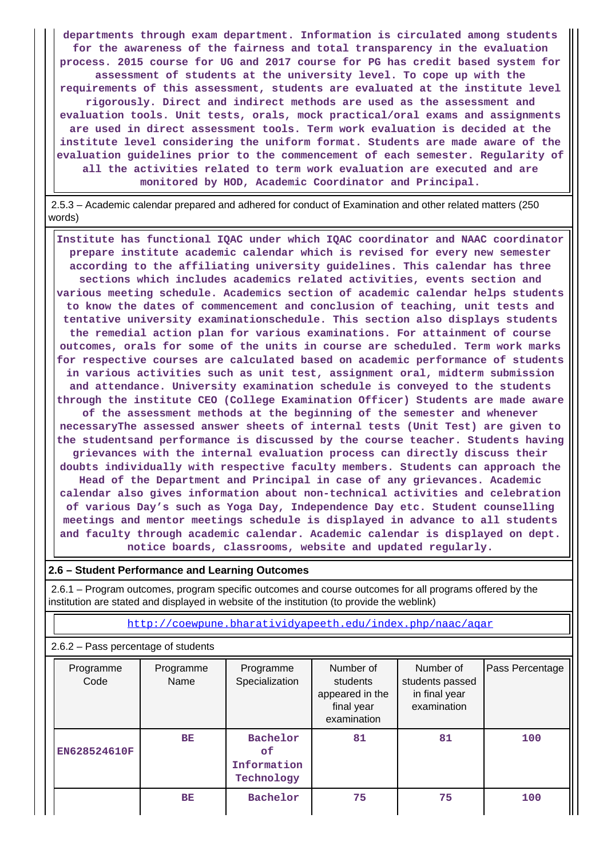**departments through exam department. Information is circulated among students for the awareness of the fairness and total transparency in the evaluation process. 2015 course for UG and 2017 course for PG has credit based system for assessment of students at the university level. To cope up with the requirements of this assessment, students are evaluated at the institute level rigorously. Direct and indirect methods are used as the assessment and evaluation tools. Unit tests, orals, mock practical/oral exams and assignments are used in direct assessment tools. Term work evaluation is decided at the institute level considering the uniform format. Students are made aware of the evaluation guidelines prior to the commencement of each semester. Regularity of all the activities related to term work evaluation are executed and are monitored by HOD, Academic Coordinator and Principal.**

 2.5.3 – Academic calendar prepared and adhered for conduct of Examination and other related matters (250 words)

 **Institute has functional IQAC under which IQAC coordinator and NAAC coordinator prepare institute academic calendar which is revised for every new semester according to the affiliating university guidelines. This calendar has three sections which includes academics related activities, events section and various meeting schedule. Academics section of academic calendar helps students to know the dates of commencement and conclusion of teaching, unit tests and tentative university examinationschedule. This section also displays students the remedial action plan for various examinations. For attainment of course outcomes, orals for some of the units in course are scheduled. Term work marks for respective courses are calculated based on academic performance of students in various activities such as unit test, assignment oral, midterm submission and attendance. University examination schedule is conveyed to the students through the institute CEO (College Examination Officer) Students are made aware of the assessment methods at the beginning of the semester and whenever necessaryThe assessed answer sheets of internal tests (Unit Test) are given to the studentsand performance is discussed by the course teacher. Students having grievances with the internal evaluation process can directly discuss their doubts individually with respective faculty members. Students can approach the Head of the Department and Principal in case of any grievances. Academic calendar also gives information about non-technical activities and celebration of various Day's such as Yoga Day, Independence Day etc. Student counselling meetings and mentor meetings schedule is displayed in advance to all students and faculty through academic calendar. Academic calendar is displayed on dept. notice boards, classrooms, website and updated regularly.**

#### **2.6 – Student Performance and Learning Outcomes**

 2.6.1 – Program outcomes, program specific outcomes and course outcomes for all programs offered by the institution are stated and displayed in website of the institution (to provide the weblink)

<http://coewpune.bharatividyapeeth.edu/index.php/naac/aqar>

#### 2.6.2 – Pass percentage of students

| Programme<br>Code | Programme<br>Name | Number of<br>Programme<br>Specialization<br>students<br>appeared in the<br>final year<br>examination |    | Number of<br>students passed<br>in final year<br>examination | Pass Percentage |
|-------------------|-------------------|------------------------------------------------------------------------------------------------------|----|--------------------------------------------------------------|-----------------|
| EN628524610F      | BE                | Bachelor<br>0f<br>Information<br>Technology                                                          | 81 | 81                                                           | 100             |
|                   | BE                | Bachelor                                                                                             | 75 | 75                                                           | 100             |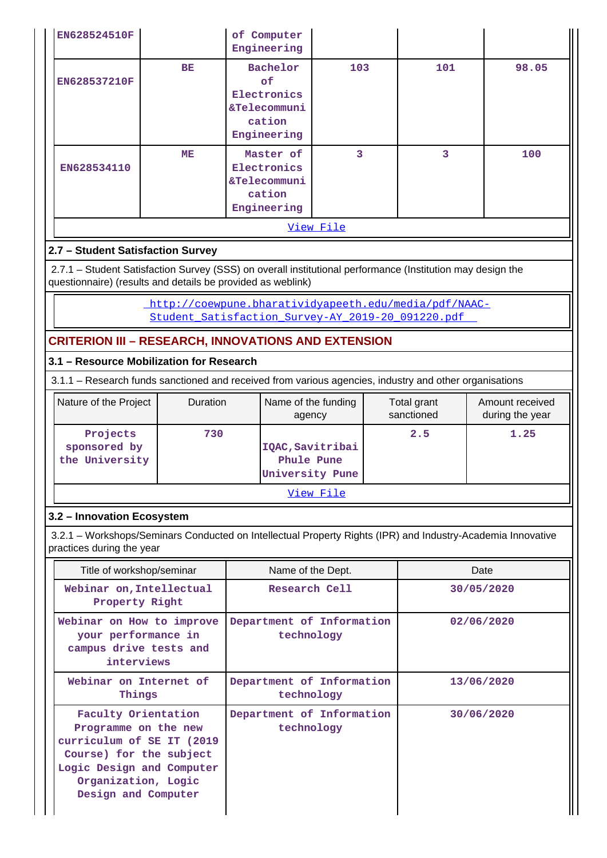| EN628524510F |    | of Computer<br>Engineering                                              |     |     |       |  |  |  |
|--------------|----|-------------------------------------------------------------------------|-----|-----|-------|--|--|--|
| EN628537210F | BE | Bachelor<br>of.<br>Electronics<br>&Telecommuni<br>cation<br>Engineering | 103 | 101 | 98.05 |  |  |  |
| EN628534110  | ME | Master of<br>Electronics<br>&Telecommuni<br>cation<br>Engineering       | 3   | 3   | 100   |  |  |  |
| View File    |    |                                                                         |     |     |       |  |  |  |

## **2.7 – Student Satisfaction Survey**

 2.7.1 – Student Satisfaction Survey (SSS) on overall institutional performance (Institution may design the questionnaire) (results and details be provided as weblink)

> [http://coewpune.bharatividyapeeth.edu/media/pdf/NAAC-](http://coewpune.bharatividyapeeth.edu/media/pdf/NAAC-Student_Satisfaction_Survey-AY_2019-20_091220.pdf)Student Satisfaction Survey-AY 2019-20 091220.pdf

## **CRITERION III – RESEARCH, INNOVATIONS AND EXTENSION**

## **3.1 – Resource Mobilization for Research**

3.1.1 – Research funds sanctioned and received from various agencies, industry and other organisations

| Nature of the Project                      | <b>Duration</b> | Name of the funding<br>agency                     | Total grant<br>sanctioned | Amount received<br>during the year |  |  |  |
|--------------------------------------------|-----------------|---------------------------------------------------|---------------------------|------------------------------------|--|--|--|
| Projects<br>sponsored by<br>the University | 730             | IQAC, Savitribai<br>Phule Pune<br>University Pune | 2.5                       | 1.25                               |  |  |  |
| View File                                  |                 |                                                   |                           |                                    |  |  |  |

### **3.2 – Innovation Ecosystem**

 3.2.1 – Workshops/Seminars Conducted on Intellectual Property Rights (IPR) and Industry-Academia Innovative practices during the year

| Title of workshop/seminar                                                                                                                                                      | Name of the Dept.                       | Date       |  |  |
|--------------------------------------------------------------------------------------------------------------------------------------------------------------------------------|-----------------------------------------|------------|--|--|
| Webinar on, Intellectual<br>Property Right                                                                                                                                     | Research Cell                           | 30/05/2020 |  |  |
| Webinar on How to improve<br>your performance in<br>campus drive tests and<br>interviews                                                                                       | Department of Information<br>technology | 02/06/2020 |  |  |
| Webinar on Internet of<br>Things                                                                                                                                               | Department of Information<br>technology | 13/06/2020 |  |  |
| Faculty Orientation<br>Programme on the new<br>curriculum of SE IT (2019<br>Course) for the subject<br>Logic Design and Computer<br>Organization, Logic<br>Design and Computer | Department of Information<br>technology | 30/06/2020 |  |  |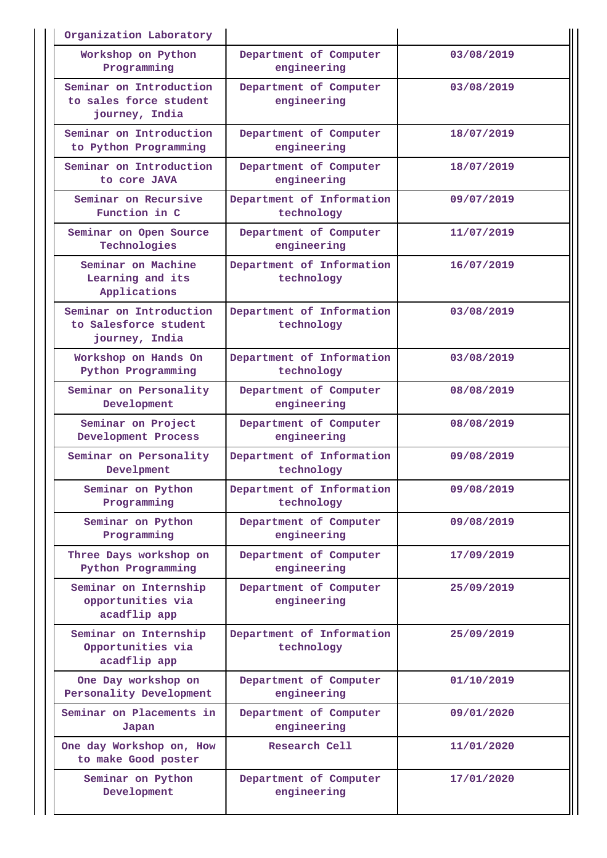| Organization Laboratory                                             |                                         |            |
|---------------------------------------------------------------------|-----------------------------------------|------------|
| Workshop on Python<br>Programming                                   | Department of Computer<br>engineering   | 03/08/2019 |
| Seminar on Introduction<br>to sales force student<br>journey, India | Department of Computer<br>engineering   | 03/08/2019 |
| Seminar on Introduction<br>to Python Programming                    | Department of Computer<br>engineering   | 18/07/2019 |
| Seminar on Introduction<br>to core JAVA                             | Department of Computer<br>engineering   | 18/07/2019 |
| Seminar on Recursive<br>Function in C                               | Department of Information<br>technology | 09/07/2019 |
| Seminar on Open Source<br>Technologies                              | Department of Computer<br>engineering   | 11/07/2019 |
| Seminar on Machine<br>Learning and its<br>Applications              | Department of Information<br>technology | 16/07/2019 |
| Seminar on Introduction<br>to Salesforce student<br>journey, India  | Department of Information<br>technology | 03/08/2019 |
| Workshop on Hands On<br>Python Programming                          | Department of Information<br>technology | 03/08/2019 |
| Seminar on Personality<br>Development                               | Department of Computer<br>engineering   | 08/08/2019 |
| Seminar on Project<br>Development Process                           | Department of Computer<br>engineering   | 08/08/2019 |
| Seminar on Personality<br>Develpment                                | Department of Information<br>technology | 09/08/2019 |
| Seminar on Python<br>Programming                                    | Department of Information<br>technology | 09/08/2019 |
| Seminar on Python<br>Programming                                    | Department of Computer<br>engineering   | 09/08/2019 |
| Three Days workshop on<br>Python Programming                        | Department of Computer<br>engineering   | 17/09/2019 |
| Seminar on Internship<br>opportunities via<br>acadflip app          | Department of Computer<br>engineering   | 25/09/2019 |
| Seminar on Internship<br>Opportunities via<br>acadflip app          | Department of Information<br>technology | 25/09/2019 |
| One Day workshop on<br>Personality Development                      | Department of Computer<br>engineering   | 01/10/2019 |
| Seminar on Placements in<br>Japan                                   | Department of Computer<br>engineering   | 09/01/2020 |
| One day Workshop on, How<br>to make Good poster                     | Research Cell                           | 11/01/2020 |
| Seminar on Python<br>Development                                    | Department of Computer<br>engineering   | 17/01/2020 |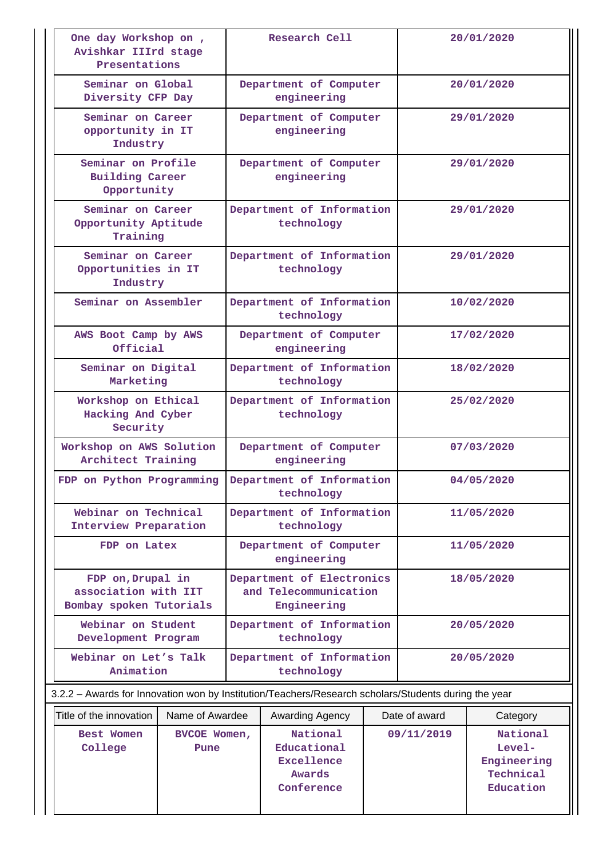| One day Workshop on,<br>Avishkar IIIrd stage<br>Presentations        |                 | Research Cell                                         |                                                                                                      |  | 20/01/2020    |                                                               |  |  |
|----------------------------------------------------------------------|-----------------|-------------------------------------------------------|------------------------------------------------------------------------------------------------------|--|---------------|---------------------------------------------------------------|--|--|
| Seminar on Global<br>Diversity CFP Day                               |                 |                                                       | Department of Computer<br>20/01/2020<br>engineering                                                  |  |               |                                                               |  |  |
| Seminar on Career<br>opportunity in IT<br>Industry                   |                 |                                                       | Department of Computer<br>engineering                                                                |  |               | 29/01/2020                                                    |  |  |
| Seminar on Profile<br><b>Building Career</b><br>Opportunity          |                 |                                                       | Department of Computer<br>engineering                                                                |  |               | 29/01/2020                                                    |  |  |
| Seminar on Career<br>Opportunity Aptitude<br>Training                |                 |                                                       | Department of Information<br>technology                                                              |  |               | 29/01/2020                                                    |  |  |
| Seminar on Career<br>Opportunities in IT<br>Industry                 |                 |                                                       | Department of Information<br>technology                                                              |  |               | 29/01/2020                                                    |  |  |
| Seminar on Assembler                                                 |                 |                                                       | Department of Information<br>technology                                                              |  |               | 10/02/2020                                                    |  |  |
| AWS Boot Camp by AWS<br>Official                                     |                 |                                                       | Department of Computer<br>engineering                                                                |  | 17/02/2020    |                                                               |  |  |
| Seminar on Digital<br>Marketing                                      |                 |                                                       | Department of Information<br>technology                                                              |  |               | 18/02/2020                                                    |  |  |
| Workshop on Ethical<br>Hacking And Cyber<br>Security                 |                 | Department of Information<br>25/02/2020<br>technology |                                                                                                      |  |               |                                                               |  |  |
| Workshop on AWS Solution<br>Architect Training                       |                 | Department of Computer<br>engineering                 |                                                                                                      |  |               | 07/03/2020                                                    |  |  |
| FDP on Python Programming                                            |                 | Department of Information<br>technology               |                                                                                                      |  |               | 04/05/2020                                                    |  |  |
| Webinar on Technical<br>Interview Preparation                        |                 | Department of Information<br>technology               |                                                                                                      |  | 11/05/2020    |                                                               |  |  |
| FDP on Latex                                                         |                 | Department of Computer<br>engineering                 |                                                                                                      |  | 11/05/2020    |                                                               |  |  |
| FDP on, Drupal in<br>association with IIT<br>Bombay spoken Tutorials |                 |                                                       | Department of Electronics<br>and Telecommunication<br>Engineering                                    |  | 18/05/2020    |                                                               |  |  |
| Webinar on Student<br>Development Program                            |                 |                                                       | Department of Information<br>technology                                                              |  |               | 20/05/2020                                                    |  |  |
| Webinar on Let's Talk<br>Animation                                   |                 |                                                       | Department of Information<br>technology                                                              |  |               | 20/05/2020                                                    |  |  |
|                                                                      |                 |                                                       | 3.2.2 - Awards for Innovation won by Institution/Teachers/Research scholars/Students during the year |  |               |                                                               |  |  |
| Title of the innovation                                              | Name of Awardee |                                                       | Awarding Agency                                                                                      |  | Date of award | Category                                                      |  |  |
| Best Women<br>BVCOE Women,<br>College<br>Pune                        |                 |                                                       | National<br>Educational<br><b>Excellence</b><br>Awards<br>Conference                                 |  | 09/11/2019    | National<br>$Level-$<br>Engineering<br>Technical<br>Education |  |  |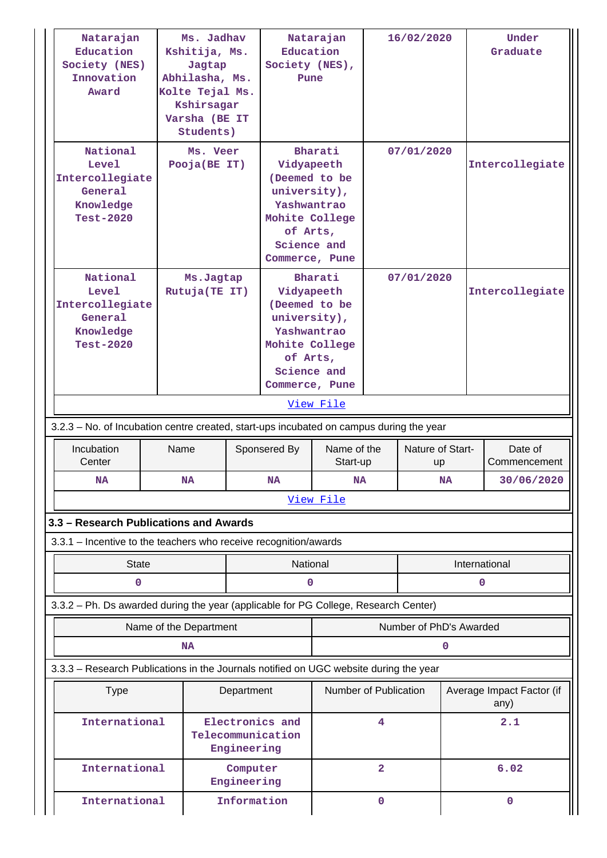| Natarajan<br>Education<br>Society (NES)<br>Innovation<br>Award                                                                                                              | Kshitija, Ms.<br>Jagtap<br>Abhilasha, Ms.<br>Kolte Tejal Ms.<br>Kshirsagar<br>Varsha (BE IT<br>Students)                                                                                      | Ms. Jadhav                                          | Education<br>Society (NES),<br>Pune                                                                                                  | Natarajan                       |                         | 16/02/2020              |           | Under<br>Graduate                 |
|-----------------------------------------------------------------------------------------------------------------------------------------------------------------------------|-----------------------------------------------------------------------------------------------------------------------------------------------------------------------------------------------|-----------------------------------------------------|--------------------------------------------------------------------------------------------------------------------------------------|---------------------------------|-------------------------|-------------------------|-----------|-----------------------------------|
| National<br>Level<br>Intercollegiate<br>General<br>Knowledge<br><b>Test-2020</b>                                                                                            | Ms. Veer<br>Pooja(BE IT)                                                                                                                                                                      |                                                     | Bharati<br>Vidyapeeth<br>(Deemed to be<br>university),<br>Yashwantrao<br>Mohite College<br>of Arts,<br>Science and<br>Commerce, Pune |                                 | 07/01/2020              |                         |           | Intercollegiate                   |
| National<br>Level<br>Intercollegiate<br>General<br>Knowledge<br><b>Test-2020</b><br>3.2.3 – No. of Incubation centre created, start-ups incubated on campus during the year | Bharati<br>07/01/2020<br>Ms.Jagtap<br>Rutuja(TE IT)<br>Vidyapeeth<br>(Deemed to be<br>university),<br>Yashwantrao<br>Mohite College<br>of Arts,<br>Science and<br>Commerce, Pune<br>View File |                                                     |                                                                                                                                      | Intercollegiate                 |                         |                         |           |                                   |
| Incubation                                                                                                                                                                  | Name                                                                                                                                                                                          |                                                     | Sponsered By                                                                                                                         | Name of the<br>Nature of Start- |                         |                         |           | Date of                           |
| Center<br>NA                                                                                                                                                                | <b>NA</b>                                                                                                                                                                                     |                                                     | <b>NA</b>                                                                                                                            | Start-up<br>NA                  |                         | up                      | <b>NA</b> | Commencement<br>30/06/2020        |
|                                                                                                                                                                             |                                                                                                                                                                                               |                                                     |                                                                                                                                      |                                 |                         |                         |           |                                   |
| View File                                                                                                                                                                   |                                                                                                                                                                                               |                                                     |                                                                                                                                      |                                 |                         |                         |           |                                   |
| 3.3 - Research Publications and Awards                                                                                                                                      |                                                                                                                                                                                               |                                                     |                                                                                                                                      |                                 |                         |                         |           |                                   |
| 3.3.1 - Incentive to the teachers who receive recognition/awards                                                                                                            |                                                                                                                                                                                               |                                                     |                                                                                                                                      |                                 |                         |                         |           |                                   |
| <b>State</b>                                                                                                                                                                |                                                                                                                                                                                               |                                                     | National                                                                                                                             |                                 |                         |                         |           | International                     |
| 0                                                                                                                                                                           |                                                                                                                                                                                               |                                                     | 0                                                                                                                                    |                                 |                         |                         |           | $\mathbf 0$                       |
| 3.3.2 - Ph. Ds awarded during the year (applicable for PG College, Research Center)                                                                                         |                                                                                                                                                                                               |                                                     |                                                                                                                                      |                                 |                         |                         |           |                                   |
|                                                                                                                                                                             | Name of the Department                                                                                                                                                                        |                                                     |                                                                                                                                      |                                 |                         | Number of PhD's Awarded |           |                                   |
|                                                                                                                                                                             | <b>NA</b>                                                                                                                                                                                     |                                                     |                                                                                                                                      |                                 |                         |                         | 0         |                                   |
| 3.3.3 - Research Publications in the Journals notified on UGC website during the year                                                                                       |                                                                                                                                                                                               |                                                     |                                                                                                                                      |                                 |                         |                         |           |                                   |
| <b>Type</b>                                                                                                                                                                 |                                                                                                                                                                                               | Department                                          |                                                                                                                                      | Number of Publication           |                         |                         |           | Average Impact Factor (if<br>any) |
| International                                                                                                                                                               |                                                                                                                                                                                               | Electronics and<br>Telecommunication<br>Engineering |                                                                                                                                      |                                 | 4                       |                         |           | 2.1                               |
| International                                                                                                                                                               |                                                                                                                                                                                               | Computer<br>Engineering                             |                                                                                                                                      |                                 | $\overline{\mathbf{2}}$ |                         |           | 6.02                              |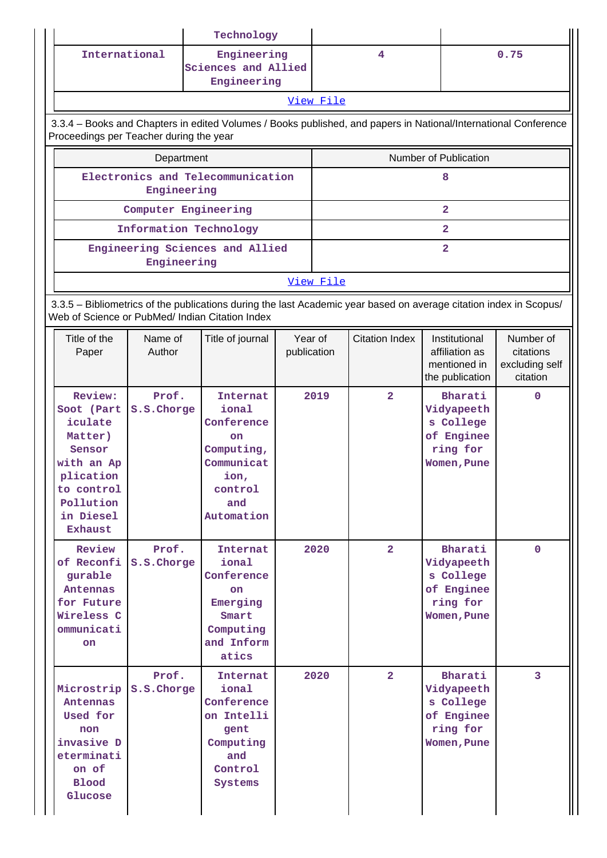|                                                                                                                                                            |                      |  | Technology                                                                                                |                        |           |                         |                                                                                                                    |                                                      |  |  |
|------------------------------------------------------------------------------------------------------------------------------------------------------------|----------------------|--|-----------------------------------------------------------------------------------------------------------|------------------------|-----------|-------------------------|--------------------------------------------------------------------------------------------------------------------|------------------------------------------------------|--|--|
|                                                                                                                                                            | International        |  | Engineering<br>Sciences and Allied<br>Engineering                                                         |                        |           | $\overline{\mathbf{4}}$ |                                                                                                                    | 0.75                                                 |  |  |
|                                                                                                                                                            |                      |  |                                                                                                           |                        | View File |                         |                                                                                                                    |                                                      |  |  |
| 3.3.4 - Books and Chapters in edited Volumes / Books published, and papers in National/International Conference<br>Proceedings per Teacher during the year |                      |  |                                                                                                           |                        |           |                         |                                                                                                                    |                                                      |  |  |
|                                                                                                                                                            | Department           |  |                                                                                                           |                        |           |                         | Number of Publication                                                                                              |                                                      |  |  |
|                                                                                                                                                            | Engineering          |  | Electronics and Telecommunication                                                                         |                        |           |                         | 8                                                                                                                  |                                                      |  |  |
|                                                                                                                                                            | Computer Engineering |  |                                                                                                           |                        |           |                         | $\overline{a}$                                                                                                     |                                                      |  |  |
|                                                                                                                                                            |                      |  | Information Technology                                                                                    |                        |           |                         | $\overline{a}$                                                                                                     |                                                      |  |  |
|                                                                                                                                                            | Engineering          |  | Engineering Sciences and Allied                                                                           |                        |           |                         | $\overline{a}$                                                                                                     |                                                      |  |  |
|                                                                                                                                                            |                      |  |                                                                                                           |                        | View File |                         |                                                                                                                    |                                                      |  |  |
| Web of Science or PubMed/ Indian Citation Index                                                                                                            |                      |  |                                                                                                           |                        |           |                         | 3.3.5 - Bibliometrics of the publications during the last Academic year based on average citation index in Scopus/ |                                                      |  |  |
| Title of the<br>Paper                                                                                                                                      | Name of<br>Author    |  | Title of journal                                                                                          | Year of<br>publication |           | <b>Citation Index</b>   | Institutional<br>affiliation as<br>mentioned in<br>the publication                                                 | Number of<br>citations<br>excluding self<br>citation |  |  |
| Review:<br>Soot (Part<br>iculate<br>Matter)<br>Sensor<br>with an Ap<br>plication<br>to control<br>Pollution<br>in Diesel<br>Exhaust                        | Prof.<br>S.S.Chorge  |  | Internat<br>ional<br>Conference<br>on<br>Computing,<br>Communicat<br>ion,<br>control<br>and<br>Automation |                        | 2019      | $\overline{2}$          | Bharati<br>Vidyapeeth<br>s College<br>of Enginee<br>ring for<br>Women, Pune                                        | $\Omega$                                             |  |  |
| Review<br>of Reconfi<br>gurable<br>Antennas<br>for Future<br>Wireless C<br>ommunicati<br>on.                                                               | Prof.<br>S.S.Chorge  |  | Internat<br>ional<br>Conference<br><b>on</b><br>Emerging<br>Smart<br>Computing<br>and Inform<br>atics     |                        | 2020      | $\overline{2}$          | Bharati<br>Vidyapeeth<br>s College<br>of Enginee<br>ring for<br>Women, Pune                                        | $\mathbf{0}$                                         |  |  |
| Microstrip<br>Antennas<br>Used for<br>non<br>invasive D<br>eterminati<br>on of<br><b>Blood</b><br>Glucose                                                  | Prof.<br>S.S.Chorge  |  | Internat<br>ional<br>Conference<br>on Intelli<br>gent<br>Computing<br>and<br>Control<br>Systems           |                        | 2020      | $\overline{2}$          | Bharati<br>Vidyapeeth<br>s College<br>of Enginee<br>ring for<br>Women, Pune                                        | $\overline{3}$                                       |  |  |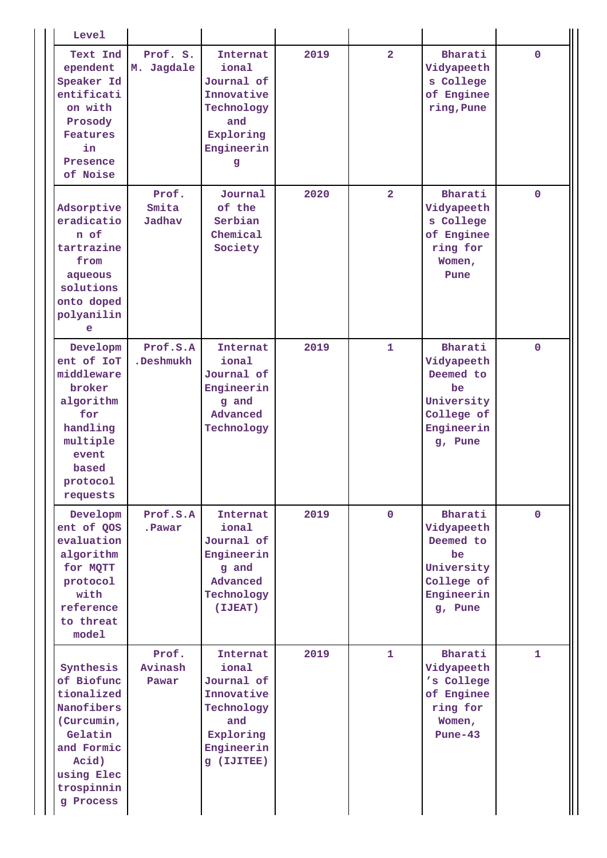| <b>Level</b>                                                                                                                                 |                           |                                                                                                             |      |                |                                                                                               |              |
|----------------------------------------------------------------------------------------------------------------------------------------------|---------------------------|-------------------------------------------------------------------------------------------------------------|------|----------------|-----------------------------------------------------------------------------------------------|--------------|
| Text Ind<br>ependent<br>Speaker Id<br>entificati<br>on with<br>Prosody<br><b>Features</b><br>in<br>Presence<br>of Noise                      | Prof. S.<br>M. Jagdale    | <b>Internat</b><br>ional<br>Journal of<br>Innovative<br>Technology<br>and<br>Exploring<br>Engineerin<br>g   | 2019 | $\overline{2}$ | Bharati<br>Vidyapeeth<br>s College<br>of Enginee<br>ring, Pune                                | $\mathbf{0}$ |
| Adsorptive<br>eradicatio<br>n of<br>tartrazine<br>from<br>aqueous<br>solutions<br>onto doped<br>polyanilin<br>e                              | Prof.<br>Smita<br>Jadhav  | Journal<br>of the<br>Serbian<br>Chemical<br>Society                                                         | 2020 | $\overline{2}$ | Bharati<br>Vidyapeeth<br>s College<br>of Enginee<br>ring for<br>Women,<br>Pune                | $\mathbf{0}$ |
| Developm<br>ent of IoT<br>middleware<br>broker<br>algorithm<br>for<br>handling<br>multiple<br>event<br>based<br>protocol<br>requests         | Prof.S.A<br>.Deshmukh     | Internat<br>ional<br>Journal of<br>Engineerin<br>g and<br>Advanced<br>Technology                            | 2019 | $\mathbf{1}$   | Bharati<br>Vidyapeeth<br>Deemed to<br>be<br>University<br>College of<br>Engineerin<br>g, Pune | $\mathbf{0}$ |
| Developm<br>ent of QOS<br>evaluation<br>algorithm<br>for MQTT<br>protocol<br>with<br>reference<br>to threat<br>model                         | Prof.S.A<br>.Pawar        | Internat<br>ional<br>Journal of<br>Engineerin<br>g and<br>Advanced<br>Technology<br>(IJEAT)                 | 2019 | $\mathbf{0}$   | Bharati<br>Vidyapeeth<br>Deemed to<br>be<br>University<br>College of<br>Engineerin<br>g, Pune | $\mathbf{0}$ |
| Synthesis<br>of Biofunc<br>tionalized<br>Nanofibers<br>(Curcumin,<br>Gelatin<br>and Formic<br>Acid)<br>using Elec<br>trospinnin<br>g Process | Prof.<br>Avinash<br>Pawar | Internat<br>ional<br>Journal of<br>Innovative<br>Technology<br>and<br>Exploring<br>Engineerin<br>g (IJITEE) | 2019 | $\mathbf{1}$   | Bharati<br>Vidyapeeth<br>'s College<br>of Enginee<br>ring for<br>Women,<br>$Pune-43$          | $\mathbf{1}$ |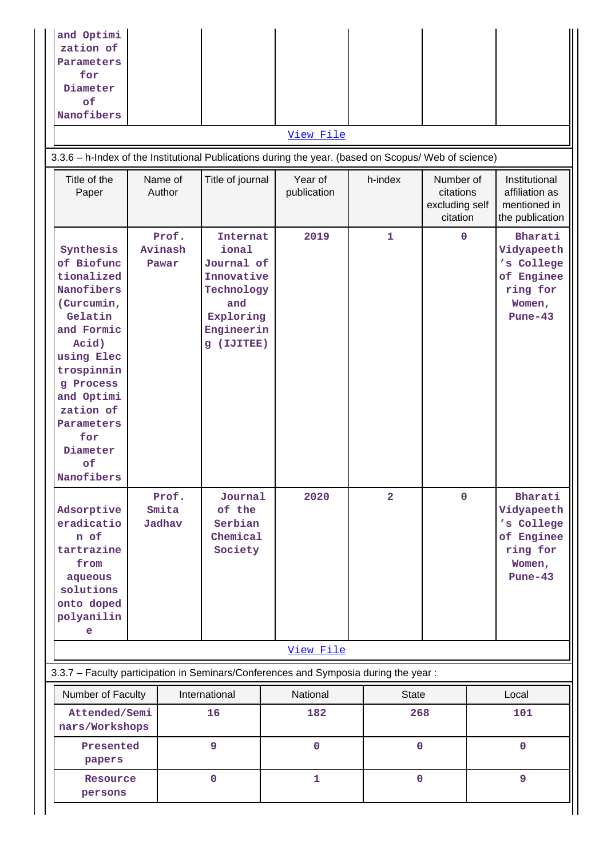| and Optimi<br>zation of<br>Parameters<br>for<br>Diameter<br>of<br>Nanofibers                                                                                                                                                 |                           |                                                                                                                       | View File<br>3.3.6 - h-Index of the Institutional Publications during the year. (based on Scopus/ Web of science) |                     |                                                      |                                                                                      |
|------------------------------------------------------------------------------------------------------------------------------------------------------------------------------------------------------------------------------|---------------------------|-----------------------------------------------------------------------------------------------------------------------|-------------------------------------------------------------------------------------------------------------------|---------------------|------------------------------------------------------|--------------------------------------------------------------------------------------|
| Title of the<br>Paper                                                                                                                                                                                                        | Name of<br>Author         | Title of journal                                                                                                      | Year of<br>publication                                                                                            | h-index             | Number of<br>citations<br>excluding self<br>citation | Institutional<br>affiliation as<br>mentioned in<br>the publication                   |
| Synthesis<br>of Biofunc<br>tionalized<br>Nanofibers<br>(Curcumin,<br>Gelatin<br>and Formic<br>Acid)<br>using Elec<br>trospinnin<br>g Process<br>and Optimi<br>zation of<br>Parameters<br>for<br>Diameter<br>of<br>Nanofibers | Prof.<br>Avinash<br>Pawar | <b>Internat</b><br>ional<br>Journal of<br>Innovative<br>Technology<br>and<br>Exploring<br>Engineerin<br>(IJITEE)<br>g | 2019                                                                                                              | $\mathbf{1}$        | $\mathbf 0$                                          | Bharati<br>Vidyapeeth<br>'s College<br>of Enginee<br>ring for<br>Women,<br>$Pune-43$ |
| Adsorptive<br>eradicatio<br>n of<br>tartrazine<br>from<br>aqueous<br>solutions<br>onto doped<br>polyanilin<br>e                                                                                                              | Prof.<br>Smita<br>Jadhav  | Journal<br>of the<br>Serbian<br>Chemical<br>Society                                                                   | 2020                                                                                                              | $\overline{2}$      | $\mathbf 0$                                          | Bharati<br>Vidyapeeth<br>'s College<br>of Enginee<br>ring for<br>Women,<br>$Pune-43$ |
|                                                                                                                                                                                                                              |                           |                                                                                                                       | View File                                                                                                         |                     |                                                      |                                                                                      |
|                                                                                                                                                                                                                              |                           |                                                                                                                       | 3.3.7 - Faculty participation in Seminars/Conferences and Symposia during the year:                               |                     |                                                      |                                                                                      |
| Number of Faculty<br>Attended/Semi<br>nars/Workshops                                                                                                                                                                         |                           | International<br>16                                                                                                   | National<br>182                                                                                                   | <b>State</b><br>268 |                                                      | Local<br>101                                                                         |
| Presented<br>papers                                                                                                                                                                                                          |                           | 9                                                                                                                     | $\mathbf 0$                                                                                                       | $\mathbf 0$         |                                                      | $\mathbf 0$                                                                          |
| Resource<br>persons                                                                                                                                                                                                          |                           | $\mathbf 0$                                                                                                           | $\mathbf{1}$                                                                                                      | $\mathbf{0}$        |                                                      | $\overline{9}$                                                                       |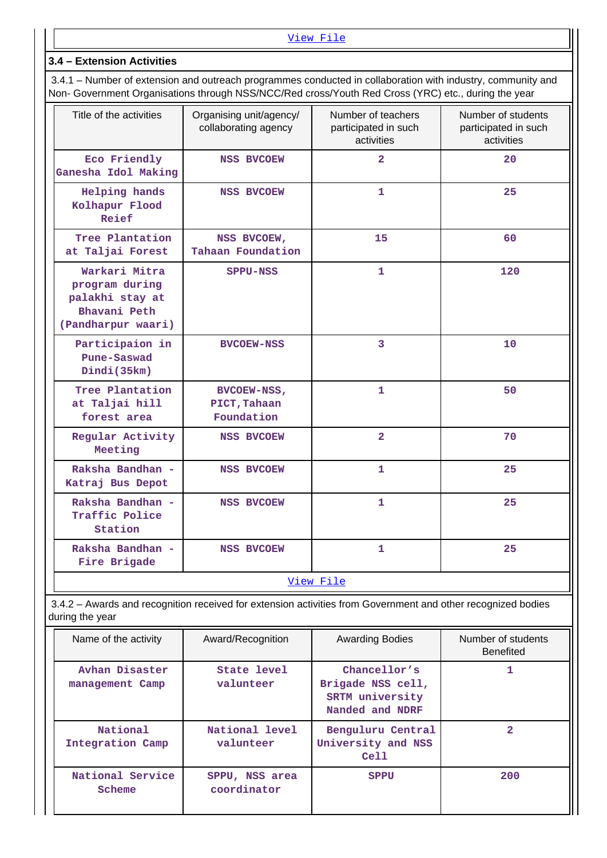## **3.4 – Extension Activities**

 3.4.1 – Number of extension and outreach programmes conducted in collaboration with industry, community and Non- Government Organisations through NSS/NCC/Red cross/Youth Red Cross (YRC) etc., during the year

| Title of the activities                                                                  | Organising unit/agency/<br>collaborating agency | Number of teachers<br>participated in such<br>activities | Number of students<br>participated in such<br>activities |
|------------------------------------------------------------------------------------------|-------------------------------------------------|----------------------------------------------------------|----------------------------------------------------------|
| Eco Friendly<br>Ganesha Idol Making                                                      | <b>NSS BVCOEW</b>                               | $\overline{2}$                                           | 20                                                       |
| Helping hands<br>Kolhapur Flood<br>Reief                                                 | <b>NSS BVCOEW</b>                               | $\mathbf{1}$                                             | 25                                                       |
| Tree Plantation<br>at Taljai Forest                                                      | NSS BVCOEW,<br>Tahaan Foundation                | 15                                                       | 60                                                       |
| Warkari Mitra<br>program during<br>palakhi stay at<br>Bhavani Peth<br>(Pandharpur waari) | SPPU-NSS                                        | $\mathbf{1}$                                             | 120                                                      |
| Participaion in<br>Pune-Saswad<br>Dindi(35km)                                            | <b>BVCOEW-NSS</b>                               | 3                                                        | 10                                                       |
| Tree Plantation<br>at Taljai hill<br>forest area                                         | BVCOEW-NSS,<br>PICT, Tahaan<br>Foundation       | $\mathbf{1}$                                             | 50                                                       |
| Regular Activity<br>Meeting                                                              | <b>NSS BVCOEW</b>                               | $\overline{2}$                                           | 70                                                       |
| Raksha Bandhan -<br>Katraj Bus Depot                                                     | <b>NSS BVCOEW</b>                               | $\mathbf{1}$                                             | 25                                                       |
| Raksha Bandhan -<br>Traffic Police<br>Station                                            | <b>NSS BVCOEW</b>                               | $\mathbf{1}$                                             | 25                                                       |
| Raksha Bandhan -<br>Fire Brigade                                                         | <b>NSS BVCOEW</b>                               | $\mathbf{1}$                                             | 25                                                       |
|                                                                                          |                                                 | View File                                                |                                                          |

 3.4.2 – Awards and recognition received for extension activities from Government and other recognized bodies during the year

| Name of the activity              | Award/Recognition             | <b>Awarding Bodies</b>                                                  | Number of students<br><b>Benefited</b> |
|-----------------------------------|-------------------------------|-------------------------------------------------------------------------|----------------------------------------|
| Avhan Disaster<br>management Camp | State level<br>valunteer      | Chancellor's<br>Brigade NSS cell,<br>SRTM university<br>Nanded and NDRF |                                        |
| National<br>Integration Camp      | National level<br>valunteer   | Benguluru Central<br>University and NSS<br>Cell                         |                                        |
| National Service<br>Scheme        | SPPU, NSS area<br>coordinator | <b>SPPU</b>                                                             | 200                                    |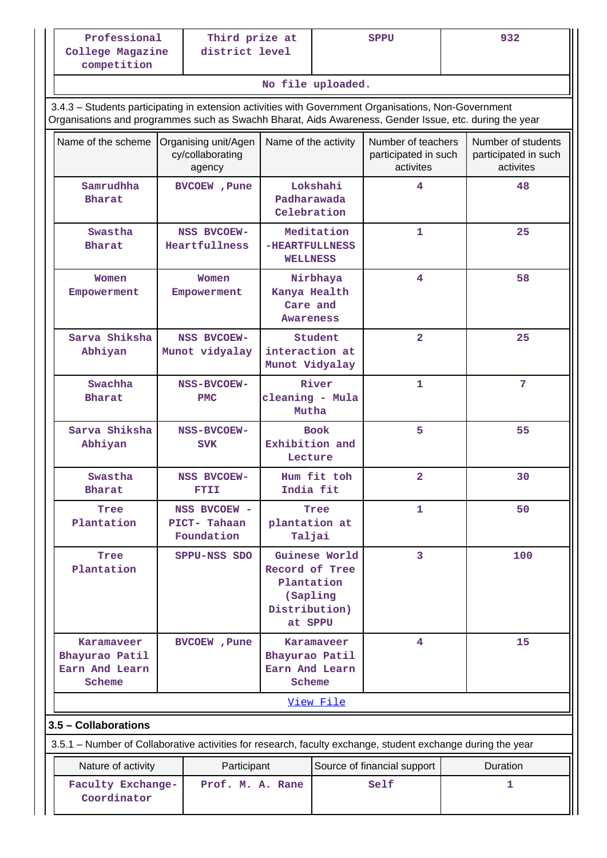## **No file uploaded.**

 3.4.3 – Students participating in extension activities with Government Organisations, Non-Government Organisations and programmes such as Swachh Bharat, Aids Awareness, Gender Issue, etc. during the year

| Name of the scheme                                                                                                                  | Organising unit/Agen<br>cy/collaborating<br>agency | Name of the activity                                                 |                                                                            | Number of teachers<br>participated in such<br>activites |   | Number of students<br>participated in such<br>activites |
|-------------------------------------------------------------------------------------------------------------------------------------|----------------------------------------------------|----------------------------------------------------------------------|----------------------------------------------------------------------------|---------------------------------------------------------|---|---------------------------------------------------------|
| Samrudhha<br><b>Bharat</b>                                                                                                          | BVCOEW, Pune                                       | Padharawada<br>Celebration                                           | Lokshahi                                                                   | 4                                                       |   | 48                                                      |
| Swastha<br><b>Bharat</b>                                                                                                            | <b>NSS BVCOEW-</b><br>Heartfullness                | -HEARTFULLNESS<br><b>WELLNESS</b>                                    | Meditation                                                                 | $\mathbf{1}$                                            |   | 25                                                      |
| Women<br>Empowerment                                                                                                                | Women<br>Empowerment                               | Kanya Health<br>Care and<br>Awareness                                | Nirbhaya                                                                   | 4                                                       |   | 58                                                      |
| Sarva Shiksha<br>Abhiyan                                                                                                            | <b>NSS BVCOEW-</b><br>Munot vidyalay               | interaction at<br>Munot Vidyalay                                     | Student                                                                    | $\overline{\mathbf{2}}$                                 |   | 25                                                      |
| Swachha<br><b>Bharat</b>                                                                                                            | <b>NSS-BVCOEW-</b><br><b>PMC</b>                   | cleaning - Mula<br>Mutha                                             | River                                                                      | $\mathbf{1}$                                            |   | $\overline{7}$                                          |
| Sarva Shiksha<br>Abhiyan                                                                                                            | <b>NSS-BVCOEW-</b><br><b>SVK</b>                   | Exhibition and<br>Lecture                                            | <b>Book</b>                                                                | 5                                                       |   | 55                                                      |
| Swastha<br><b>Bharat</b>                                                                                                            | <b>NSS BVCOEW-</b><br>ETIL                         | India fit                                                            | Hum fit toh                                                                | $\overline{2}$                                          |   | 30                                                      |
| Tree<br>Plantation                                                                                                                  | NSS BVCOEW -<br>PICT-Tahaan<br>Foundation          | plantation at<br>Taljai                                              | Tree                                                                       | $\mathbf{1}$                                            |   | 50                                                      |
| Tree<br>Plantation                                                                                                                  | SPPU-NSS SDO                                       | Record of Tree<br>Plantation<br>(Sapling<br>Distribution)<br>at SPPU | Guinese World                                                              | 3                                                       |   | 100                                                     |
| Karamaveer<br>Bhayurao Patil<br>Earn And Learn<br>Scheme                                                                            | BVCOEW, Pune                                       |                                                                      | $\overline{4}$<br>Karamaveer<br>Bhayurao Patil<br>Earn And Learn<br>Scheme |                                                         |   | 15                                                      |
|                                                                                                                                     |                                                    |                                                                      | View File                                                                  |                                                         |   |                                                         |
| 3.5 - Collaborations<br>3.5.1 – Number of Collaborative activities for research, faculty exchange, student exchange during the year |                                                    |                                                                      |                                                                            |                                                         |   |                                                         |
| Nature of activity                                                                                                                  | Participant                                        |                                                                      |                                                                            |                                                         |   | Duration                                                |
| Coordinator                                                                                                                         | Self<br>Faculty Exchange-<br>Prof. M. A. Rane      |                                                                      | Source of financial support                                                |                                                         | 1 |                                                         |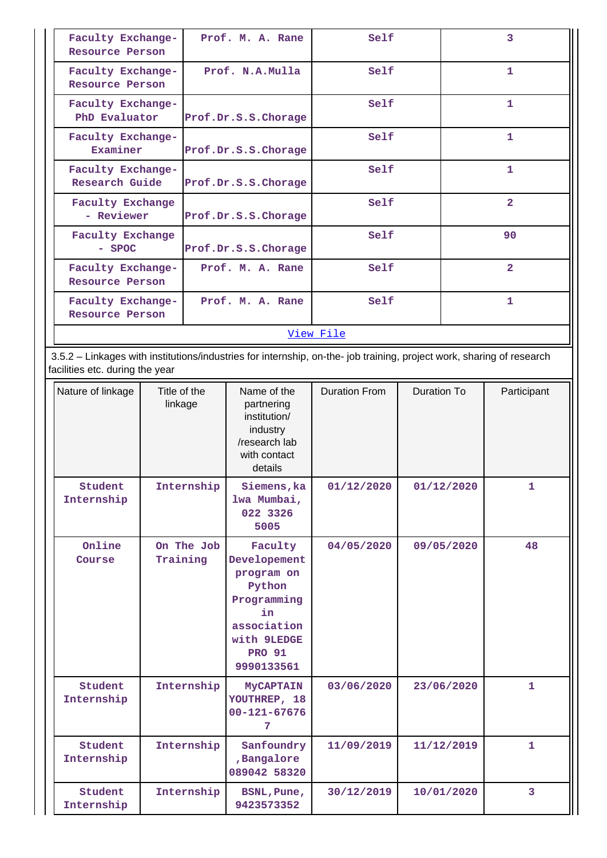| Faculty Exchange-<br>Resource Person  |              | Prof. M. A. Rane |                                                       | Self                                                                                                                  |             | 3            |                |
|---------------------------------------|--------------|------------------|-------------------------------------------------------|-----------------------------------------------------------------------------------------------------------------------|-------------|--------------|----------------|
| Faculty Exchange-<br>Resource Person  |              | Prof. N.A.Mulla  |                                                       | Self                                                                                                                  |             |              | $\mathbf{1}$   |
| Faculty Exchange-<br>PhD Evaluator    |              |                  | Prof.Dr.S.S.Chorage                                   | Self                                                                                                                  |             |              | $\mathbf{1}$   |
| Faculty Exchange-<br>Examiner         |              |                  | Prof.Dr.S.S.Chorage                                   | Self                                                                                                                  |             |              | $\mathbf{1}$   |
| Faculty Exchange-<br>Research Guide   |              |                  | Prof.Dr.S.S.Chorage                                   | Self                                                                                                                  |             | $\mathbf{1}$ |                |
| <b>Faculty Exchange</b><br>- Reviewer |              |                  | Prof.Dr.S.S.Chorage                                   | Self                                                                                                                  |             |              | $\overline{2}$ |
| <b>Faculty Exchange</b><br>$-$ SPOC   |              |                  | Prof.Dr.S.S.Chorage                                   | Self                                                                                                                  |             |              | 90             |
| Faculty Exchange-<br>Resource Person  |              |                  | Prof. M. A. Rane                                      | Self                                                                                                                  |             |              | $\overline{2}$ |
| Faculty Exchange-<br>Resource Person  |              |                  | Prof. M. A. Rane                                      | Self                                                                                                                  |             |              | $\mathbf{1}$   |
|                                       |              |                  |                                                       | View File                                                                                                             |             |              |                |
| facilities etc. during the year       |              |                  |                                                       | 3.5.2 - Linkages with institutions/industries for internship, on-the- job training, project work, sharing of research |             |              |                |
| Nature of linkage                     | Title of the | linkage          | Name of the<br>partnering<br>institution/<br>industry | Duration From                                                                                                         | Duration To |              | Participant    |

|                       |                        | 11 ISULUUU I <i>I</i><br>industry<br>/research lab<br>with contact<br>details                                                     |            |            |              |
|-----------------------|------------------------|-----------------------------------------------------------------------------------------------------------------------------------|------------|------------|--------------|
| Student<br>Internship | Internship             | Siemens, ka<br>lwa Mumbai,<br>022 3326<br>5005                                                                                    | 01/12/2020 | 01/12/2020 | $\mathbf{1}$ |
| Online<br>Course      | On The Job<br>Training | Faculty<br>Developement<br>program on<br>Python<br>Programming<br>in<br>association<br>with 9LEDGE<br><b>PRO 91</b><br>9990133561 | 04/05/2020 | 09/05/2020 | 48           |
| Student<br>Internship | Internship             | <b>MyCAPTAIN</b><br>YOUTHREP, 18<br>$00 - 121 - 67676$<br>7                                                                       | 03/06/2020 | 23/06/2020 | $\mathbf{1}$ |
| Student<br>Internship | Internship             | Sanfoundry<br>,Bangalore<br>089042 58320                                                                                          | 11/09/2019 | 11/12/2019 | $\mathbf{1}$ |
| Student<br>Internship | Internship             | BSNL, Pune,<br>9423573352                                                                                                         | 30/12/2019 | 10/01/2020 | 3            |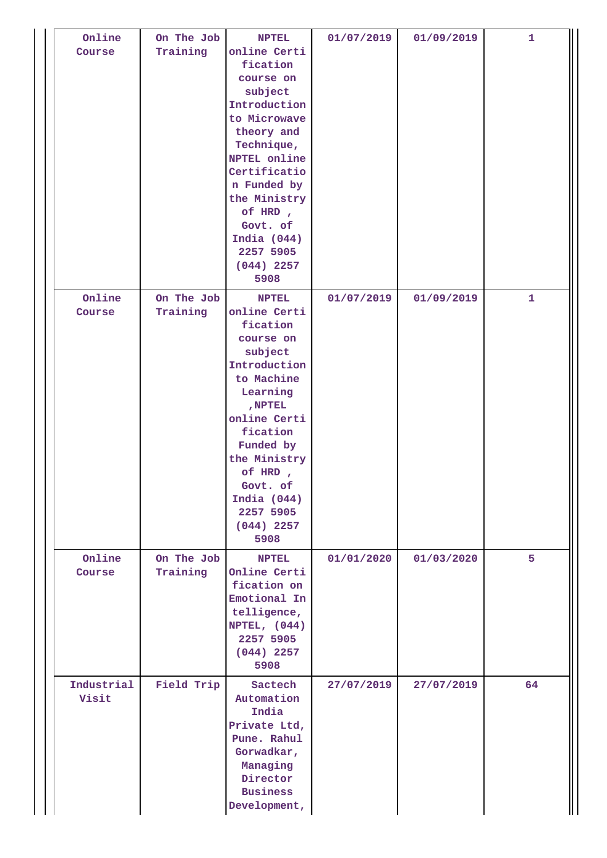| Online<br>Course    | On The Job<br>Training | <b>NPTEL</b><br>online Certi<br>fication<br>course on<br>subject<br>Introduction<br>to Microwave<br>theory and<br>Technique,<br>NPTEL online<br>Certificatio<br>n Funded by<br>the Ministry<br>of HRD,<br>Govt. of<br>India $(044)$<br>2257 5905<br>$(044)$ 2257<br>5908 | 01/07/2019 | 01/09/2019 | $\mathbf{1}$ |
|---------------------|------------------------|--------------------------------------------------------------------------------------------------------------------------------------------------------------------------------------------------------------------------------------------------------------------------|------------|------------|--------------|
| Online<br>Course    | On The Job<br>Training | <b>NPTEL</b><br>online Certi<br>fication<br>course on<br>subject<br>Introduction<br>to Machine<br>Learning<br>, NPTEL<br>online Certi<br>fication<br>Funded by<br>the Ministry<br>of HRD,<br>Govt. of<br>India $(044)$<br>2257 5905<br>$(044)$ 2257<br>5908              | 01/07/2019 | 01/09/2019 | 1            |
| Online<br>Course    | On The Job<br>Training | <b>NPTEL</b><br>Online Certi<br>fication on<br>Emotional In<br>telligence,<br>NPTEL, $(044)$<br>2257 5905<br>$(044)$ 2257<br>5908                                                                                                                                        | 01/01/2020 | 01/03/2020 | 5            |
| Industrial<br>Visit | Field Trip             | Sactech<br>Automation<br>India<br>Private Ltd,<br>Pune. Rahul<br>Gorwadkar,<br>Managing<br>Director<br><b>Business</b><br>Development,                                                                                                                                   | 27/07/2019 | 27/07/2019 | 64           |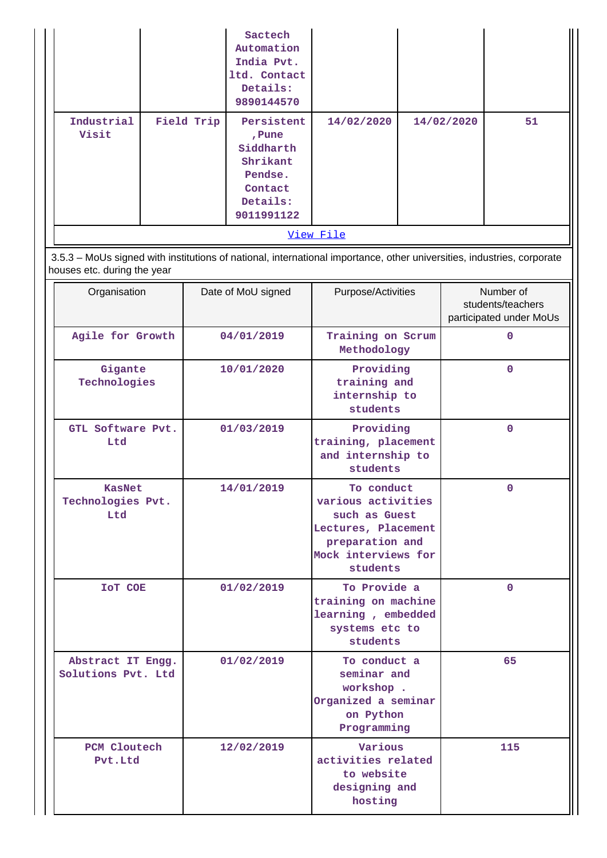|                     |            | Sactech<br>Automation<br>India Pvt.<br>ltd. Contact<br>Details:<br>9890144570                 |            |            |    |
|---------------------|------------|-----------------------------------------------------------------------------------------------|------------|------------|----|
| Industrial<br>Visit | Field Trip | Persistent<br>, Pune<br>Siddharth<br>Shrikant<br>Pendse.<br>Contact<br>Details:<br>9011991122 | 14/02/2020 | 14/02/2020 | 51 |
|                     |            |                                                                                               | View File  |            |    |

 3.5.3 – MoUs signed with institutions of national, international importance, other universities, industries, corporate houses etc. during the year

| Organisation                              | Date of MoU signed | Purpose/Activities                                                                                                             | Number of<br>students/teachers<br>participated under MoUs |
|-------------------------------------------|--------------------|--------------------------------------------------------------------------------------------------------------------------------|-----------------------------------------------------------|
| Agile for Growth                          | 04/01/2019         | Training on Scrum<br>Methodology                                                                                               | 0                                                         |
| Gigante<br>Technologies                   | 10/01/2020         | Providing<br>training and<br>internship to<br>students                                                                         | $\mathbf{0}$                                              |
| GTL Software Pvt.<br>Ltd                  | 01/03/2019         | Providing<br>training, placement<br>and internship to<br>students                                                              | $\mathbf{0}$                                              |
| <b>KasNet</b><br>Technologies Pvt.<br>Ltd | 14/01/2019         | To conduct<br>various activities<br>such as Guest<br>Lectures, Placement<br>preparation and<br>Mock interviews for<br>students | $\Omega$                                                  |
| <b>IOT COE</b>                            | 01/02/2019         | To Provide a<br>training on machine<br>learning, embedded<br>systems etc to<br>students                                        | $\mathbf{0}$                                              |
| Abstract IT Engg.<br>Solutions Pvt. Ltd   | 01/02/2019         | To conduct a<br>seminar and<br>workshop.<br>Organized a seminar<br>on Python<br>Programming                                    | 65                                                        |
| PCM Cloutech<br>Pvt.Ltd                   | 12/02/2019         | Various<br>activities related<br>to website<br>designing and<br>hosting                                                        | 115                                                       |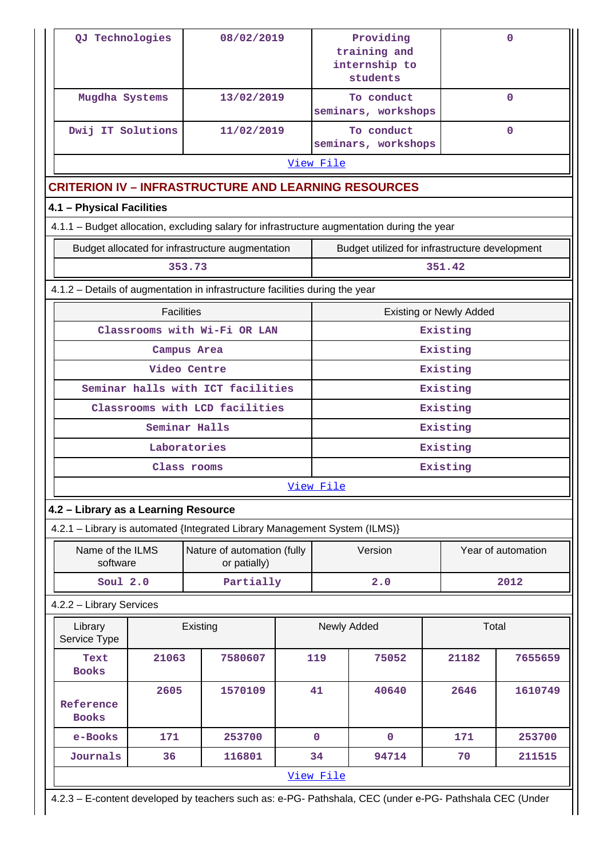| QJ Technologies                      |                                                                                                         | 08/02/2019                                                                                  |  |                                               | Providing<br>training and<br>internship to<br>students |                                | 0                  |  |
|--------------------------------------|---------------------------------------------------------------------------------------------------------|---------------------------------------------------------------------------------------------|--|-----------------------------------------------|--------------------------------------------------------|--------------------------------|--------------------|--|
| Mugdha Systems                       |                                                                                                         | 13/02/2019                                                                                  |  | To conduct<br>$\Omega$<br>seminars, workshops |                                                        |                                |                    |  |
| Dwij IT Solutions                    |                                                                                                         | 11/02/2019                                                                                  |  |                                               | To conduct<br>seminars, workshops                      |                                | $\Omega$           |  |
|                                      |                                                                                                         |                                                                                             |  | View File                                     |                                                        |                                |                    |  |
|                                      |                                                                                                         | <b>CRITERION IV - INFRASTRUCTURE AND LEARNING RESOURCES</b>                                 |  |                                               |                                                        |                                |                    |  |
| 4.1 - Physical Facilities            |                                                                                                         |                                                                                             |  |                                               |                                                        |                                |                    |  |
|                                      |                                                                                                         | 4.1.1 - Budget allocation, excluding salary for infrastructure augmentation during the year |  |                                               |                                                        |                                |                    |  |
|                                      |                                                                                                         | Budget allocated for infrastructure augmentation                                            |  |                                               | Budget utilized for infrastructure development         |                                |                    |  |
|                                      |                                                                                                         | 353.73                                                                                      |  |                                               |                                                        | 351.42                         |                    |  |
|                                      |                                                                                                         | 4.1.2 - Details of augmentation in infrastructure facilities during the year                |  |                                               |                                                        |                                |                    |  |
|                                      | <b>Facilities</b>                                                                                       |                                                                                             |  |                                               |                                                        | <b>Existing or Newly Added</b> |                    |  |
|                                      |                                                                                                         | Classrooms with Wi-Fi OR LAN                                                                |  |                                               |                                                        | Existing                       |                    |  |
|                                      |                                                                                                         | Campus Area                                                                                 |  |                                               |                                                        | Existing                       |                    |  |
|                                      |                                                                                                         | Video Centre                                                                                |  |                                               |                                                        | Existing                       |                    |  |
| Seminar halls with ICT facilities    |                                                                                                         |                                                                                             |  |                                               |                                                        | Existing                       |                    |  |
|                                      |                                                                                                         | Classrooms with LCD facilities                                                              |  |                                               |                                                        | Existing                       |                    |  |
|                                      |                                                                                                         | Seminar Halls                                                                               |  |                                               |                                                        | Existing                       |                    |  |
|                                      |                                                                                                         | Laboratories                                                                                |  |                                               |                                                        | Existing                       |                    |  |
|                                      |                                                                                                         | Class rooms                                                                                 |  |                                               |                                                        | Existing                       |                    |  |
|                                      |                                                                                                         |                                                                                             |  | <u>View File</u>                              |                                                        |                                |                    |  |
| 4.2 - Library as a Learning Resource |                                                                                                         | 4.2.1 - Library is automated {Integrated Library Management System (ILMS)}                  |  |                                               |                                                        |                                |                    |  |
| Name of the ILMS                     |                                                                                                         | Nature of automation (fully                                                                 |  |                                               | Version                                                |                                | Year of automation |  |
| software                             |                                                                                                         | or patially)                                                                                |  |                                               |                                                        |                                |                    |  |
| Soul $2.0$                           |                                                                                                         | Partially                                                                                   |  |                                               | 2.0                                                    |                                | 2012               |  |
| 4.2.2 - Library Services             |                                                                                                         |                                                                                             |  |                                               |                                                        |                                |                    |  |
| Library<br>Service Type              |                                                                                                         | Existing                                                                                    |  |                                               | Newly Added                                            | Total                          |                    |  |
| Text<br><b>Books</b>                 | 21063                                                                                                   | 7580607                                                                                     |  | 119                                           | 75052                                                  | 21182                          | 7655659            |  |
| Reference<br><b>Books</b>            | 2605                                                                                                    | 1570109                                                                                     |  | 41                                            | 40640                                                  | 2646                           | 1610749            |  |
| e-Books                              | 171                                                                                                     | 253700                                                                                      |  | $\mathbf 0$                                   | $\mathbf{O}$                                           | 171                            | 253700             |  |
| Journals                             | 36                                                                                                      | 116801                                                                                      |  | 34                                            | 94714                                                  | 70                             | 211515             |  |
|                                      |                                                                                                         |                                                                                             |  | View File                                     |                                                        |                                |                    |  |
|                                      | 4.2.3 - E-content developed by teachers such as: e-PG- Pathshala, CEC (under e-PG- Pathshala CEC (Under |                                                                                             |  |                                               |                                                        |                                |                    |  |

 $\mathsf{I}$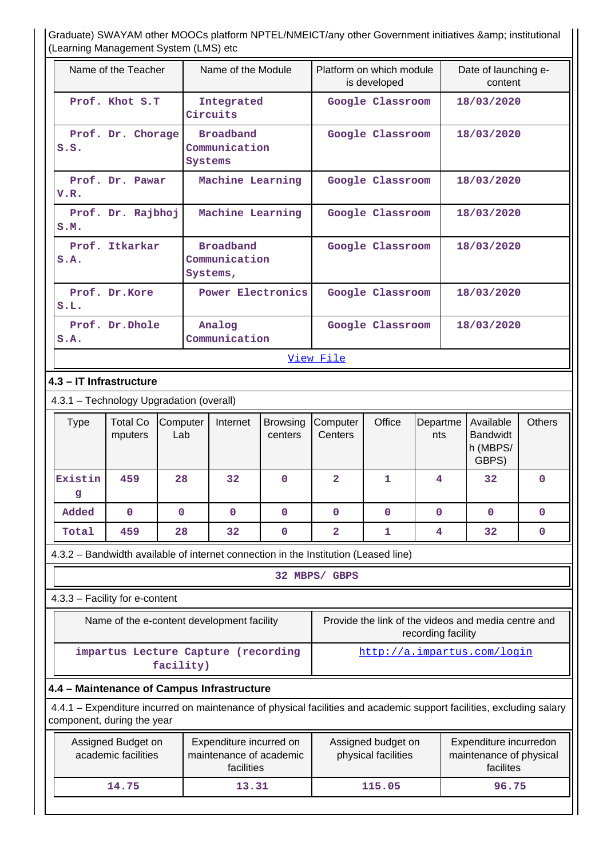Graduate) SWAYAM other MOOCs platform NPTEL/NMEICT/any other Government initiatives & amp; institutional (Learning Management System (LMS) etc

| TECANING Management Oyotom (ENIO) ctd                                                                                                              |                                                                                 |                            |                         |                                           |                    |                                                                    |             |
|----------------------------------------------------------------------------------------------------------------------------------------------------|---------------------------------------------------------------------------------|----------------------------|-------------------------|-------------------------------------------|--------------------|--------------------------------------------------------------------|-------------|
| Name of the Teacher                                                                                                                                | Name of the Module                                                              |                            |                         | Platform on which module<br>is developed  |                    | Date of launching e-<br>content                                    |             |
| Prof. Khot S.T                                                                                                                                     | Integrated<br>Circuits                                                          |                            |                         | Google Classroom                          |                    | 18/03/2020                                                         |             |
| Prof. Dr. Chorage<br>S.S.                                                                                                                          | <b>Broadband</b><br>Communication<br>Systems                                    |                            |                         | Google Classroom                          |                    | 18/03/2020                                                         |             |
| Prof. Dr. Pawar<br>V.R.                                                                                                                            | Machine Learning                                                                |                            |                         | Google Classroom                          |                    | 18/03/2020                                                         |             |
| Prof. Dr. Rajbhoj<br>S.M.                                                                                                                          | Machine Learning                                                                |                            |                         | Google Classroom                          |                    | 18/03/2020                                                         |             |
| Prof. Itkarkar<br>S.A.                                                                                                                             | <b>Broadband</b><br>Communication<br>Systems,                                   |                            |                         | Google Classroom                          |                    | 18/03/2020                                                         |             |
| Prof. Dr.Kore<br>S.L.                                                                                                                              | <b>Power Electronics</b>                                                        |                            |                         | Google Classroom                          |                    | 18/03/2020                                                         |             |
| Prof. Dr. Dhole<br>S.A.                                                                                                                            | Analog<br>Communication                                                         |                            |                         | Google Classroom                          |                    | 18/03/2020                                                         |             |
|                                                                                                                                                    |                                                                                 |                            | View File               |                                           |                    |                                                                    |             |
| 4.3 - IT Infrastructure                                                                                                                            |                                                                                 |                            |                         |                                           |                    |                                                                    |             |
| 4.3.1 - Technology Upgradation (overall)                                                                                                           |                                                                                 |                            |                         |                                           |                    |                                                                    |             |
| <b>Total Co</b><br><b>Type</b><br>mputers                                                                                                          | Computer<br>Internet<br>Lab                                                     | <b>Browsing</b><br>centers | Computer<br>Centers     | Office                                    | Departme<br>nts    | <b>Others</b><br>Available<br><b>Bandwidt</b><br>h (MBPS/<br>GBPS) |             |
| Existin<br>459<br>g                                                                                                                                | 28<br>32                                                                        | $\mathbf{0}$               | $\overline{\mathbf{2}}$ | 1                                         | 4                  | 32                                                                 | $\mathbf 0$ |
| Added<br>$\mathbf 0$                                                                                                                               | $\mathbf 0$<br>0                                                                | 0                          | 0                       | 0                                         | 0                  | $\mathbf 0$                                                        | 0           |
| 459<br>Total                                                                                                                                       | 28<br>32                                                                        | $\mathbf 0$                | $\overline{\mathbf{2}}$ | 1                                         | 4                  | 32                                                                 | $\mathbf 0$ |
| 4.3.2 - Bandwidth available of internet connection in the Institution (Leased line)                                                                |                                                                                 |                            |                         |                                           |                    |                                                                    |             |
|                                                                                                                                                    |                                                                                 |                            | 32 MBPS/ GBPS           |                                           |                    |                                                                    |             |
| 4.3.3 - Facility for e-content                                                                                                                     |                                                                                 |                            |                         |                                           |                    |                                                                    |             |
| Name of the e-content development facility                                                                                                         |                                                                                 |                            |                         |                                           | recording facility | Provide the link of the videos and media centre and                |             |
|                                                                                                                                                    | impartus Lecture Capture (recording<br>http://a.impartus.com/login<br>facility) |                            |                         |                                           |                    |                                                                    |             |
| 4.4 - Maintenance of Campus Infrastructure                                                                                                         |                                                                                 |                            |                         |                                           |                    |                                                                    |             |
| 4.4.1 – Expenditure incurred on maintenance of physical facilities and academic support facilities, excluding salary<br>component, during the year |                                                                                 |                            |                         |                                           |                    |                                                                    |             |
| Assigned Budget on<br>academic facilities                                                                                                          | Expenditure incurred on<br>maintenance of academic<br>facilities                |                            |                         | Assigned budget on<br>physical facilities |                    | Expenditure incurredon<br>maintenance of physical<br>facilites     |             |
| 14.75                                                                                                                                              | 13.31                                                                           |                            |                         | 115.05                                    |                    | 96.75                                                              |             |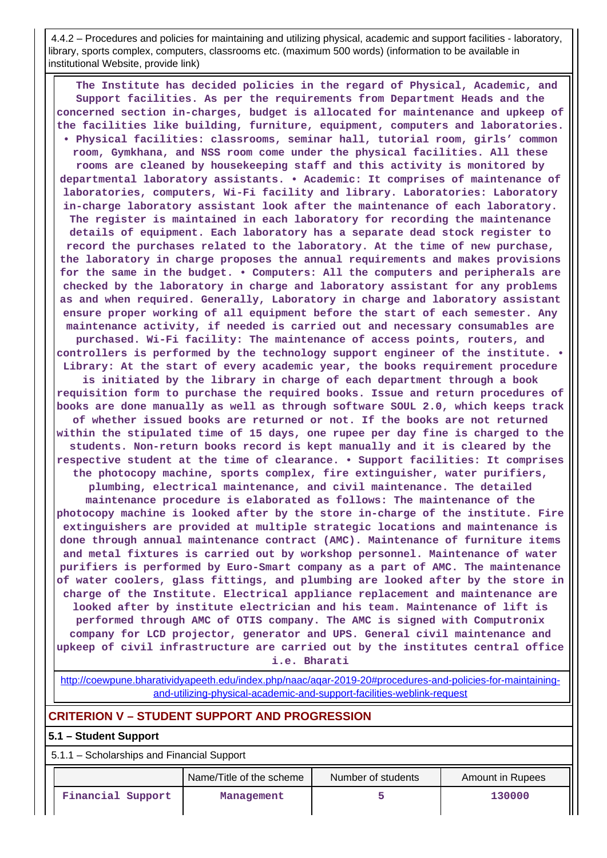4.4.2 – Procedures and policies for maintaining and utilizing physical, academic and support facilities - laboratory, library, sports complex, computers, classrooms etc. (maximum 500 words) (information to be available in institutional Website, provide link)

 **The Institute has decided policies in the regard of Physical, Academic, and Support facilities. As per the requirements from Department Heads and the concerned section in-charges, budget is allocated for maintenance and upkeep of the facilities like building, furniture, equipment, computers and laboratories. • Physical facilities: classrooms, seminar hall, tutorial room, girls' common room, Gymkhana, and NSS room come under the physical facilities. All these rooms are cleaned by housekeeping staff and this activity is monitored by departmental laboratory assistants. • Academic: It comprises of maintenance of laboratories, computers, Wi-Fi facility and library. Laboratories: Laboratory in-charge laboratory assistant look after the maintenance of each laboratory. The register is maintained in each laboratory for recording the maintenance details of equipment. Each laboratory has a separate dead stock register to record the purchases related to the laboratory. At the time of new purchase, the laboratory in charge proposes the annual requirements and makes provisions for the same in the budget. • Computers: All the computers and peripherals are checked by the laboratory in charge and laboratory assistant for any problems as and when required. Generally, Laboratory in charge and laboratory assistant ensure proper working of all equipment before the start of each semester. Any maintenance activity, if needed is carried out and necessary consumables are purchased. Wi-Fi facility: The maintenance of access points, routers, and controllers is performed by the technology support engineer of the institute. • Library: At the start of every academic year, the books requirement procedure is initiated by the library in charge of each department through a book requisition form to purchase the required books. Issue and return procedures of books are done manually as well as through software SOUL 2.0, which keeps track of whether issued books are returned or not. If the books are not returned within the stipulated time of 15 days, one rupee per day fine is charged to the students. Non-return books record is kept manually and it is cleared by the respective student at the time of clearance. • Support facilities: It comprises the photocopy machine, sports complex, fire extinguisher, water purifiers, plumbing, electrical maintenance, and civil maintenance. The detailed maintenance procedure is elaborated as follows: The maintenance of the photocopy machine is looked after by the store in-charge of the institute. Fire extinguishers are provided at multiple strategic locations and maintenance is done through annual maintenance contract (AMC). Maintenance of furniture items and metal fixtures is carried out by workshop personnel. Maintenance of water purifiers is performed by Euro-Smart company as a part of AMC. The maintenance of water coolers, glass fittings, and plumbing are looked after by the store in charge of the Institute. Electrical appliance replacement and maintenance are looked after by institute electrician and his team. Maintenance of lift is performed through AMC of OTIS company. The AMC is signed with Computronix company for LCD projector, generator and UPS. General civil maintenance and upkeep of civil infrastructure are carried out by the institutes central office i.e. Bharati**

[http://coewpune.bharatividyapeeth.edu/index.php/naac/aqar-2019-20#procedures-and-policies-for-maintaining](http://coewpune.bharatividyapeeth.edu/index.php/naac/aqar-2019-20#procedures-and-policies-for-maintaining-and-utilizing-physical-academic-and-support-facilities-weblink-request)[and-utilizing-physical-academic-and-support-facilities-weblink-request](http://coewpune.bharatividyapeeth.edu/index.php/naac/aqar-2019-20#procedures-and-policies-for-maintaining-and-utilizing-physical-academic-and-support-facilities-weblink-request)

## **CRITERION V – STUDENT SUPPORT AND PROGRESSION**

### **5.1 – Student Support**

5.1.1 – Scholarships and Financial Support

|                   | Name/Title of the scheme | Number of students | Amount in Rupees |
|-------------------|--------------------------|--------------------|------------------|
| Financial Support | Management               |                    | 130000           |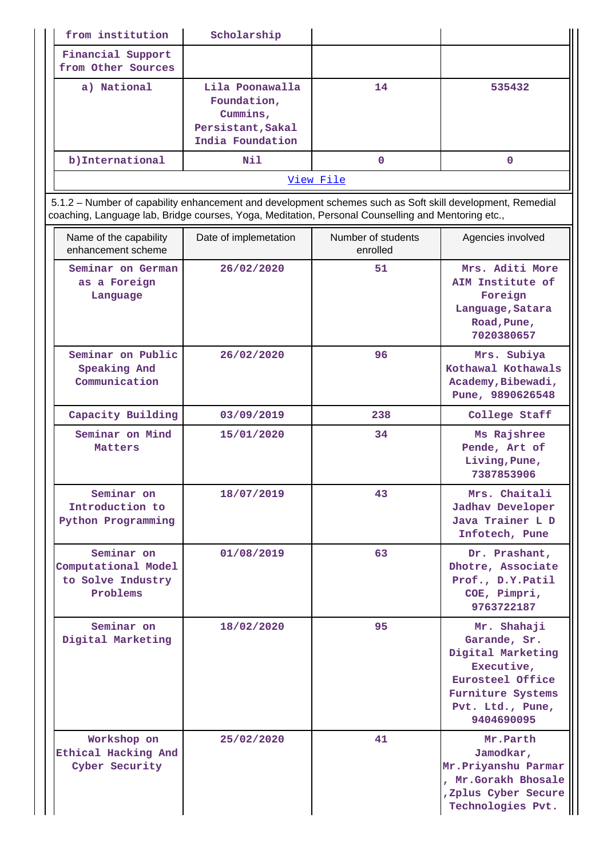| from institution                        | Scholarship                                                                         |    |        |  |
|-----------------------------------------|-------------------------------------------------------------------------------------|----|--------|--|
| Financial Support<br>from Other Sources |                                                                                     |    |        |  |
| a) National                             | Lila Poonawalla<br>Foundation,<br>Cummins,<br>Persistant, Sakal<br>India Foundation | 14 | 535432 |  |
| b) International                        | Nil                                                                                 | 0  | 0      |  |
| View File                               |                                                                                     |    |        |  |

 5.1.2 – Number of capability enhancement and development schemes such as Soft skill development, Remedial coaching, Language lab, Bridge courses, Yoga, Meditation, Personal Counselling and Mentoring etc.,

| Name of the capability<br>enhancement scheme                       | Date of implemetation |     | Agencies involved                                                                                                                         |
|--------------------------------------------------------------------|-----------------------|-----|-------------------------------------------------------------------------------------------------------------------------------------------|
| Seminar on German<br>as a Foreign<br>Language                      | 26/02/2020            | 51  | Mrs. Aditi More<br>AIM Institute of<br>Foreign<br>Language, Satara<br>Road, Pune,<br>7020380657                                           |
| Seminar on Public<br>Speaking And<br>Communication                 | 26/02/2020            | 96  | Mrs. Subiya<br>Kothawal Kothawals<br>Academy, Bibewadi,<br>Pune, 9890626548                                                               |
| Capacity Building                                                  | 03/09/2019            | 238 | College Staff                                                                                                                             |
| Seminar on Mind<br>Matters                                         | 15/01/2020            | 34  | Ms Rajshree<br>Pende, Art of<br>Living, Pune,<br>7387853906                                                                               |
| Seminar on<br>Introduction to<br>Python Programming                | 18/07/2019            | 43  | Mrs. Chaitali<br><b>Jadhav Developer</b><br>Java Trainer L D<br>Infotech, Pune                                                            |
| Seminar on<br>Computational Model<br>to Solve Industry<br>Problems | 01/08/2019            | 63  | Dr. Prashant,<br>Dhotre, Associate<br>Prof., D.Y.Patil<br>COE, Pimpri,<br>9763722187                                                      |
| Seminar on<br>Digital Marketing                                    | 18/02/2020            | 95  | Mr. Shahaji<br>Garande, Sr.<br>Digital Marketing<br>Executive,<br>Eurosteel Office<br>Furniture Systems<br>Pvt. Ltd., Pune,<br>9404690095 |
| Workshop on<br>Ethical Hacking And<br>Cyber Security               | 25/02/2020            | 41  | Mr.Parth<br>Jamodkar,<br>Mr. Priyanshu Parmar<br>, Mr.Gorakh Bhosale<br>, Zplus Cyber Secure<br>Technologies Pvt.                         |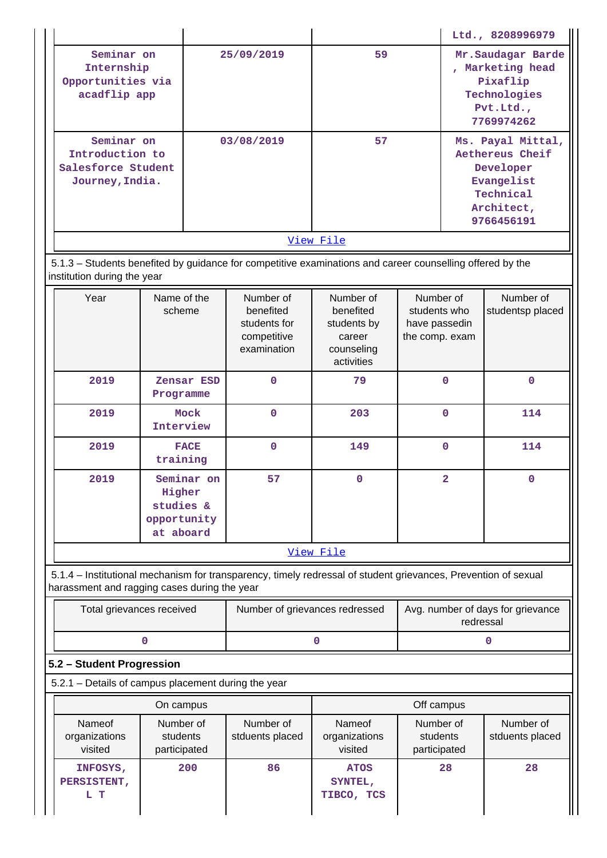|                                                     |             |                                |                                                                                                                |                                                |                                 |                                        | Ltd., 8208996979        |
|-----------------------------------------------------|-------------|--------------------------------|----------------------------------------------------------------------------------------------------------------|------------------------------------------------|---------------------------------|----------------------------------------|-------------------------|
| Seminar on<br>Internship                            |             | 25/09/2019                     |                                                                                                                | 59                                             |                                 | Mr. Saudagar Barde<br>, Marketing head |                         |
| Opportunities via                                   |             |                                |                                                                                                                |                                                |                                 |                                        | Pixaflip                |
| acadflip app                                        |             |                                |                                                                                                                |                                                |                                 |                                        | Technologies            |
|                                                     |             |                                |                                                                                                                |                                                |                                 |                                        | Pvt.Ltd.,               |
|                                                     |             |                                |                                                                                                                |                                                |                                 | 7769974262                             |                         |
| Seminar on                                          |             |                                | 03/08/2019                                                                                                     | 57                                             |                                 |                                        | Ms. Payal Mittal,       |
| Introduction to                                     |             |                                |                                                                                                                |                                                |                                 |                                        | Aethereus Cheif         |
| Salesforce Student                                  |             |                                |                                                                                                                |                                                |                                 |                                        | Developer               |
| Journey, India.                                     |             |                                |                                                                                                                |                                                |                                 |                                        | Evangelist<br>Technical |
|                                                     |             |                                |                                                                                                                |                                                |                                 |                                        | Architect,              |
|                                                     |             |                                |                                                                                                                |                                                |                                 |                                        | 9766456191              |
|                                                     |             |                                |                                                                                                                | View File                                      |                                 |                                        |                         |
|                                                     |             |                                |                                                                                                                |                                                |                                 |                                        |                         |
| institution during the year                         |             |                                | 5.1.3 - Students benefited by guidance for competitive examinations and career counselling offered by the      |                                                |                                 |                                        |                         |
| Year                                                | Name of the |                                | Number of                                                                                                      | Number of                                      | Number of                       |                                        | Number of               |
|                                                     | scheme      |                                | benefited                                                                                                      | benefited                                      | students who                    |                                        | studentsp placed        |
|                                                     |             |                                | students for<br>competitive                                                                                    | students by<br>career                          | have passedin<br>the comp. exam |                                        |                         |
|                                                     |             |                                | examination                                                                                                    | counseling                                     |                                 |                                        |                         |
|                                                     |             |                                |                                                                                                                | activities                                     |                                 |                                        |                         |
| 2019                                                |             | Zensar ESD                     | $\mathbf 0$                                                                                                    | 79                                             |                                 | $\mathbf{0}$                           | $\mathbf 0$             |
|                                                     | Programme   |                                |                                                                                                                |                                                |                                 |                                        |                         |
| 2019                                                |             | Mock                           | $\mathbf 0$                                                                                                    | 203                                            |                                 | $\Omega$                               | 114                     |
|                                                     | Interview   |                                |                                                                                                                |                                                |                                 |                                        |                         |
| 2019                                                |             | <b>FACE</b>                    | $\mathbf 0$                                                                                                    | 149                                            |                                 | $\Omega$                               | 114                     |
|                                                     | training    |                                |                                                                                                                |                                                |                                 |                                        |                         |
| 2019                                                |             | Seminar on                     | 57                                                                                                             | 0                                              |                                 | 2                                      | 0                       |
|                                                     | Higher      |                                |                                                                                                                |                                                |                                 |                                        |                         |
|                                                     | studies &   |                                |                                                                                                                |                                                |                                 |                                        |                         |
|                                                     | opportunity |                                |                                                                                                                |                                                |                                 |                                        |                         |
|                                                     | at aboard   |                                |                                                                                                                |                                                |                                 |                                        |                         |
|                                                     |             |                                |                                                                                                                | View File                                      |                                 |                                        |                         |
| harassment and ragging cases during the year        |             |                                | 5.1.4 - Institutional mechanism for transparency, timely redressal of student grievances, Prevention of sexual |                                                |                                 |                                        |                         |
| Total grievances received                           |             | Number of grievances redressed |                                                                                                                | Avg. number of days for grievance<br>redressal |                                 |                                        |                         |
|                                                     | 0           |                                |                                                                                                                | 0                                              |                                 |                                        | 0                       |
| 5.2 - Student Progression                           |             |                                |                                                                                                                |                                                |                                 |                                        |                         |
| 5.2.1 - Details of campus placement during the year |             |                                |                                                                                                                |                                                |                                 |                                        |                         |
|                                                     |             |                                |                                                                                                                |                                                |                                 |                                        |                         |

|                                    | On campus                             |                              | Off campus                           |                                       |                              |  |  |
|------------------------------------|---------------------------------------|------------------------------|--------------------------------------|---------------------------------------|------------------------------|--|--|
| Nameof<br>organizations<br>visited | Number of<br>students<br>participated | Number of<br>stduents placed | Nameof<br>organizations<br>visited   | Number of<br>students<br>participated | Number of<br>stduents placed |  |  |
| INFOSYS,<br>PERSISTENT,<br>L T     | 200                                   | 86                           | <b>ATOS</b><br>SYNTEL,<br>TIBCO, TCS | 28                                    | 28                           |  |  |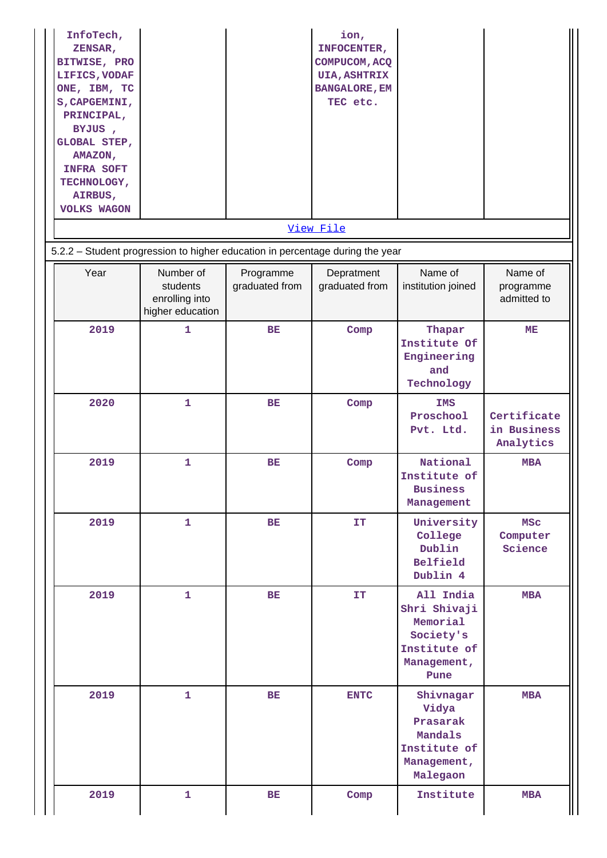| InfoTech,<br>ZENSAR,<br>BITWISE, PRO<br>LIFICS, VODAF<br>ONE, IBM, TC<br>S, CAPGEMINI,<br>PRINCIPAL,<br>BYJUS,<br>GLOBAL STEP,<br>AMAZON,<br><b>INFRA SOFT</b><br>TECHNOLOGY,<br>AIRBUS,<br><b>VOLKS WAGON</b> |                                                                                                                                              |                             | ion,<br>INFOCENTER,<br>COMPUCOM, ACQ<br><b>UIA, ASHTRIX</b><br><b>BANGALORE, EM</b><br>TEC etc. |                                                                                           |                                         |
|----------------------------------------------------------------------------------------------------------------------------------------------------------------------------------------------------------------|----------------------------------------------------------------------------------------------------------------------------------------------|-----------------------------|-------------------------------------------------------------------------------------------------|-------------------------------------------------------------------------------------------|-----------------------------------------|
|                                                                                                                                                                                                                |                                                                                                                                              |                             | View File                                                                                       |                                                                                           |                                         |
| Year                                                                                                                                                                                                           | 5.2.2 - Student progression to higher education in percentage during the year<br>Number of<br>students<br>enrolling into<br>higher education | Programme<br>graduated from | Depratment<br>graduated from                                                                    | Name of<br>institution joined                                                             | Name of<br>programme<br>admitted to     |
| 2019                                                                                                                                                                                                           | $\mathbf{1}$                                                                                                                                 | <b>BE</b>                   | Comp                                                                                            | Thapar<br>Institute Of<br>Engineering<br>and<br>Technology                                | ME                                      |
| 2020                                                                                                                                                                                                           | $\mathbf{1}$                                                                                                                                 | <b>BE</b>                   | Comp                                                                                            | <b>IMS</b><br>Proschool<br>Pvt. Ltd.                                                      | Certificate<br>in Business<br>Analytics |
| 2019                                                                                                                                                                                                           | 1                                                                                                                                            | BE                          | Comp                                                                                            | National<br>Institute of<br><b>Business</b><br>Management                                 | <b>MBA</b>                              |
| 2019                                                                                                                                                                                                           | $\mathbf{1}$                                                                                                                                 | BE                          | <b>IT</b>                                                                                       | University<br>College<br>Dublin<br>Belfield<br>Dublin 4                                   | <b>MSC</b><br>Computer<br>Science       |
| 2019                                                                                                                                                                                                           | $\mathbf{1}$                                                                                                                                 | BE                          | IT                                                                                              | All India<br>Shri Shivaji<br>Memorial<br>Society's<br>Institute of<br>Management,<br>Pune | <b>MBA</b>                              |
| 2019                                                                                                                                                                                                           | $\mathbf{1}$                                                                                                                                 | BE                          | <b>ENTC</b>                                                                                     | Shivnagar<br>Vidya<br>Prasarak<br>Mandals<br>Institute of<br>Management,<br>Malegaon      | <b>MBA</b>                              |
| 2019                                                                                                                                                                                                           | $\mathbf{1}$                                                                                                                                 | BE                          | Comp                                                                                            | Institute                                                                                 | <b>MBA</b>                              |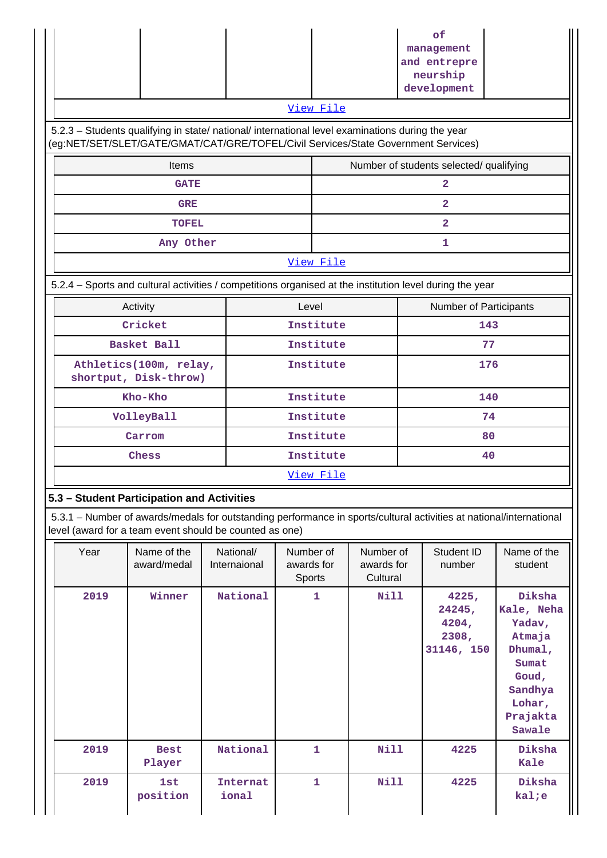|                                                                                                                                                                                        |                                                                                                                                                                                |  |                           |                                   | View File        |                                     |  | of<br>management<br>and entrepre<br>neurship<br>development |                                                                                                                  |
|----------------------------------------------------------------------------------------------------------------------------------------------------------------------------------------|--------------------------------------------------------------------------------------------------------------------------------------------------------------------------------|--|---------------------------|-----------------------------------|------------------|-------------------------------------|--|-------------------------------------------------------------|------------------------------------------------------------------------------------------------------------------|
| 5.2.3 - Students qualifying in state/ national/ international level examinations during the year<br>(eg:NET/SET/SLET/GATE/GMAT/CAT/GRE/TOFEL/Civil Services/State Government Services) |                                                                                                                                                                                |  |                           |                                   |                  |                                     |  |                                                             |                                                                                                                  |
|                                                                                                                                                                                        | Items                                                                                                                                                                          |  |                           |                                   |                  |                                     |  | Number of students selected/ qualifying                     |                                                                                                                  |
|                                                                                                                                                                                        | <b>GATE</b>                                                                                                                                                                    |  |                           |                                   |                  |                                     |  | $\overline{a}$                                              |                                                                                                                  |
|                                                                                                                                                                                        | <b>GRE</b>                                                                                                                                                                     |  |                           |                                   |                  |                                     |  | $\overline{2}$                                              |                                                                                                                  |
|                                                                                                                                                                                        | <b>TOFEL</b>                                                                                                                                                                   |  |                           |                                   |                  |                                     |  | $\overline{a}$                                              |                                                                                                                  |
|                                                                                                                                                                                        | Any Other                                                                                                                                                                      |  |                           |                                   |                  |                                     |  | 1                                                           |                                                                                                                  |
|                                                                                                                                                                                        |                                                                                                                                                                                |  |                           |                                   | View File        |                                     |  |                                                             |                                                                                                                  |
|                                                                                                                                                                                        | 5.2.4 - Sports and cultural activities / competitions organised at the institution level during the year                                                                       |  |                           |                                   |                  |                                     |  |                                                             |                                                                                                                  |
|                                                                                                                                                                                        | Activity                                                                                                                                                                       |  |                           | Level                             |                  |                                     |  | Number of Participants                                      |                                                                                                                  |
|                                                                                                                                                                                        | Cricket                                                                                                                                                                        |  |                           |                                   | Institute        |                                     |  | 143                                                         |                                                                                                                  |
|                                                                                                                                                                                        | Basket Ball                                                                                                                                                                    |  |                           |                                   | Institute        |                                     |  | 77                                                          |                                                                                                                  |
|                                                                                                                                                                                        | Athletics(100m, relay,<br>shortput, Disk-throw)                                                                                                                                |  |                           |                                   | Institute        | 176                                 |  |                                                             |                                                                                                                  |
|                                                                                                                                                                                        | Kho-Kho                                                                                                                                                                        |  |                           |                                   | Institute<br>140 |                                     |  |                                                             |                                                                                                                  |
|                                                                                                                                                                                        | VolleyBall                                                                                                                                                                     |  |                           |                                   | Institute        | 74                                  |  |                                                             |                                                                                                                  |
|                                                                                                                                                                                        | Carrom                                                                                                                                                                         |  |                           |                                   | Institute        | 80                                  |  |                                                             |                                                                                                                  |
|                                                                                                                                                                                        | Chess                                                                                                                                                                          |  |                           |                                   | Institute<br>40  |                                     |  |                                                             |                                                                                                                  |
|                                                                                                                                                                                        |                                                                                                                                                                                |  |                           |                                   | View File        |                                     |  |                                                             |                                                                                                                  |
|                                                                                                                                                                                        | 5.3 - Student Participation and Activities                                                                                                                                     |  |                           |                                   |                  |                                     |  |                                                             |                                                                                                                  |
|                                                                                                                                                                                        | 5.3.1 – Number of awards/medals for outstanding performance in sports/cultural activities at national/international<br>level (award for a team event should be counted as one) |  |                           |                                   |                  |                                     |  |                                                             |                                                                                                                  |
| Year                                                                                                                                                                                   | Name of the<br>award/medal                                                                                                                                                     |  | National/<br>Internaional | Number of<br>awards for<br>Sports |                  | Number of<br>awards for<br>Cultural |  | Student ID<br>number                                        | Name of the<br>student                                                                                           |
| 2019                                                                                                                                                                                   | Winner                                                                                                                                                                         |  | National                  |                                   | 1                | Nill                                |  | 4225,<br>24245,<br>4204,<br>2308,<br>31146, 150             | Diksha<br>Kale, Neha<br>Yadav,<br>Atmaja<br>Dhumal,<br>Sumat<br>Goud,<br>Sandhya<br>Lohar,<br>Prajakta<br>Sawale |
| 2019                                                                                                                                                                                   | <b>Best</b><br>Player                                                                                                                                                          |  | National                  |                                   | 1                | Nill                                |  | 4225                                                        | Diksha<br>Kale                                                                                                   |
| 2019                                                                                                                                                                                   | 1st<br>position                                                                                                                                                                |  | <b>Internat</b><br>ional  |                                   | 1                | Nill                                |  | 4225                                                        | Diksha<br>kal;e                                                                                                  |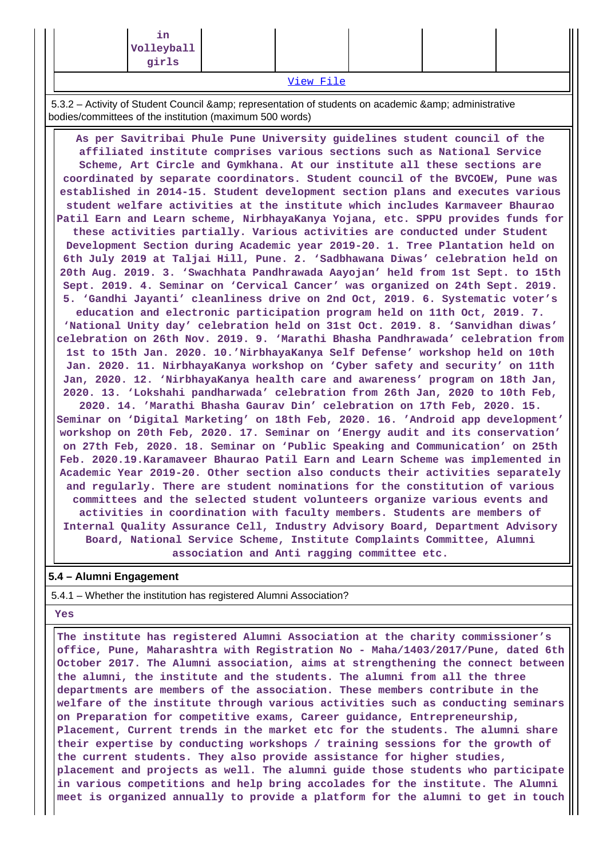|                                                                                                                                                                                                                                                                                                                                                                                      | ın<br>Volleyball<br>girls |  |  |  |  |  |
|--------------------------------------------------------------------------------------------------------------------------------------------------------------------------------------------------------------------------------------------------------------------------------------------------------------------------------------------------------------------------------------|---------------------------|--|--|--|--|--|
| $\overline{M}$ $\overline{M}$ $\overline{M}$ $\overline{M}$ $\overline{M}$ $\overline{M}$ $\overline{M}$ $\overline{M}$ $\overline{M}$ $\overline{M}$ $\overline{M}$ $\overline{M}$ $\overline{M}$ $\overline{M}$ $\overline{M}$ $\overline{M}$ $\overline{M}$ $\overline{M}$ $\overline{M}$ $\overline{M}$ $\overline{M}$ $\overline{M}$ $\overline{M}$ $\overline{M}$ $\overline{$ |                           |  |  |  |  |  |

[View File](https://assessmentonline.naac.gov.in/public/Postacc/awards_in_activities/7344_awards_in_activities_1608635000.xlsx)

5.3.2 – Activity of Student Council & amp; representation of students on academic & amp; administrative bodies/committees of the institution (maximum 500 words)

 **As per Savitribai Phule Pune University guidelines student council of the affiliated institute comprises various sections such as National Service Scheme, Art Circle and Gymkhana. At our institute all these sections are coordinated by separate coordinators. Student council of the BVCOEW, Pune was established in 2014-15. Student development section plans and executes various student welfare activities at the institute which includes Karmaveer Bhaurao Patil Earn and Learn scheme, NirbhayaKanya Yojana, etc. SPPU provides funds for these activities partially. Various activities are conducted under Student Development Section during Academic year 2019-20. 1. Tree Plantation held on 6th July 2019 at Taljai Hill, Pune. 2. 'Sadbhawana Diwas' celebration held on 20th Aug. 2019. 3. 'Swachhata Pandhrawada Aayojan' held from 1st Sept. to 15th Sept. 2019. 4. Seminar on 'Cervical Cancer' was organized on 24th Sept. 2019. 5. 'Gandhi Jayanti' cleanliness drive on 2nd Oct, 2019. 6. Systematic voter's education and electronic participation program held on 11th Oct, 2019. 7. 'National Unity day' celebration held on 31st Oct. 2019. 8. 'Sanvidhan diwas' celebration on 26th Nov. 2019. 9. 'Marathi Bhasha Pandhrawada' celebration from 1st to 15th Jan. 2020. 10.'NirbhayaKanya Self Defense' workshop held on 10th Jan. 2020. 11. NirbhayaKanya workshop on 'Cyber safety and security' on 11th Jan, 2020. 12. 'NirbhayaKanya health care and awareness' program on 18th Jan, 2020. 13. 'Lokshahi pandharwada' celebration from 26th Jan, 2020 to 10th Feb, 2020. 14. 'Marathi Bhasha Gaurav Din' celebration on 17th Feb, 2020. 15.**

**Seminar on 'Digital Marketing' on 18th Feb, 2020. 16. 'Android app development' workshop on 20th Feb, 2020. 17. Seminar on 'Energy audit and its conservation' on 27th Feb, 2020. 18. Seminar on 'Public Speaking and Communication' on 25th Feb. 2020.19.Karamaveer Bhaurao Patil Earn and Learn Scheme was implemented in Academic Year 2019-20. Other section also conducts their activities separately and regularly. There are student nominations for the constitution of various committees and the selected student volunteers organize various events and activities in coordination with faculty members. Students are members of Internal Quality Assurance Cell, Industry Advisory Board, Department Advisory Board, National Service Scheme, Institute Complaints Committee, Alumni association and Anti ragging committee etc.**

#### **5.4 – Alumni Engagement**

5.4.1 – Whether the institution has registered Alumni Association?

#### **Yes**

 **The institute has registered Alumni Association at the charity commissioner's office, Pune, Maharashtra with Registration No - Maha/1403/2017/Pune, dated 6th October 2017. The Alumni association, aims at strengthening the connect between the alumni, the institute and the students. The alumni from all the three departments are members of the association. These members contribute in the welfare of the institute through various activities such as conducting seminars on Preparation for competitive exams, Career guidance, Entrepreneurship, Placement, Current trends in the market etc for the students. The alumni share their expertise by conducting workshops / training sessions for the growth of the current students. They also provide assistance for higher studies, placement and projects as well. The alumni guide those students who participate in various competitions and help bring accolades for the institute. The Alumni meet is organized annually to provide a platform for the alumni to get in touch**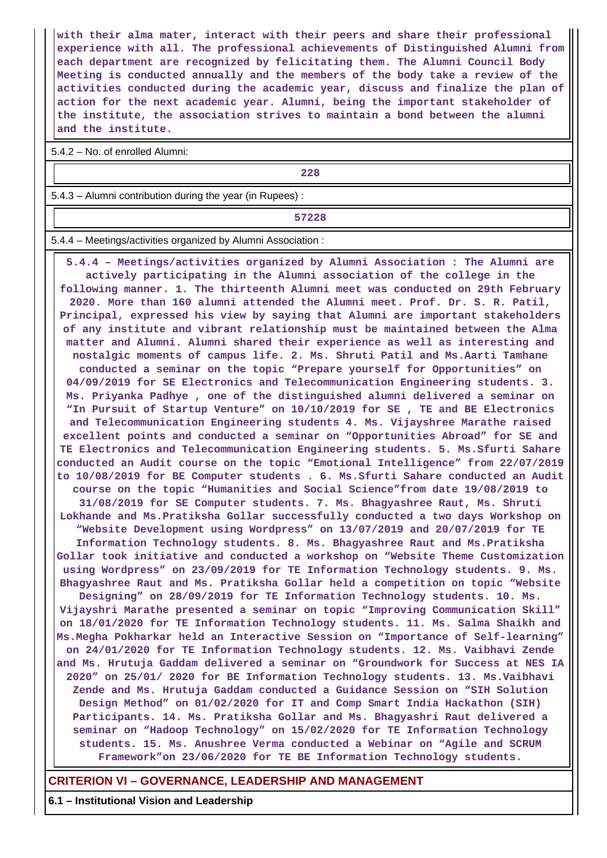**with their alma mater, interact with their peers and share their professional experience with all. The professional achievements of Distinguished Alumni from each department are recognized by felicitating them. The Alumni Council Body Meeting is conducted annually and the members of the body take a review of the activities conducted during the academic year, discuss and finalize the plan of action for the next academic year. Alumni, being the important stakeholder of the institute, the association strives to maintain a bond between the alumni and the institute.**

5.4.2 – No. of enrolled Alumni:

**228**

5.4.3 – Alumni contribution during the year (in Rupees) :

**57228**

5.4.4 – Meetings/activities organized by Alumni Association :

 **5.4.4 – Meetings/activities organized by Alumni Association : The Alumni are actively participating in the Alumni association of the college in the following manner. 1. The thirteenth Alumni meet was conducted on 29th February 2020. More than 160 alumni attended the Alumni meet. Prof. Dr. S. R. Patil, Principal, expressed his view by saying that Alumni are important stakeholders of any institute and vibrant relationship must be maintained between the Alma matter and Alumni. Alumni shared their experience as well as interesting and nostalgic moments of campus life. 2. Ms. Shruti Patil and Ms.Aarti Tamhane conducted a seminar on the topic "Prepare yourself for Opportunities" on 04/09/2019 for SE Electronics and Telecommunication Engineering students. 3. Ms. Priyanka Padhye , one of the distinguished alumni delivered a seminar on "In Pursuit of Startup Venture" on 10/10/2019 for SE , TE and BE Electronics and Telecommunication Engineering students 4. Ms. Vijayshree Marathe raised excellent points and conducted a seminar on "Opportunities Abroad" for SE and TE Electronics and Telecommunication Engineering students. 5. Ms.Sfurti Sahare conducted an Audit course on the topic "Emotional Intelligence" from 22/07/2019 to 10/08/2019 for BE Computer students . 6. Ms.Sfurti Sahare conducted an Audit course on the topic "Humanities and Social Science"from date 19/08/2019 to 31/08/2019 for SE Computer students. 7. Ms. Bhagyashree Raut, Ms. Shruti Lokhande and Ms.Pratiksha Gollar successfully conducted a two days Workshop on "Website Development using Wordpress" on 13/07/2019 and 20/07/2019 for TE Information Technology students. 8. Ms. Bhagyashree Raut and Ms.Pratiksha Gollar took initiative and conducted a workshop on "Website Theme Customization using Wordpress" on 23/09/2019 for TE Information Technology students. 9. Ms. Bhagyashree Raut and Ms. Pratiksha Gollar held a competition on topic "Website Designing" on 28/09/2019 for TE Information Technology students. 10. Ms. Vijayshri Marathe presented a seminar on topic "Improving Communication Skill" on 18/01/2020 for TE Information Technology students. 11. Ms. Salma Shaikh and Ms.Megha Pokharkar held an Interactive Session on "Importance of Self-learning" on 24/01/2020 for TE Information Technology students. 12. Ms. Vaibhavi Zende and Ms. Hrutuja Gaddam delivered a seminar on "Groundwork for Success at NES IA 2020" on 25/01/ 2020 for BE Information Technology students. 13. Ms.Vaibhavi Zende and Ms. Hrutuja Gaddam conducted a Guidance Session on "SIH Solution Design Method" on 01/02/2020 for IT and Comp Smart India Hackathon (SIH) Participants. 14. Ms. Pratiksha Gollar and Ms. Bhagyashri Raut delivered a seminar on "Hadoop Technology" on 15/02/2020 for TE Information Technology students. 15. Ms. Anushree Verma conducted a Webinar on "Agile and SCRUM Framework"on 23/06/2020 for TE BE Information Technology students.**

#### **CRITERION VI – GOVERNANCE, LEADERSHIP AND MANAGEMENT**

**6.1 – Institutional Vision and Leadership**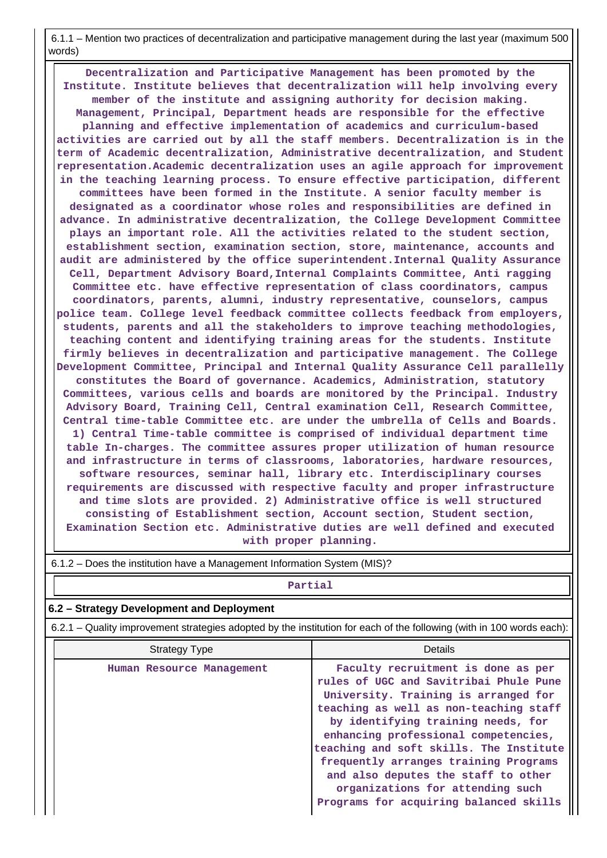6.1.1 – Mention two practices of decentralization and participative management during the last year (maximum 500 words)

 **Decentralization and Participative Management has been promoted by the Institute. Institute believes that decentralization will help involving every member of the institute and assigning authority for decision making. Management, Principal, Department heads are responsible for the effective planning and effective implementation of academics and curriculum-based activities are carried out by all the staff members. Decentralization is in the term of Academic decentralization, Administrative decentralization, and Student representation.Academic decentralization uses an agile approach for improvement in the teaching learning process. To ensure effective participation, different committees have been formed in the Institute. A senior faculty member is designated as a coordinator whose roles and responsibilities are defined in advance. In administrative decentralization, the College Development Committee plays an important role. All the activities related to the student section, establishment section, examination section, store, maintenance, accounts and audit are administered by the office superintendent.Internal Quality Assurance Cell, Department Advisory Board,Internal Complaints Committee, Anti ragging Committee etc. have effective representation of class coordinators, campus coordinators, parents, alumni, industry representative, counselors, campus police team. College level feedback committee collects feedback from employers, students, parents and all the stakeholders to improve teaching methodologies, teaching content and identifying training areas for the students. Institute firmly believes in decentralization and participative management. The College Development Committee, Principal and Internal Quality Assurance Cell parallelly constitutes the Board of governance. Academics, Administration, statutory Committees, various cells and boards are monitored by the Principal. Industry Advisory Board, Training Cell, Central examination Cell, Research Committee, Central time-table Committee etc. are under the umbrella of Cells and Boards. 1) Central Time-table committee is comprised of individual department time table In-charges. The committee assures proper utilization of human resource and infrastructure in terms of classrooms, laboratories, hardware resources, software resources, seminar hall, library etc. Interdisciplinary courses requirements are discussed with respective faculty and proper infrastructure and time slots are provided. 2) Administrative office is well structured consisting of Establishment section, Account section, Student section, Examination Section etc. Administrative duties are well defined and executed with proper planning.**

|                                           | Partial                                                                                                                                                                                                                                                                                                                                                                                                                                               |  |  |  |  |  |
|-------------------------------------------|-------------------------------------------------------------------------------------------------------------------------------------------------------------------------------------------------------------------------------------------------------------------------------------------------------------------------------------------------------------------------------------------------------------------------------------------------------|--|--|--|--|--|
| 6.2 – Strategy Development and Deployment |                                                                                                                                                                                                                                                                                                                                                                                                                                                       |  |  |  |  |  |
|                                           | 6.2.1 – Quality improvement strategies adopted by the institution for each of the following (with in 100 words each):                                                                                                                                                                                                                                                                                                                                 |  |  |  |  |  |
| Strategy Type                             | Details                                                                                                                                                                                                                                                                                                                                                                                                                                               |  |  |  |  |  |
| Human Resource Management                 | Faculty recruitment is done as per<br>rules of UGC and Savitribai Phule Pune<br>University. Training is arranged for<br>teaching as well as non-teaching staff<br>by identifying training needs, for<br>enhancing professional competencies,<br>teaching and soft skills. The Institute<br>frequently arranges training Programs<br>and also deputes the staff to other<br>organizations for attending such<br>Programs for acquiring balanced skills |  |  |  |  |  |

6.1.2 – Does the institution have a Management Information System (MIS)?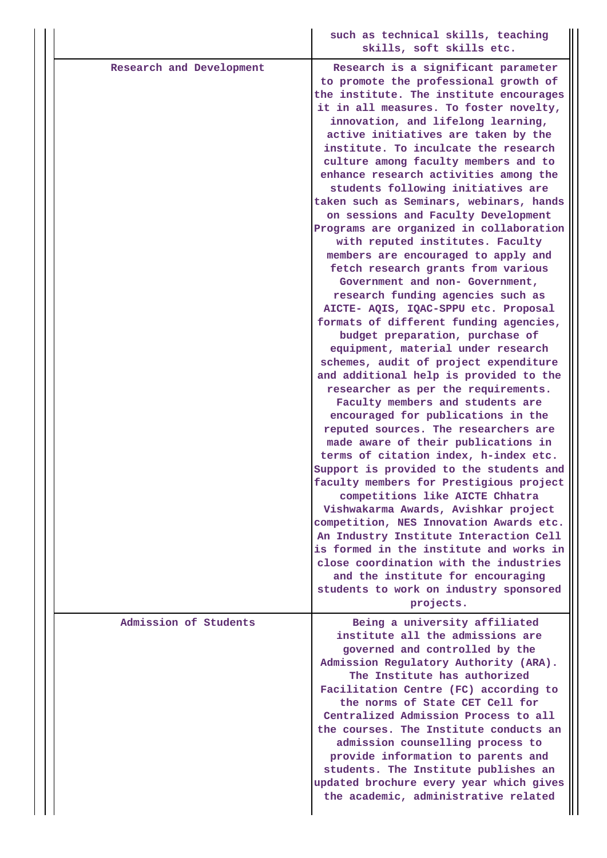|                          | such as technical skills, teaching<br>skills, soft skills etc.                                                                                                                                                                                                                                                                                                                                                                                                                                                                                                                                                                                                                                                                                                                                                                                                                                                                                                                                                                                                                                                                                                                                                                                                                                                                                                                                                                                                                                                                                                                                             |
|--------------------------|------------------------------------------------------------------------------------------------------------------------------------------------------------------------------------------------------------------------------------------------------------------------------------------------------------------------------------------------------------------------------------------------------------------------------------------------------------------------------------------------------------------------------------------------------------------------------------------------------------------------------------------------------------------------------------------------------------------------------------------------------------------------------------------------------------------------------------------------------------------------------------------------------------------------------------------------------------------------------------------------------------------------------------------------------------------------------------------------------------------------------------------------------------------------------------------------------------------------------------------------------------------------------------------------------------------------------------------------------------------------------------------------------------------------------------------------------------------------------------------------------------------------------------------------------------------------------------------------------------|
| Research and Development | Research is a significant parameter<br>to promote the professional growth of<br>the institute. The institute encourages<br>it in all measures. To foster novelty,<br>innovation, and lifelong learning,<br>active initiatives are taken by the<br>institute. To inculcate the research<br>culture among faculty members and to<br>enhance research activities among the<br>students following initiatives are<br>taken such as Seminars, webinars, hands<br>on sessions and Faculty Development<br>Programs are organized in collaboration<br>with reputed institutes. Faculty<br>members are encouraged to apply and<br>fetch research grants from various<br>Government and non- Government,<br>research funding agencies such as<br>AICTE- AQIS, IQAC-SPPU etc. Proposal<br>formats of different funding agencies,<br>budget preparation, purchase of<br>equipment, material under research<br>schemes, audit of project expenditure<br>and additional help is provided to the<br>researcher as per the requirements.<br>Faculty members and students are<br>encouraged for publications in the<br>reputed sources. The researchers are<br>made aware of their publications in<br>terms of citation index, h-index etc.<br>Support is provided to the students and<br>faculty members for Prestigious project<br>competitions like AICTE Chhatra<br>Vishwakarma Awards, Avishkar project<br>competition, NES Innovation Awards etc.<br>An Industry Institute Interaction Cell<br>is formed in the institute and works in<br>close coordination with the industries<br>and the institute for encouraging |
|                          | students to work on industry sponsored<br>projects.                                                                                                                                                                                                                                                                                                                                                                                                                                                                                                                                                                                                                                                                                                                                                                                                                                                                                                                                                                                                                                                                                                                                                                                                                                                                                                                                                                                                                                                                                                                                                        |
| Admission of Students    | Being a university affiliated<br>institute all the admissions are<br>governed and controlled by the<br>Admission Regulatory Authority (ARA).<br>The Institute has authorized<br>Facilitation Centre (FC) according to<br>the norms of State CET Cell for<br>Centralized Admission Process to all<br>the courses. The Institute conducts an<br>admission counselling process to<br>provide information to parents and<br>students. The Institute publishes an<br>updated brochure every year which gives<br>the academic, administrative related                                                                                                                                                                                                                                                                                                                                                                                                                                                                                                                                                                                                                                                                                                                                                                                                                                                                                                                                                                                                                                                            |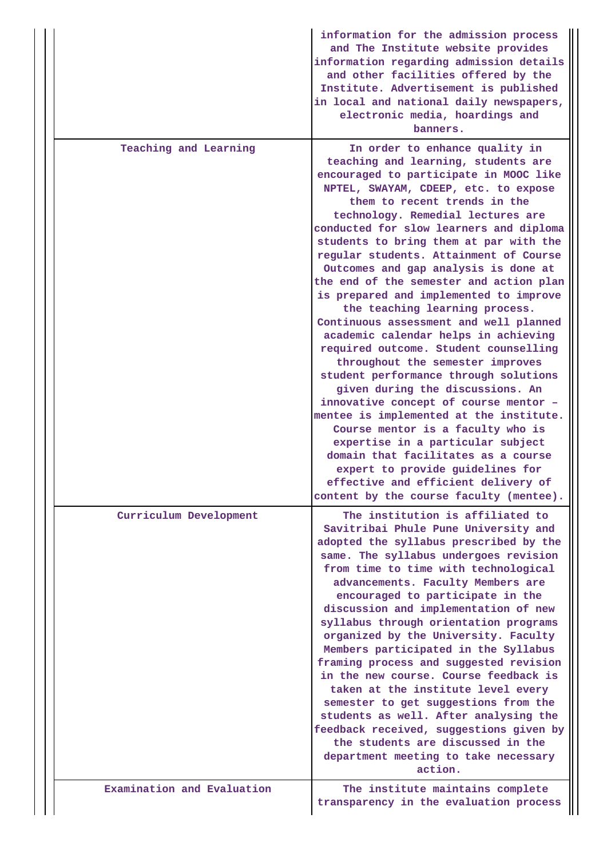|                            | information for the admission process<br>and The Institute website provides<br>information regarding admission details<br>and other facilities offered by the<br>Institute. Advertisement is published<br>in local and national daily newspapers,<br>electronic media, hoardings and<br>banners.                                                                                                                                                                                                                                                                                                                                                                                                                                                                                                                                                                                                                                                                                                                                                       |
|----------------------------|--------------------------------------------------------------------------------------------------------------------------------------------------------------------------------------------------------------------------------------------------------------------------------------------------------------------------------------------------------------------------------------------------------------------------------------------------------------------------------------------------------------------------------------------------------------------------------------------------------------------------------------------------------------------------------------------------------------------------------------------------------------------------------------------------------------------------------------------------------------------------------------------------------------------------------------------------------------------------------------------------------------------------------------------------------|
| Teaching and Learning      | In order to enhance quality in<br>teaching and learning, students are<br>encouraged to participate in MOOC like<br>NPTEL, SWAYAM, CDEEP, etc. to expose<br>them to recent trends in the<br>technology. Remedial lectures are<br>conducted for slow learners and diploma<br>students to bring them at par with the<br>regular students. Attainment of Course<br>Outcomes and gap analysis is done at<br>the end of the semester and action plan<br>is prepared and implemented to improve<br>the teaching learning process.<br>Continuous assessment and well planned<br>academic calendar helps in achieving<br>required outcome. Student counselling<br>throughout the semester improves<br>student performance through solutions<br>given during the discussions. An<br>innovative concept of course mentor -<br>mentee is implemented at the institute.<br>Course mentor is a faculty who is<br>expertise in a particular subject<br>domain that facilitates as a course<br>expert to provide guidelines for<br>effective and efficient delivery of |
|                            | content by the course faculty (mentee).                                                                                                                                                                                                                                                                                                                                                                                                                                                                                                                                                                                                                                                                                                                                                                                                                                                                                                                                                                                                                |
| Curriculum Development     | The institution is affiliated to<br>Savitribai Phule Pune University and<br>adopted the syllabus prescribed by the<br>same. The syllabus undergoes revision<br>from time to time with technological<br>advancements. Faculty Members are<br>encouraged to participate in the<br>discussion and implementation of new<br>syllabus through orientation programs<br>organized by the University. Faculty<br>Members participated in the Syllabus<br>framing process and suggested revision<br>in the new course. Course feedback is<br>taken at the institute level every<br>semester to get suggestions from the<br>students as well. After analysing the<br>feedback received, suggestions given by<br>the students are discussed in the<br>department meeting to take necessary<br>action.                                                                                                                                                                                                                                                             |
| Examination and Evaluation | The institute maintains complete<br>transparency in the evaluation process                                                                                                                                                                                                                                                                                                                                                                                                                                                                                                                                                                                                                                                                                                                                                                                                                                                                                                                                                                             |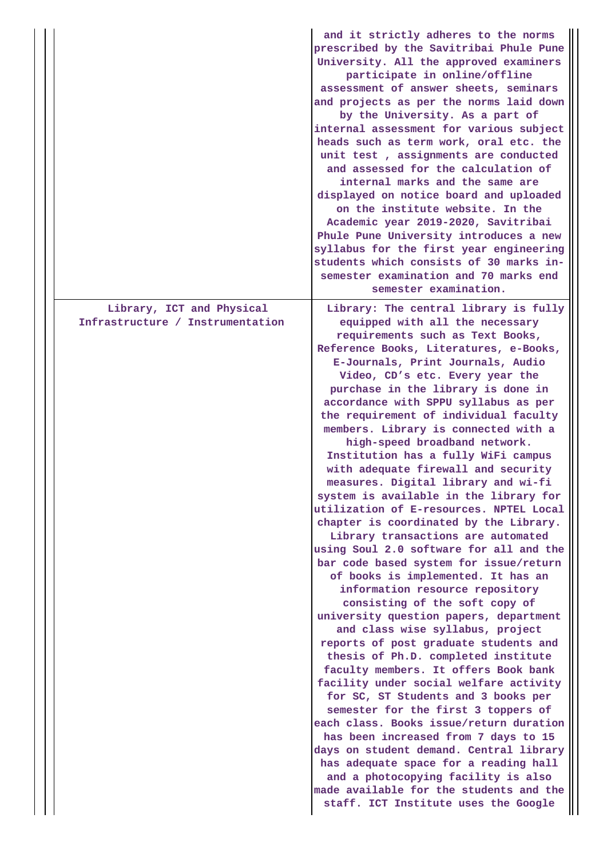|                                                               | and it strictly adheres to the norms<br>prescribed by the Savitribai Phule Pune<br>University. All the approved examiners<br>participate in online/offline<br>assessment of answer sheets, seminars<br>and projects as per the norms laid down<br>by the University. As a part of<br>internal assessment for various subject<br>heads such as term work, oral etc. the<br>unit test, assignments are conducted<br>and assessed for the calculation of<br>internal marks and the same are<br>displayed on notice board and uploaded<br>on the institute website. In the<br>Academic year 2019-2020, Savitribai<br>Phule Pune University introduces a new<br>syllabus for the first year engineering<br>students which consists of 30 marks in-<br>semester examination and 70 marks end<br>semester examination.                                                                                                                                                                                                                                                                                                                                                                                                                                                                                                                                                                                                                                                                                                                                         |
|---------------------------------------------------------------|---------------------------------------------------------------------------------------------------------------------------------------------------------------------------------------------------------------------------------------------------------------------------------------------------------------------------------------------------------------------------------------------------------------------------------------------------------------------------------------------------------------------------------------------------------------------------------------------------------------------------------------------------------------------------------------------------------------------------------------------------------------------------------------------------------------------------------------------------------------------------------------------------------------------------------------------------------------------------------------------------------------------------------------------------------------------------------------------------------------------------------------------------------------------------------------------------------------------------------------------------------------------------------------------------------------------------------------------------------------------------------------------------------------------------------------------------------------------------------------------------------------------------------------------------------|
| Library, ICT and Physical<br>Infrastructure / Instrumentation | Library: The central library is fully<br>equipped with all the necessary<br>requirements such as Text Books,<br>Reference Books, Literatures, e-Books,<br>E-Journals, Print Journals, Audio<br>Video, CD's etc. Every year the<br>purchase in the library is done in<br>accordance with SPPU syllabus as per<br>the requirement of individual faculty<br>members. Library is connected with a<br>high-speed broadband network.<br>Institution has a fully WiFi campus<br>with adequate firewall and security<br>measures. Digital library and wi-fi<br>system is available in the library for<br>utilization of E-resources. NPTEL Local<br>chapter is coordinated by the Library.<br>Library transactions are automated<br>using Soul 2.0 software for all and the<br>bar code based system for issue/return<br>of books is implemented. It has an<br>information resource repository<br>consisting of the soft copy of<br>university question papers, department<br>and class wise syllabus, project<br>reports of post graduate students and<br>thesis of Ph.D. completed institute<br>faculty members. It offers Book bank<br>facility under social welfare activity<br>for SC, ST Students and 3 books per<br>semester for the first 3 toppers of<br>each class. Books issue/return duration<br>has been increased from 7 days to 15<br>days on student demand. Central library<br>has adequate space for a reading hall<br>and a photocopying facility is also<br>made available for the students and the<br>staff. ICT Institute uses the Google |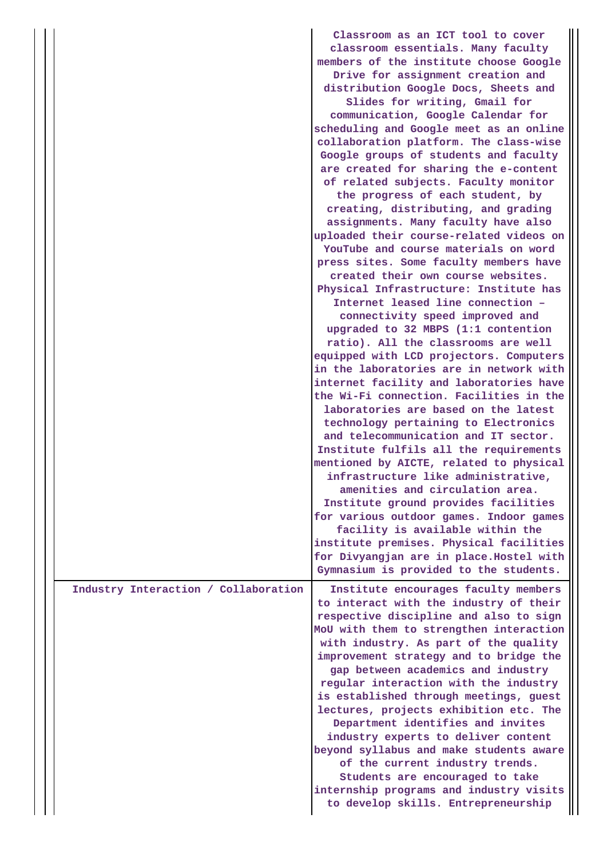|                                      | Classroom as an ICT tool to cover<br>classroom essentials. Many faculty<br>members of the institute choose Google<br>Drive for assignment creation and<br>distribution Google Docs, Sheets and<br>Slides for writing, Gmail for<br>communication, Google Calendar for<br>scheduling and Google meet as an online<br>collaboration platform. The class-wise<br>Google groups of students and faculty<br>are created for sharing the e-content<br>of related subjects. Faculty monitor<br>the progress of each student, by<br>creating, distributing, and grading<br>assignments. Many faculty have also<br>uploaded their course-related videos on<br>YouTube and course materials on word<br>press sites. Some faculty members have<br>created their own course websites.<br>Physical Infrastructure: Institute has<br>Internet leased line connection -<br>connectivity speed improved and<br>upgraded to 32 MBPS (1:1 contention<br>ratio). All the classrooms are well<br>equipped with LCD projectors. Computers<br>in the laboratories are in network with<br>internet facility and laboratories have<br>the Wi-Fi connection. Facilities in the<br>laboratories are based on the latest<br>technology pertaining to Electronics<br>and telecommunication and IT sector.<br>Institute fulfils all the requirements<br>mentioned by AICTE, related to physical<br>infrastructure like administrative,<br>amenities and circulation area.<br>Institute ground provides facilities<br>for various outdoor games. Indoor games<br>facility is available within the<br>institute premises. Physical facilities |
|--------------------------------------|----------------------------------------------------------------------------------------------------------------------------------------------------------------------------------------------------------------------------------------------------------------------------------------------------------------------------------------------------------------------------------------------------------------------------------------------------------------------------------------------------------------------------------------------------------------------------------------------------------------------------------------------------------------------------------------------------------------------------------------------------------------------------------------------------------------------------------------------------------------------------------------------------------------------------------------------------------------------------------------------------------------------------------------------------------------------------------------------------------------------------------------------------------------------------------------------------------------------------------------------------------------------------------------------------------------------------------------------------------------------------------------------------------------------------------------------------------------------------------------------------------------------------------------------------------------------------------------------------------------|
|                                      | for Divyangjan are in place. Hostel with<br>Gymnasium is provided to the students.                                                                                                                                                                                                                                                                                                                                                                                                                                                                                                                                                                                                                                                                                                                                                                                                                                                                                                                                                                                                                                                                                                                                                                                                                                                                                                                                                                                                                                                                                                                             |
| Industry Interaction / Collaboration | Institute encourages faculty members<br>to interact with the industry of their<br>respective discipline and also to sign<br>MoU with them to strengthen interaction<br>with industry. As part of the quality<br>improvement strategy and to bridge the<br>gap between academics and industry<br>regular interaction with the industry<br>is established through meetings, guest<br>lectures, projects exhibition etc. The<br>Department identifies and invites<br>industry experts to deliver content<br>beyond syllabus and make students aware<br>of the current industry trends.<br>Students are encouraged to take<br>internship programs and industry visits<br>to develop skills. Entrepreneurship                                                                                                                                                                                                                                                                                                                                                                                                                                                                                                                                                                                                                                                                                                                                                                                                                                                                                                       |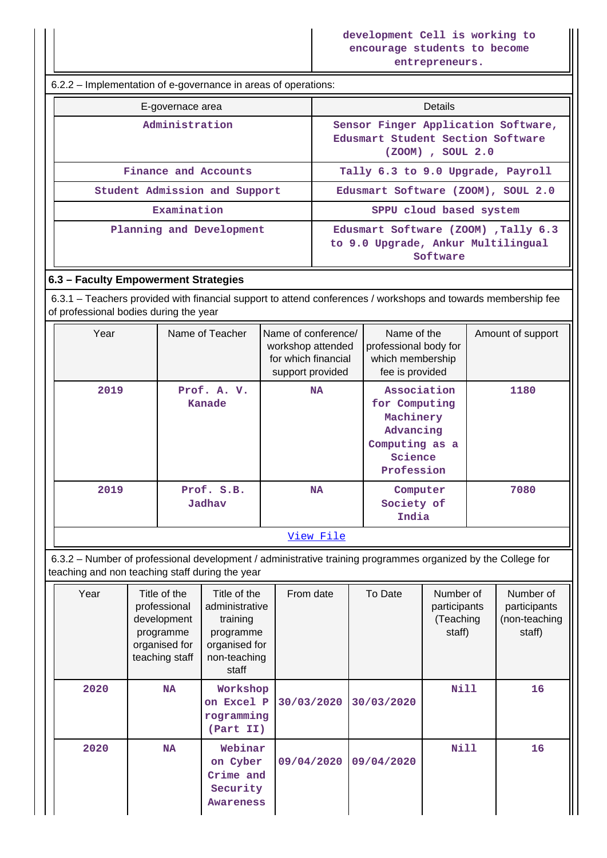6.2.2 – Implementation of e-governance in areas of operations:

| E-governace area              | <b>Details</b>                                                                                    |  |  |
|-------------------------------|---------------------------------------------------------------------------------------------------|--|--|
| Administration                | Sensor Finger Application Software,<br>Edusmart Student Section Software<br>$(200M)$ , SOUL $2.0$ |  |  |
| Finance and Accounts          | Tally 6.3 to 9.0 Upgrade, Payroll                                                                 |  |  |
| Student Admission and Support | Edusmart Software (ZOOM), SOUL 2.0                                                                |  |  |
| Examination                   | SPPU cloud based system                                                                           |  |  |
| Planning and Development      | Edusmart Software (ZOOM) , Tally 6.3<br>to 9.0 Upgrade, Ankur Multilingual<br>Software            |  |  |

## **6.3 – Faculty Empowerment Strategies**

 6.3.1 – Teachers provided with financial support to attend conferences / workshops and towards membership fee of professional bodies during the year

| Year | Name of Teacher       | Name of conference/<br>workshop attended<br>for which financial<br>support provided | Name of the<br>professional body for<br>which membership<br>fee is provided                       | Amount of support |
|------|-----------------------|-------------------------------------------------------------------------------------|---------------------------------------------------------------------------------------------------|-------------------|
| 2019 | Prof. A. V.<br>Kanade | <b>NA</b>                                                                           | Association<br>for Computing<br>Machinery<br>Advancing<br>Computing as a<br>Science<br>Profession | 1180              |
| 2019 | Prof. S.B.<br>Jadhav  | <b>NA</b>                                                                           | Computer<br>Society of<br>India                                                                   | 7080              |
|      |                       | View File                                                                           |                                                                                                   |                   |

 6.3.2 – Number of professional development / administrative training programmes organized by the College for teaching and non teaching staff during the year

| Year | Title of the<br>professional<br>development<br>programme<br>organised for<br>teaching staff | Title of the<br>administrative<br>training<br>programme<br>organised for<br>non-teaching<br>staff | From date  | To Date    | Number of<br>participants<br>(Teaching<br>staff) | Number of<br>participants<br>(non-teaching<br>staff) |
|------|---------------------------------------------------------------------------------------------|---------------------------------------------------------------------------------------------------|------------|------------|--------------------------------------------------|------------------------------------------------------|
| 2020 | <b>NA</b>                                                                                   | Workshop<br>on Excel P<br>rogramming<br>(Part II)                                                 | 30/03/2020 | 30/03/2020 | Nill                                             | 16                                                   |
| 2020 | <b>NA</b>                                                                                   | Webinar<br>on Cyber<br>Crime and<br>Security<br>Awareness                                         | 09/04/2020 | 09/04/2020 | Nill                                             | 16                                                   |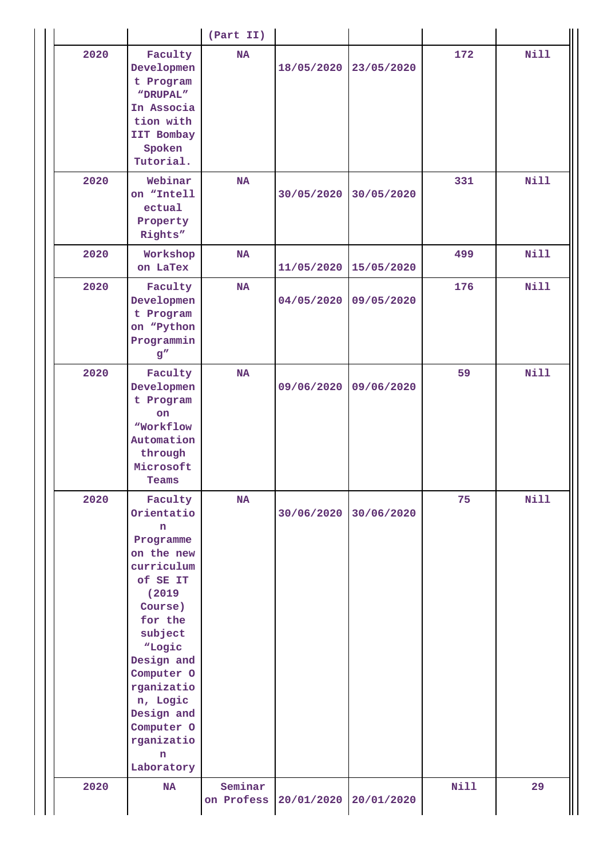|      |                                                                                                                                                                                                                                                                   | (Part II)             |            |            |             |             |
|------|-------------------------------------------------------------------------------------------------------------------------------------------------------------------------------------------------------------------------------------------------------------------|-----------------------|------------|------------|-------------|-------------|
| 2020 | Faculty<br>Developmen<br>t Program<br>"DRUPAL"<br>In Associa<br>tion with<br>IIT Bombay<br>Spoken<br>Tutorial.                                                                                                                                                    | <b>NA</b>             | 18/05/2020 | 23/05/2020 | 172         | <b>Nill</b> |
| 2020 | Webinar<br>on "Intell<br>ectual<br>Property<br>Rights"                                                                                                                                                                                                            | <b>NA</b>             | 30/05/2020 | 30/05/2020 | 331         | <b>Nill</b> |
| 2020 | Workshop<br>on LaTex                                                                                                                                                                                                                                              | <b>NA</b>             | 11/05/2020 | 15/05/2020 | 499         | Nill        |
| 2020 | Faculty<br>Developmen<br>t Program<br>on "Python<br>Programmin<br>g''                                                                                                                                                                                             | <b>NA</b>             | 04/05/2020 | 09/05/2020 | 176         | <b>Nill</b> |
| 2020 | Faculty<br>Developmen<br>t Program<br><b>on</b><br>"Workflow<br>Automation<br>through<br>Microsoft<br>Teams                                                                                                                                                       | NA                    | 09/06/2020 | 09/06/2020 | 59          | Nill        |
| 2020 | Faculty<br>Orientatio<br>n.<br>Programme<br>on the new<br>curriculum<br>of SE IT<br>(2019<br>Course)<br>for the<br>subject<br>"Logic<br>Design and<br>Computer 0<br>rganizatio<br>n, Logic<br>Design and<br>Computer O<br>rganizatio<br>$\mathbf n$<br>Laboratory | <b>NA</b>             | 30/06/2020 | 30/06/2020 | 75          | <b>Nill</b> |
| 2020 | <b>NA</b>                                                                                                                                                                                                                                                         | Seminar<br>on Profess | 20/01/2020 | 20/01/2020 | <b>Nill</b> | 29          |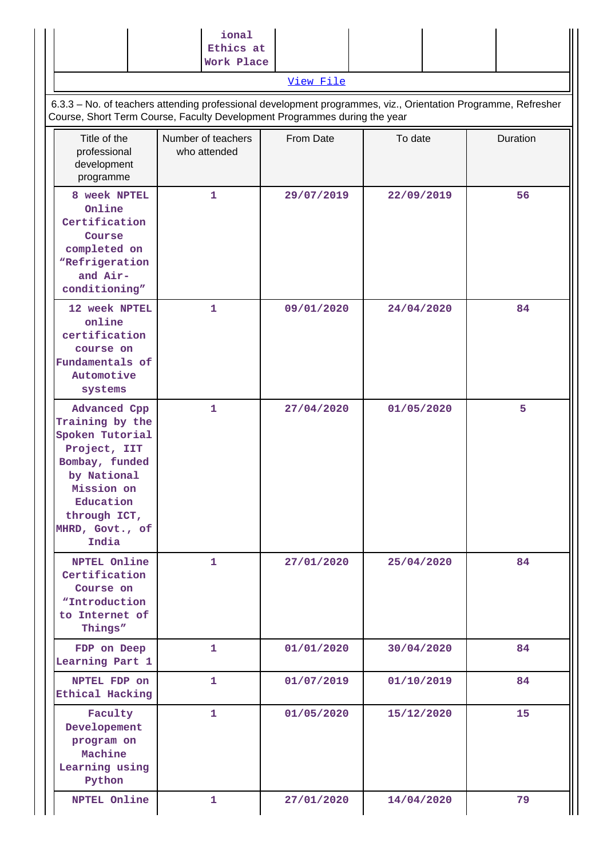|                                                                                                                                                                                            | ional<br>Ethics at<br>Work Place   |            |            |          |
|--------------------------------------------------------------------------------------------------------------------------------------------------------------------------------------------|------------------------------------|------------|------------|----------|
|                                                                                                                                                                                            |                                    | View File  |            |          |
| 6.3.3 - No. of teachers attending professional development programmes, viz., Orientation Programme, Refresher<br>Course, Short Term Course, Faculty Development Programmes during the year |                                    |            |            |          |
| Title of the<br>professional<br>development<br>programme                                                                                                                                   | Number of teachers<br>who attended | From Date  | To date    | Duration |
| 8 week NPTEL<br>Online<br>Certification<br>Course<br>completed on<br>"Refrigeration<br>and Air-<br>conditioning"                                                                           | 1                                  | 29/07/2019 | 22/09/2019 | 56       |
| 12 week NPTEL<br>online<br>certification<br>course on<br>Fundamentals of<br>Automotive<br>systems                                                                                          | 1                                  | 09/01/2020 | 24/04/2020 | 84       |
| Advanced Cpp<br>Training by the<br>Spoken Tutorial<br>Project, IIT<br>Bombay, funded<br>by National<br>Mission on<br>Education<br>through ICT,<br>MHRD, Govt., of<br>India                 | $\mathbf{1}$                       | 27/04/2020 | 01/05/2020 | 5        |
| <b>NPTEL Online</b><br>Certification<br>Course on<br>"Introduction<br>to Internet of<br>Things"                                                                                            | 1                                  | 27/01/2020 | 25/04/2020 | 84       |
| FDP on Deep<br>Learning Part 1                                                                                                                                                             | 1                                  | 01/01/2020 | 30/04/2020 | 84       |
| NPTEL FDP on<br>Ethical Hacking                                                                                                                                                            | $\mathbf{1}$                       | 01/07/2019 | 01/10/2019 | 84       |
| Faculty<br>Developement<br>program on<br>Machine<br>Learning using<br>Python                                                                                                               | 1                                  | 01/05/2020 | 15/12/2020 | 15       |
| NPTEL Online                                                                                                                                                                               | 1                                  | 27/01/2020 | 14/04/2020 | 79       |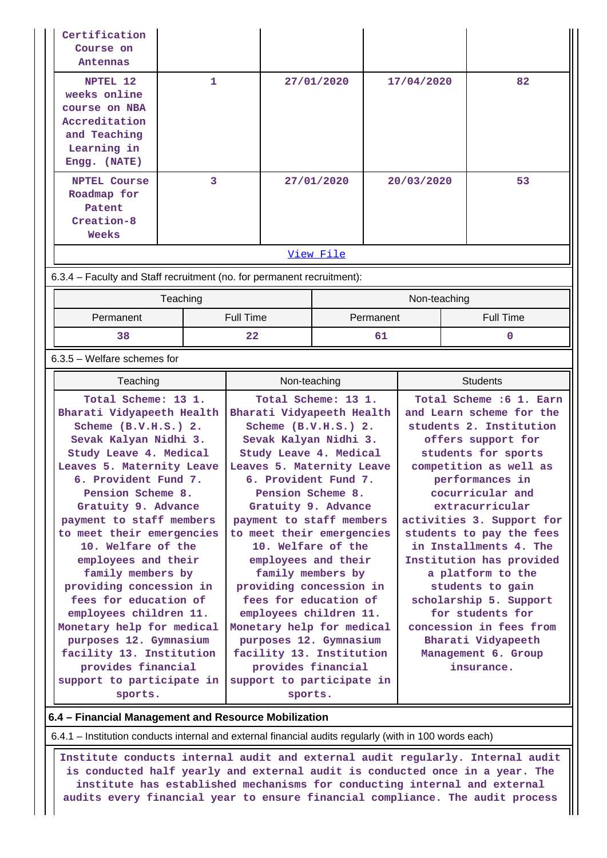| Certification<br>Course on<br>Antennas                                                                    |   |            |            |    |
|-----------------------------------------------------------------------------------------------------------|---|------------|------------|----|
| NPTEL 12<br>weeks online<br>course on NBA<br>Accreditation<br>and Teaching<br>Learning in<br>Engg. (NATE) | 1 | 27/01/2020 | 17/04/2020 | 82 |
| <b>NPTEL Course</b><br>Roadmap for<br>Patent<br>Creation-8<br>Weeks                                       | 3 | 27/01/2020 | 20/03/2020 | 53 |
|                                                                                                           |   | View File  |            |    |

6.3.4 – Faculty and Staff recruitment (no. for permanent recruitment):

|           | Teaching  | Non-teaching |           |
|-----------|-----------|--------------|-----------|
| Permanent | Full Time | Permanent    | Full Time |
| 38        | 22        |              |           |

#### 6.3.5 – Welfare schemes for

| Teaching                                                                                                                                                                                                                                                                                                                                                                                                                                                             | Non-teaching                                                                                                                                                                                                                                                                                                                                                                                                                                                         | <b>Students</b>                                                                                                                                                                                                                                                                                                                                                                                                                                   |
|----------------------------------------------------------------------------------------------------------------------------------------------------------------------------------------------------------------------------------------------------------------------------------------------------------------------------------------------------------------------------------------------------------------------------------------------------------------------|----------------------------------------------------------------------------------------------------------------------------------------------------------------------------------------------------------------------------------------------------------------------------------------------------------------------------------------------------------------------------------------------------------------------------------------------------------------------|---------------------------------------------------------------------------------------------------------------------------------------------------------------------------------------------------------------------------------------------------------------------------------------------------------------------------------------------------------------------------------------------------------------------------------------------------|
| Total Scheme: 13 1.<br>Bharati Vidyapeeth Health<br>Scheme $(B.V.H.S.)$ 2.<br>Sevak Kalyan Nidhi 3.<br>Study Leave 4. Medical<br>Leaves 5. Maternity Leave<br>6. Provident Fund 7.<br>Pension Scheme 8.<br>Gratuity 9. Advance<br>payment to staff members<br>to meet their emergencies<br>10. Welfare of the<br>employees and their<br>family members by<br>providing concession in<br>fees for education of<br>employees children 11.<br>Monetary help for medical | Total Scheme: 13 1.<br>Bharati Vidyapeeth Health<br>Scheme $(B.V.H.S.)$ 2.<br>Sevak Kalyan Nidhi 3.<br>Study Leave 4. Medical<br>Leaves 5. Maternity Leave<br>6. Provident Fund 7.<br>Pension Scheme 8.<br>Gratuity 9. Advance<br>payment to staff members<br>to meet their emergencies<br>10. Welfare of the<br>employees and their<br>family members by<br>providing concession in<br>fees for education of<br>employees children 11.<br>Monetary help for medical | Total Scheme : 6 1. Earn<br>and Learn scheme for the<br>students 2. Institution<br>offers support for<br>students for sports<br>competition as well as<br>performances in<br>cocurricular and<br>extracurricular<br>activities 3. Support for<br>students to pay the fees<br>in Installments 4. The<br>Institution has provided<br>a platform to the<br>students to gain<br>scholarship 5. Support<br>for students for<br>concession in fees from |
| purposes 12. Gymnasium<br>facility 13. Institution                                                                                                                                                                                                                                                                                                                                                                                                                   | purposes 12. Gymnasium<br>facility 13. Institution                                                                                                                                                                                                                                                                                                                                                                                                                   | Bharati Vidyapeeth<br>Management 6. Group                                                                                                                                                                                                                                                                                                                                                                                                         |
| provides financial<br>support to participate in                                                                                                                                                                                                                                                                                                                                                                                                                      | provides financial<br>support to participate in                                                                                                                                                                                                                                                                                                                                                                                                                      | insurance.                                                                                                                                                                                                                                                                                                                                                                                                                                        |
| sports.                                                                                                                                                                                                                                                                                                                                                                                                                                                              | sports.                                                                                                                                                                                                                                                                                                                                                                                                                                                              |                                                                                                                                                                                                                                                                                                                                                                                                                                                   |

## **6.4 – Financial Management and Resource Mobilization**

6.4.1 – Institution conducts internal and external financial audits regularly (with in 100 words each)

 **Institute conducts internal audit and external audit regularly. Internal audit is conducted half yearly and external audit is conducted once in a year. The institute has established mechanisms for conducting internal and external audits every financial year to ensure financial compliance. The audit process**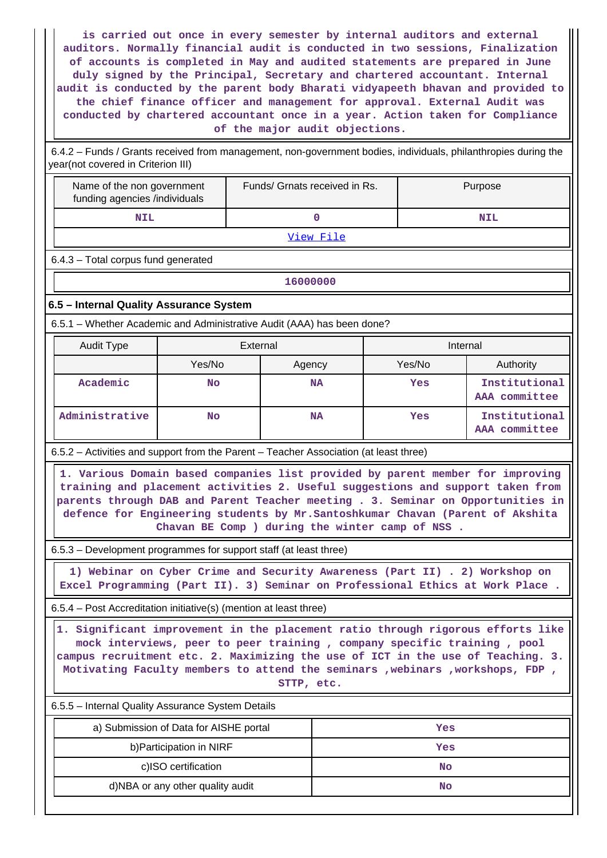**is carried out once in every semester by internal auditors and external auditors. Normally financial audit is conducted in two sessions, Finalization of accounts is completed in May and audited statements are prepared in June duly signed by the Principal, Secretary and chartered accountant. Internal audit is conducted by the parent body Bharati vidyapeeth bhavan and provided to the chief finance officer and management for approval. External Audit was conducted by chartered accountant once in a year. Action taken for Compliance of the major audit objections.**

 6.4.2 – Funds / Grants received from management, non-government bodies, individuals, philanthropies during the year(not covered in Criterion III)

| Name of the non government<br>funding agencies /individuals                     | Funds/ Grnats received in Rs. | Purpose |  |  |  |
|---------------------------------------------------------------------------------|-------------------------------|---------|--|--|--|
| <b>NIL</b>                                                                      |                               | NTL     |  |  |  |
| $\overline{11}$ $\overline{12}$ $\overline{13}$ $\overline{14}$ $\overline{12}$ |                               |         |  |  |  |

[View File](https://assessmentonline.naac.gov.in/public/Postacc/Funds_or_Grants/7344_Funds_or_Grants_1608804568.xlsx)

6.4.3 – Total corpus fund generated

**16000000**

### **6.5 – Internal Quality Assurance System**

6.5.1 – Whether Academic and Administrative Audit (AAA) has been done?

| Audit Type     | External         |           | Internal |                                |
|----------------|------------------|-----------|----------|--------------------------------|
|                | Yes/No<br>Agency |           | Yes/No   | Authority                      |
| Academic       | <b>No</b>        | <b>NA</b> | Yes      | Institutional<br>AAA committee |
| Administrative | <b>No</b>        | <b>NA</b> | Yes      | Institutional<br>AAA committee |

6.5.2 – Activities and support from the Parent – Teacher Association (at least three)

 **1. Various Domain based companies list provided by parent member for improving training and placement activities 2. Useful suggestions and support taken from parents through DAB and Parent Teacher meeting . 3. Seminar on Opportunities in defence for Engineering students by Mr.Santoshkumar Chavan (Parent of Akshita Chavan BE Comp ) during the winter camp of NSS .**

6.5.3 – Development programmes for support staff (at least three)

 **1) Webinar on Cyber Crime and Security Awareness (Part II) . 2) Workshop on Excel Programming (Part II). 3) Seminar on Professional Ethics at Work Place .**

6.5.4 – Post Accreditation initiative(s) (mention at least three)

 **1. Significant improvement in the placement ratio through rigorous efforts like mock interviews, peer to peer training , company specific training , pool campus recruitment etc. 2. Maximizing the use of ICT in the use of Teaching. 3. Motivating Faculty members to attend the seminars ,webinars ,workshops, FDP , STTP, etc.**

6.5.5 – Internal Quality Assurance System Details

| a) Submission of Data for AISHE portal | Yes |
|----------------------------------------|-----|
| b) Participation in NIRF               | Yes |
| c)ISO certification                    | No  |
| d)NBA or any other quality audit       | No  |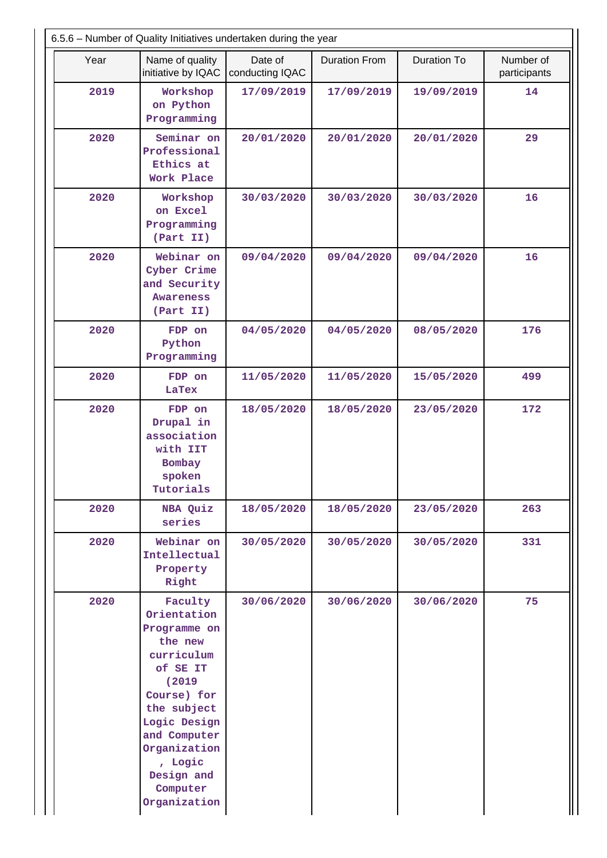| 6.5.6 - Number of Quality Initiatives undertaken during the year |                                                                                                                                                                                                                          |                            |                      |                    |                           |  |
|------------------------------------------------------------------|--------------------------------------------------------------------------------------------------------------------------------------------------------------------------------------------------------------------------|----------------------------|----------------------|--------------------|---------------------------|--|
| Year                                                             | Name of quality<br>initiative by IQAC                                                                                                                                                                                    | Date of<br>conducting IQAC | <b>Duration From</b> | <b>Duration To</b> | Number of<br>participants |  |
| 2019                                                             | Workshop<br>on Python<br>Programming                                                                                                                                                                                     | 17/09/2019                 | 17/09/2019           | 19/09/2019         | 14                        |  |
| 2020                                                             | Seminar on<br>Professional<br>Ethics at<br>Work Place                                                                                                                                                                    | 20/01/2020                 | 20/01/2020           | 20/01/2020         | 29                        |  |
| 2020                                                             | Workshop<br>on Excel<br>Programming<br>(Part II)                                                                                                                                                                         | 30/03/2020                 | 30/03/2020           | 30/03/2020         | 16                        |  |
| 2020                                                             | Webinar on<br>Cyber Crime<br>and Security<br><b>Awareness</b><br>(Part II)                                                                                                                                               | 09/04/2020                 | 09/04/2020           | 09/04/2020         | 16                        |  |
| 2020                                                             | FDP on<br>Python<br>Programming                                                                                                                                                                                          | 04/05/2020                 | 04/05/2020           | 08/05/2020         | 176                       |  |
| 2020                                                             | FDP on<br>LaTex                                                                                                                                                                                                          | 11/05/2020                 | 11/05/2020           | 15/05/2020         | 499                       |  |
| 2020                                                             | FDP on<br>Drupal in<br>association<br>with IIT<br>Bombay<br>spoken<br>Tutorials                                                                                                                                          | 18/05/2020                 | 18/05/2020           | 23/05/2020         | 172                       |  |
| 2020                                                             | NBA Quiz<br>series                                                                                                                                                                                                       | 18/05/2020                 | 18/05/2020           | 23/05/2020         | 263                       |  |
| 2020                                                             | Webinar on<br>Intellectual<br>Property<br>Right                                                                                                                                                                          | 30/05/2020                 | 30/05/2020           | 30/05/2020         | 331                       |  |
| 2020                                                             | Faculty<br>Orientation<br>Programme on<br>the new<br>curriculum<br>of SE IT<br>(2019)<br>Course) for<br>the subject<br>Logic Design<br>and Computer<br>Organization<br>, Logic<br>Design and<br>Computer<br>Organization | 30/06/2020                 | 30/06/2020           | 30/06/2020         | 75                        |  |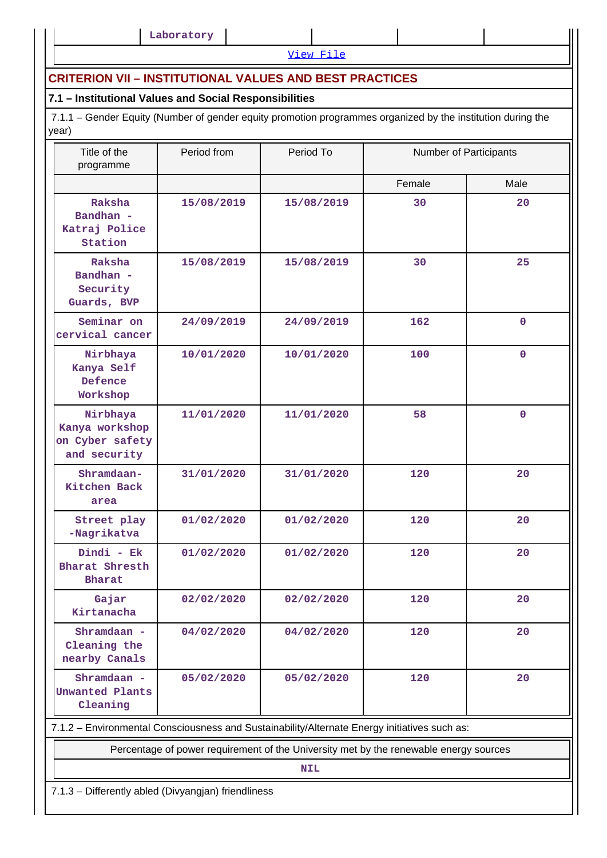[View File](https://assessmentonline.naac.gov.in/public/Postacc/Quality_Initiatives_B/7344_Quality_Initiatives_B_1608806918.xlsx)

## **CRITERION VII – INSTITUTIONAL VALUES AND BEST PRACTICES**

## **7.1 – Institutional Values and Social Responsibilities**

 7.1.1 – Gender Equity (Number of gender equity promotion programmes organized by the institution during the year)

| Title of the<br>programme                                                                    | Period from | Period To  | Number of Participants |              |  |  |
|----------------------------------------------------------------------------------------------|-------------|------------|------------------------|--------------|--|--|
|                                                                                              |             |            | Female                 | Male         |  |  |
| Raksha<br>Bandhan -<br>Katraj Police<br>Station                                              | 15/08/2019  | 15/08/2019 | 30                     | 20           |  |  |
| Raksha<br>Bandhan -<br>Security<br>Guards, BVP                                               | 15/08/2019  | 15/08/2019 | 30                     | 25           |  |  |
| Seminar on<br>cervical cancer                                                                | 24/09/2019  | 24/09/2019 | 162                    | $\mathbf 0$  |  |  |
| Nirbhaya<br>Kanya Self<br>Defence<br>Workshop                                                | 10/01/2020  | 10/01/2020 | 100                    | $\mathbf{0}$ |  |  |
| Nirbhaya<br>Kanya workshop<br>on Cyber safety<br>and security                                | 11/01/2020  | 11/01/2020 | 58                     | $\mathbf 0$  |  |  |
| Shramdaan-<br>Kitchen Back<br>area                                                           | 31/01/2020  | 31/01/2020 | 120                    | 20           |  |  |
| Street play<br>-Nagrikatva                                                                   | 01/02/2020  | 01/02/2020 | 120                    | 20           |  |  |
| Dindi - Ek<br>Bharat Shresth<br>Bharat                                                       | 01/02/2020  | 01/02/2020 | 120                    | 20           |  |  |
| Gajar<br>Kirtanacha                                                                          | 02/02/2020  | 02/02/2020 | 120                    | 20           |  |  |
| Shramdaan -<br>Cleaning the<br>nearby Canals                                                 | 04/02/2020  | 04/02/2020 | 120                    | 20           |  |  |
| Shramdaan -<br>Unwanted Plants<br>Cleaning                                                   | 05/02/2020  | 05/02/2020 | 120                    | 20           |  |  |
| 7.1.2 - Environmental Consciousness and Sustainability/Alternate Energy initiatives such as: |             |            |                        |              |  |  |
| Percentage of power requirement of the University met by the renewable energy sources        |             |            |                        |              |  |  |

**NIL**

7.1.3 – Differently abled (Divyangjan) friendliness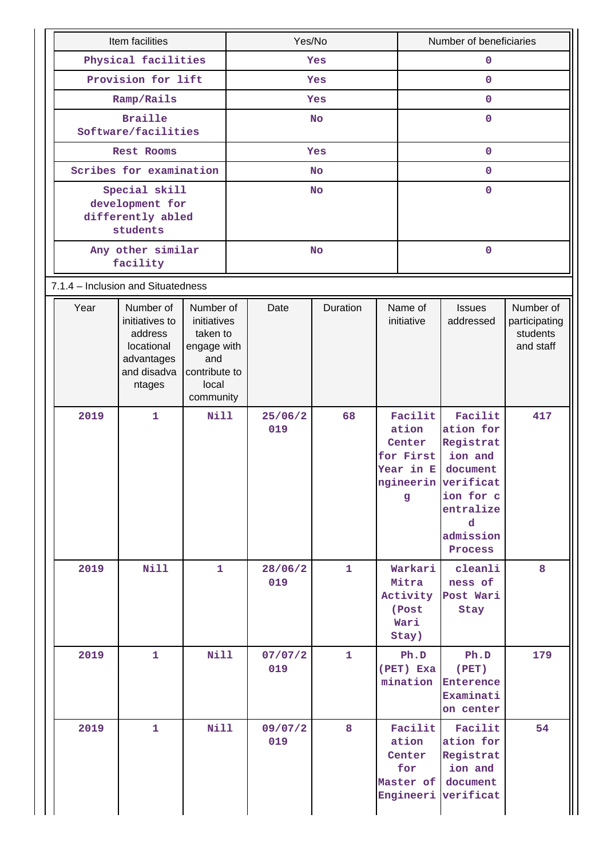| Item facilities                                                   |                                                                                             | Yes/No                                                                                            |            |                | Number of beneficiaries |              |                                                                      |                                                                                                                                        |                                                     |
|-------------------------------------------------------------------|---------------------------------------------------------------------------------------------|---------------------------------------------------------------------------------------------------|------------|----------------|-------------------------|--------------|----------------------------------------------------------------------|----------------------------------------------------------------------------------------------------------------------------------------|-----------------------------------------------------|
| Physical facilities                                               |                                                                                             | Yes                                                                                               |            |                | 0                       |              |                                                                      |                                                                                                                                        |                                                     |
| Provision for lift                                                |                                                                                             |                                                                                                   | <b>Yes</b> |                |                         | $\mathbf 0$  |                                                                      |                                                                                                                                        |                                                     |
| Ramp/Rails                                                        |                                                                                             |                                                                                                   | Yes        |                |                         | $\mathbf 0$  |                                                                      |                                                                                                                                        |                                                     |
|                                                                   | <b>Braille</b><br>Software/facilities                                                       |                                                                                                   | <b>No</b>  |                |                         | $\mathbf{O}$ |                                                                      |                                                                                                                                        |                                                     |
|                                                                   | Rest Rooms                                                                                  |                                                                                                   | <b>Yes</b> |                |                         | $\mathbf 0$  |                                                                      |                                                                                                                                        |                                                     |
|                                                                   | Scribes for examination                                                                     |                                                                                                   |            |                | <b>No</b>               |              | $\mathbf 0$                                                          |                                                                                                                                        |                                                     |
| Special skill<br>development for<br>differently abled<br>students |                                                                                             |                                                                                                   | <b>No</b>  |                |                         | $\mathbf 0$  |                                                                      |                                                                                                                                        |                                                     |
|                                                                   | Any other similar<br>facility                                                               |                                                                                                   | <b>No</b>  |                |                         | $\mathbf 0$  |                                                                      |                                                                                                                                        |                                                     |
| 7.1.4 - Inclusion and Situatedness                                |                                                                                             |                                                                                                   |            |                |                         |              |                                                                      |                                                                                                                                        |                                                     |
| Year                                                              | Number of<br>initiatives to<br>address<br>locational<br>advantages<br>and disadva<br>ntages | Number of<br>initiatives<br>taken to<br>engage with<br>and<br>contribute to<br>local<br>community |            | Date           | Duration                |              | Name of<br>initiative                                                | <b>Issues</b><br>addressed                                                                                                             | Number of<br>participating<br>students<br>and staff |
| 2019                                                              | $\mathbf{1}$                                                                                | <b>Nill</b>                                                                                       |            | 25/06/2<br>019 | 68                      |              | Facilit<br>ation<br>Center<br>for First<br>Year in E<br>$\mathbf{g}$ | Facilit<br>ation for<br>Registrat<br>ion and<br>document<br>ngineerin verificat<br>ion for c<br>entralize<br>d<br>admission<br>Process | 417                                                 |
| 2019                                                              | <b>Nill</b>                                                                                 | 1                                                                                                 |            | 28/06/2<br>019 | $\mathbf{1}$            |              | Warkari<br>Mitra<br>Activity<br>(Post<br>Wari<br>Stay)               | cleanli<br>ness of<br>Post Wari<br>Stay                                                                                                | 8                                                   |
| 2019                                                              | 1                                                                                           | <b>Nill</b>                                                                                       |            | 07/07/2<br>019 | $\mathbf{1}$            |              | Ph.D<br>(PET) Exa<br>mination                                        | Ph.D<br>(PET)<br><b>Enterence</b><br>Examinati<br>on center                                                                            | 179                                                 |
| 2019                                                              | 1                                                                                           | <b>Nill</b>                                                                                       |            | 09/07/2<br>019 | 8                       |              | Facilit<br>ation<br>Center<br>for<br>Engineeri                       | Facilit<br>ation for<br>Registrat<br>ion and<br>Master of document<br>verificat                                                        | 54                                                  |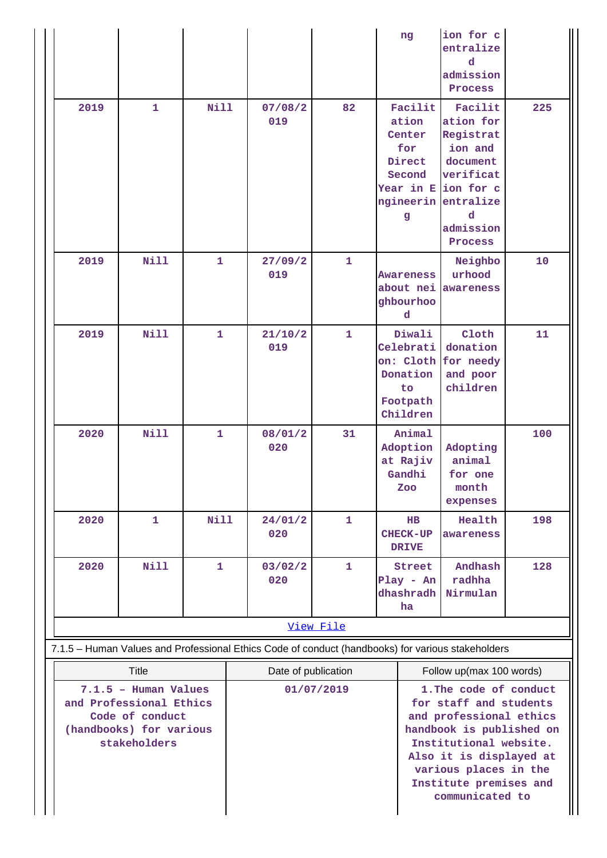|                                                                                                                               |              |              |                                   |              | ng                                                                                                                                                                                                                                          | ion for c<br>entralize<br>d<br>admission<br>Process                                                                                    |     |  |
|-------------------------------------------------------------------------------------------------------------------------------|--------------|--------------|-----------------------------------|--------------|---------------------------------------------------------------------------------------------------------------------------------------------------------------------------------------------------------------------------------------------|----------------------------------------------------------------------------------------------------------------------------------------|-----|--|
| 2019                                                                                                                          | $\mathbf{1}$ | <b>Nill</b>  | 07/08/2<br>019                    | 82           | Facilit<br>ation<br>Center<br>for<br>Direct<br>Second<br>ngineerin<br>g                                                                                                                                                                     | Facilit<br>ation for<br>Registrat<br>ion and<br>document<br>verificat<br>Year in E ion for c<br>entralize<br>d<br>admission<br>Process | 225 |  |
| 2019                                                                                                                          | <b>Nill</b>  | $\mathbf{1}$ | 27/09/2<br>019                    | 1            | <b>Awareness</b><br>about nei<br>ghbourhoo<br>d                                                                                                                                                                                             | Neighbo<br>urhood<br>awareness                                                                                                         | 10  |  |
| 2019                                                                                                                          | Nill         | $\mathbf{1}$ | 21/10/2<br>019                    | $\mathbf{1}$ | Diwali<br>Celebrati<br>on: Cloth<br>Donation<br>to<br>Footpath<br>Children                                                                                                                                                                  | Cloth<br>donation<br>for needy<br>and poor<br>children                                                                                 | 11  |  |
| 2020                                                                                                                          | <b>Nill</b>  | $\mathbf{1}$ | 08/01/2<br>020                    | 31           | Animal<br>Adoption<br>at Rajiv<br>Gandhi<br>Zoo                                                                                                                                                                                             | Adopting<br>animal<br>for one<br>month<br>expenses                                                                                     | 100 |  |
| 2020                                                                                                                          | 1            | <b>Nill</b>  | 24/01/2<br>020                    | 1            | $_{\rm HB}$<br>CHECK-UP<br><b>DRIVE</b>                                                                                                                                                                                                     | Health<br>awareness                                                                                                                    | 198 |  |
| 2020                                                                                                                          | <b>Nill</b>  | $\mathbf{1}$ | 03/02/2<br>020                    | $\mathbf{1}$ | Street<br>$Play - An$<br>dhashradh<br>ha                                                                                                                                                                                                    | Andhash<br>radhha<br>Nirmulan                                                                                                          | 128 |  |
| View File                                                                                                                     |              |              |                                   |              |                                                                                                                                                                                                                                             |                                                                                                                                        |     |  |
|                                                                                                                               |              |              |                                   |              |                                                                                                                                                                                                                                             | 7.1.5 - Human Values and Professional Ethics Code of conduct (handbooks) for various stakeholders                                      |     |  |
| <b>Title</b><br>7.1.5 - Human Values<br>and Professional Ethics<br>Code of conduct<br>(handbooks) for various<br>stakeholders |              |              | Date of publication<br>01/07/2019 |              | Follow up(max 100 words)<br>1. The code of conduct<br>for staff and students<br>and professional ethics<br>handbook is published on<br>Institutional website.<br>Also it is displayed at<br>various places in the<br>Institute premises and |                                                                                                                                        |     |  |
|                                                                                                                               |              |              |                                   |              |                                                                                                                                                                                                                                             |                                                                                                                                        |     |  |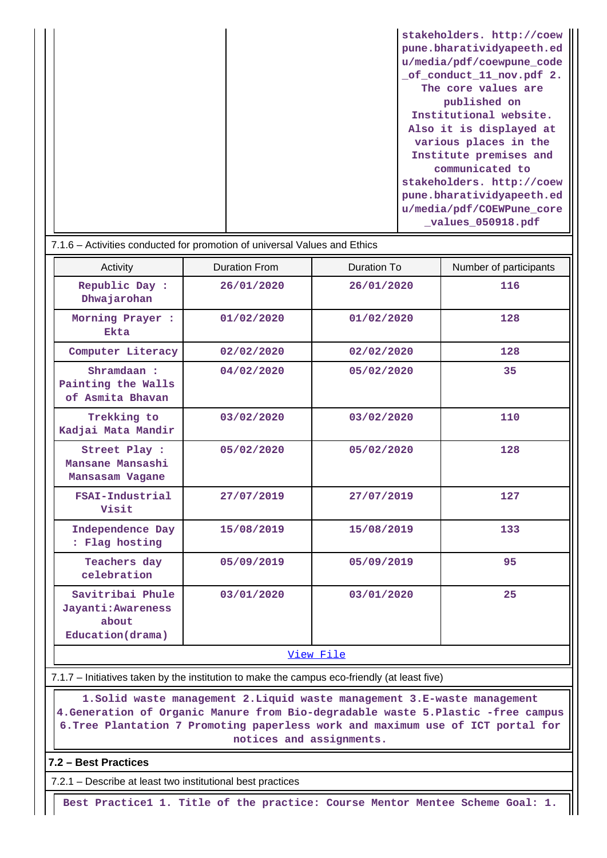| stakeholders. http://coew |
|---------------------------|
| pune.bharatividyapeeth.ed |
| u/media/pdf/coewpune code |
| of conduct 11 nov.pdf 2.  |
| The core values are       |
| published on              |
| Institutional website.    |
| Also it is displayed at   |
| various places in the     |
| Institute premises and    |
| communicated to           |
| stakeholders. http://coew |
| pune.bharatividyapeeth.ed |
| u/media/pdf/COEWPune core |
| _values_050918.pdf        |

| 7.1.6 – Activities conducted for promotion of universal Values and Ethics |                      |             |                        |  |  |  |  |
|---------------------------------------------------------------------------|----------------------|-------------|------------------------|--|--|--|--|
| Activity                                                                  | <b>Duration From</b> | Duration To | Number of participants |  |  |  |  |
| Republic Day :<br>Dhwajarohan                                             | 26/01/2020           | 26/01/2020  | 116                    |  |  |  |  |
| Morning Prayer :<br>Ekta                                                  | 01/02/2020           | 01/02/2020  | 128                    |  |  |  |  |
| Computer Literacy                                                         | 02/02/2020           | 02/02/2020  | 128                    |  |  |  |  |
| Shramdaan:<br>Painting the Walls<br>of Asmita Bhavan                      | 04/02/2020           | 05/02/2020  | 35                     |  |  |  |  |
| Trekking to<br>Kadjai Mata Mandir                                         | 03/02/2020           | 03/02/2020  | 110                    |  |  |  |  |
| Street Play :<br>Mansane Mansashi<br>Mansasam Vagane                      | 05/02/2020           | 05/02/2020  | 128                    |  |  |  |  |
| FSAI-Industrial<br>Visit                                                  | 27/07/2019           | 27/07/2019  | 127                    |  |  |  |  |
| Independence Day<br>: Flag hosting                                        | 15/08/2019           | 15/08/2019  | 133                    |  |  |  |  |
| Teachers day<br>celebration                                               | 05/09/2019           | 05/09/2019  | 95                     |  |  |  |  |
| Savitribai Phule<br>Jayanti: Awareness<br>about<br>Education (drama)      | 03/01/2020           | 03/01/2020  | 25                     |  |  |  |  |
| View File                                                                 |                      |             |                        |  |  |  |  |

7.1.7 – Initiatives taken by the institution to make the campus eco-friendly (at least five)

 **1.Solid waste management 2.Liquid waste management 3.E-waste management 4.Generation of Organic Manure from Bio-degradable waste 5.Plastic -free campus 6.Tree Plantation 7 Promoting paperless work and maximum use of ICT portal for notices and assignments.**

## **7.2 – Best Practices**

7.2.1 – Describe at least two institutional best practices

**Best Practice1 1. Title of the practice: Course Mentor Mentee Scheme Goal: 1.**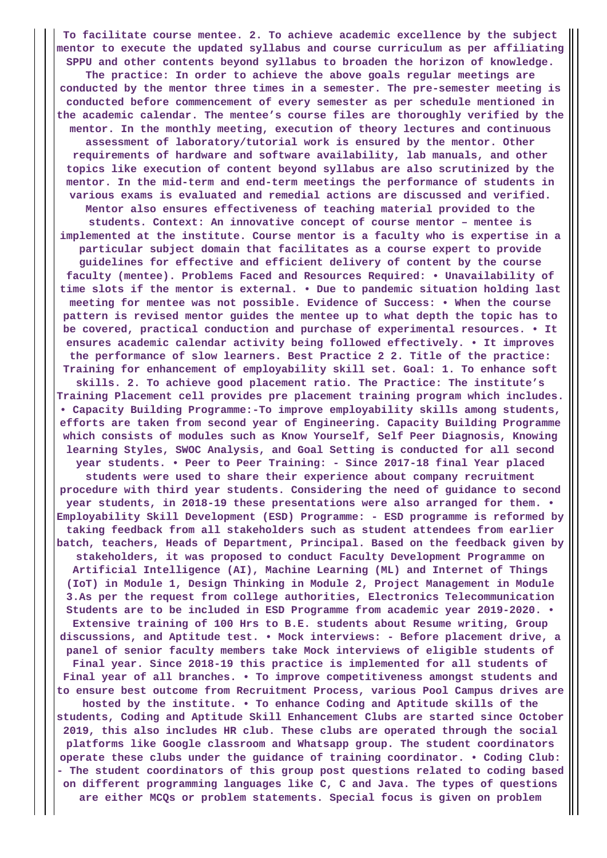**To facilitate course mentee. 2. To achieve academic excellence by the subject mentor to execute the updated syllabus and course curriculum as per affiliating SPPU and other contents beyond syllabus to broaden the horizon of knowledge. The practice: In order to achieve the above goals regular meetings are conducted by the mentor three times in a semester. The pre-semester meeting is conducted before commencement of every semester as per schedule mentioned in the academic calendar. The mentee's course files are thoroughly verified by the mentor. In the monthly meeting, execution of theory lectures and continuous assessment of laboratory/tutorial work is ensured by the mentor. Other requirements of hardware and software availability, lab manuals, and other topics like execution of content beyond syllabus are also scrutinized by the mentor. In the mid-term and end-term meetings the performance of students in various exams is evaluated and remedial actions are discussed and verified. Mentor also ensures effectiveness of teaching material provided to the students. Context: An innovative concept of course mentor – mentee is implemented at the institute. Course mentor is a faculty who is expertise in a particular subject domain that facilitates as a course expert to provide guidelines for effective and efficient delivery of content by the course faculty (mentee). Problems Faced and Resources Required: • Unavailability of time slots if the mentor is external. • Due to pandemic situation holding last meeting for mentee was not possible. Evidence of Success: • When the course pattern is revised mentor guides the mentee up to what depth the topic has to be covered, practical conduction and purchase of experimental resources. • It ensures academic calendar activity being followed effectively. • It improves the performance of slow learners. Best Practice 2 2. Title of the practice: Training for enhancement of employability skill set. Goal: 1. To enhance soft skills. 2. To achieve good placement ratio. The Practice: The institute's Training Placement cell provides pre placement training program which includes. • Capacity Building Programme:-To improve employability skills among students, efforts are taken from second year of Engineering. Capacity Building Programme which consists of modules such as Know Yourself, Self Peer Diagnosis, Knowing learning Styles, SWOC Analysis, and Goal Setting is conducted for all second year students. • Peer to Peer Training: - Since 2017-18 final Year placed students were used to share their experience about company recruitment procedure with third year students. Considering the need of guidance to second year students, in 2018-19 these presentations were also arranged for them. • Employability Skill Development (ESD) Programme: - ESD programme is reformed by taking feedback from all stakeholders such as student attendees from earlier batch, teachers, Heads of Department, Principal. Based on the feedback given by stakeholders, it was proposed to conduct Faculty Development Programme on Artificial Intelligence (AI), Machine Learning (ML) and Internet of Things (IoT) in Module 1, Design Thinking in Module 2, Project Management in Module 3.As per the request from college authorities, Electronics Telecommunication Students are to be included in ESD Programme from academic year 2019-2020. • Extensive training of 100 Hrs to B.E. students about Resume writing, Group discussions, and Aptitude test. • Mock interviews: - Before placement drive, a panel of senior faculty members take Mock interviews of eligible students of Final year. Since 2018-19 this practice is implemented for all students of Final year of all branches. • To improve competitiveness amongst students and to ensure best outcome from Recruitment Process, various Pool Campus drives are hosted by the institute. • To enhance Coding and Aptitude skills of the students, Coding and Aptitude Skill Enhancement Clubs are started since October 2019, this also includes HR club. These clubs are operated through the social platforms like Google classroom and Whatsapp group. The student coordinators operate these clubs under the guidance of training coordinator. • Coding Club: - The student coordinators of this group post questions related to coding based on different programming languages like C, C and Java. The types of questions are either MCQs or problem statements. Special focus is given on problem**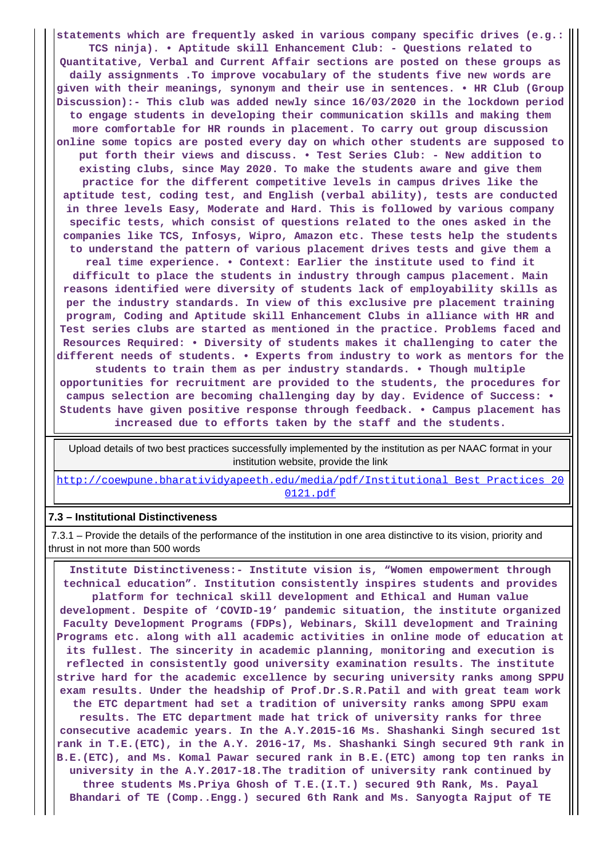**statements which are frequently asked in various company specific drives (e.g.: TCS ninja). • Aptitude skill Enhancement Club: - Questions related to Quantitative, Verbal and Current Affair sections are posted on these groups as daily assignments .To improve vocabulary of the students five new words are given with their meanings, synonym and their use in sentences. • HR Club (Group Discussion):- This club was added newly since 16/03/2020 in the lockdown period to engage students in developing their communication skills and making them more comfortable for HR rounds in placement. To carry out group discussion online some topics are posted every day on which other students are supposed to put forth their views and discuss. • Test Series Club: - New addition to existing clubs, since May 2020. To make the students aware and give them practice for the different competitive levels in campus drives like the aptitude test, coding test, and English (verbal ability), tests are conducted in three levels Easy, Moderate and Hard. This is followed by various company specific tests, which consist of questions related to the ones asked in the companies like TCS, Infosys, Wipro, Amazon etc. These tests help the students to understand the pattern of various placement drives tests and give them a real time experience. • Context: Earlier the institute used to find it difficult to place the students in industry through campus placement. Main reasons identified were diversity of students lack of employability skills as per the industry standards. In view of this exclusive pre placement training program, Coding and Aptitude skill Enhancement Clubs in alliance with HR and Test series clubs are started as mentioned in the practice. Problems faced and Resources Required: • Diversity of students makes it challenging to cater the different needs of students. • Experts from industry to work as mentors for the students to train them as per industry standards. • Though multiple opportunities for recruitment are provided to the students, the procedures for**

**campus selection are becoming challenging day by day. Evidence of Success: • Students have given positive response through feedback. • Campus placement has increased due to efforts taken by the staff and the students.**

 Upload details of two best practices successfully implemented by the institution as per NAAC format in your institution website, provide the link

[http://coewpune.bharatividyapeeth.edu/media/pdf/Institutional\\_Best\\_Practices\\_20](http://coewpune.bharatividyapeeth.edu/media/pdf/Institutional_Best_Practices_200121.pdf) [0121.pdf](http://coewpune.bharatividyapeeth.edu/media/pdf/Institutional_Best_Practices_200121.pdf)

#### **7.3 – Institutional Distinctiveness**

 7.3.1 – Provide the details of the performance of the institution in one area distinctive to its vision, priority and thrust in not more than 500 words

 **Institute Distinctiveness:- Institute vision is, "Women empowerment through technical education". Institution consistently inspires students and provides platform for technical skill development and Ethical and Human value development. Despite of 'COVID-19' pandemic situation, the institute organized Faculty Development Programs (FDPs), Webinars, Skill development and Training Programs etc. along with all academic activities in online mode of education at its fullest. The sincerity in academic planning, monitoring and execution is reflected in consistently good university examination results. The institute strive hard for the academic excellence by securing university ranks among SPPU exam results. Under the headship of Prof.Dr.S.R.Patil and with great team work the ETC department had set a tradition of university ranks among SPPU exam results. The ETC department made hat trick of university ranks for three consecutive academic years. In the A.Y.2015-16 Ms. Shashanki Singh secured 1st rank in T.E.(ETC), in the A.Y. 2016-17, Ms. Shashanki Singh secured 9th rank in B.E.(ETC), and Ms. Komal Pawar secured rank in B.E.(ETC) among top ten ranks in university in the A.Y.2017-18.The tradition of university rank continued by three students Ms.Priya Ghosh of T.E.(I.T.) secured 9th Rank, Ms. Payal Bhandari of TE (Comp..Engg.) secured 6th Rank and Ms. Sanyogta Rajput of TE**